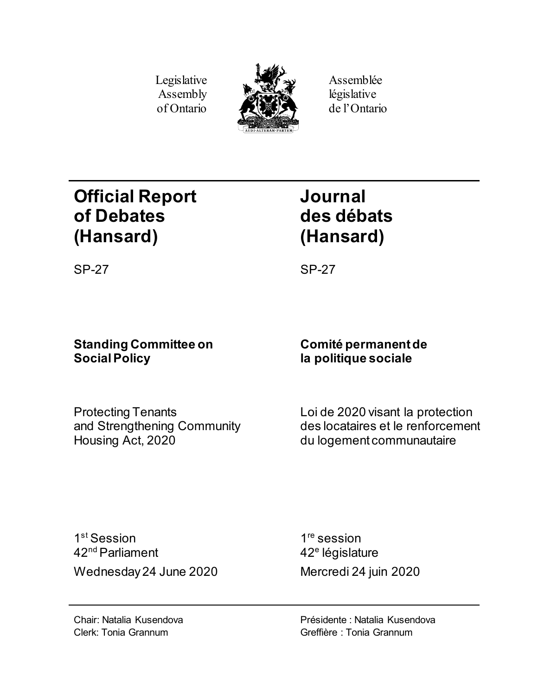Legislative Assembly of Ontario



Assemblée législative de l'Ontario

# **Official Report of Debates (Hansard)**

# **Journal des débats (Hansard)**

SP-27 SP-27

## **Standing Committee on Social Policy**

Protecting Tenants and Strengthening Community Housing Act, 2020

## **Comité permanentde la politique sociale**

Loi de 2020 visant la protection des locataires et le renforcement du logement communautaire

1st Session 42nd Parliament Wednesday 24 June 2020 Mercredi 24 juin 2020

1<sup>re</sup> session 42<sup>e</sup> législature

Présidente : Natalia Kusendova Greffière : Tonia Grannum

Chair: Natalia Kusendova Clerk: Tonia Grannum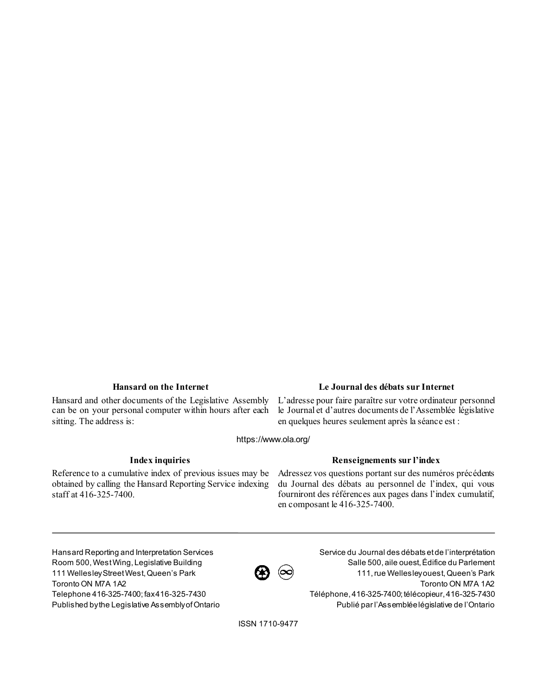Hansard and other documents of the Legislative Assembly can be on your personal computer within hours after each sitting. The address is:

### **Hansard on the Internet Le Journal des débats sur Internet**

L'adresse pour faire paraître sur votre ordinateur personnel le Journal et d'autres documents de l'Assemblée législative en quelques heures seulement après la séance est :

https://www.ola.org/

Reference to a cumulative index of previous issues may be obtained by calling the Hansard Reporting Service indexing staff at 416-325-7400.

### **Index inquiries Renseignements sur l'index**

Adressez vos questions portant sur des numéros précédents du Journal des débats au personnel de l'index, qui vous fourniront des références aux pages dans l'index cumulatif, en composant le 416-325-7400.

Hansard Reporting and Interpretation Services Room 500, West Wing, Legislative Building 111 Wellesley Street West, Queen's Park Toronto ON M7A 1A2 Telephone 416-325-7400; fax 416-325-7430 Published by the Legislative Assembly of Ontario



Service du Journal des débats et de l'interprétation Salle 500, aile ouest, Édifice du Parlement 111, rue Wellesley ouest, Queen's Park Toronto ON M7A 1A2 Téléphone, 416-325-7400; télécopieur, 416-325-7430 Publié par l'Assemblée législative de l'Ontario

ISSN 1710-9477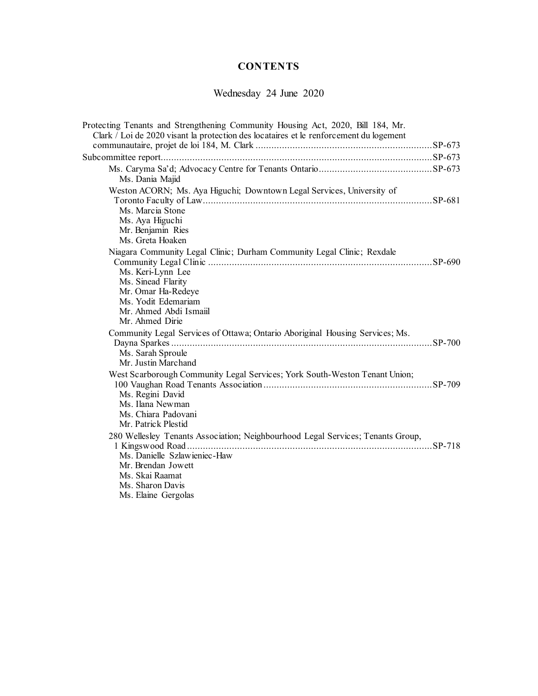## **CONTENTS**

Wednesday 24 June 2020

| Protecting Tenants and Strengthening Community Housing Act, 2020, Bill 184, Mr.<br>Clark / Loi de 2020 visant la protection des locataires et le renforcement du logement                                   |  |
|-------------------------------------------------------------------------------------------------------------------------------------------------------------------------------------------------------------|--|
|                                                                                                                                                                                                             |  |
|                                                                                                                                                                                                             |  |
| Ms. Dania Majid                                                                                                                                                                                             |  |
| Weston ACORN; Ms. Aya Higuchi; Downtown Legal Services, University of                                                                                                                                       |  |
| Ms. Marcia Stone<br>Ms. Aya Higuchi<br>Mr. Benjamin Ries<br>Ms. Greta Hoaken                                                                                                                                |  |
| Niagara Community Legal Clinic; Durham Community Legal Clinic; Rexdale<br>Ms. Keri-Lynn Lee<br>Ms. Sinead Flarity<br>Mr. Omar Ha-Redeye<br>Ms. Yodit Edemariam<br>Mr. Ahmed Abdi Ismaiil<br>Mr. Ahmed Dirie |  |
| Community Legal Services of Ottawa; Ontario Aboriginal Housing Services; Ms.<br>Ms. Sarah Sproule<br>Mr. Justin Marchand                                                                                    |  |
| West Scarborough Community Legal Services; York South-Weston Tenant Union;<br>Ms. Regini David<br>Ms. Ilana Newman<br>Ms. Chiara Padovani<br>Mr. Patrick Plestid                                            |  |
| 280 Wellesley Tenants Association; Neighbourhood Legal Services; Tenants Group,<br>Ms. Danielle Szlawieniec-Haw<br>Mr. Brendan Jowett<br>Ms. Skai Raamat<br>Ms. Sharon Davis<br>Ms. Elaine Gergolas         |  |
|                                                                                                                                                                                                             |  |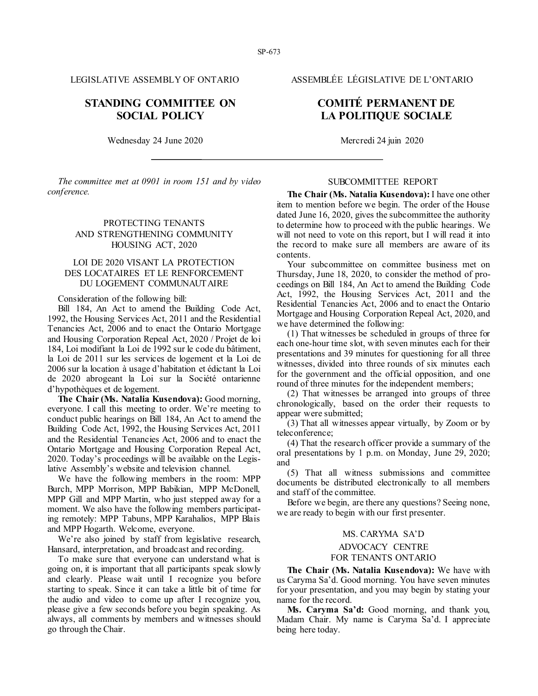### **STANDING COMMITTEE ON SOCIAL POLICY**

Wednesday 24 June 2020 Mercredi 24 juin 2020

*The committee met at 0901 in room 151 and by video conference.*

### PROTECTING TENANTS AND STRENGTHENING COMMUNITY HOUSING ACT, 2020

### LOI DE 2020 VISANT LA PROTECTION DES LOCATAIRES ET LE RENFORCEMENT DU LOGEMENT COMMUNAUTAIRE

Consideration of the following bill:

Bill 184, An Act to amend the Building Code Act, 1992, the Housing Services Act, 2011 and the Residential Tenancies Act, 2006 and to enact the Ontario Mortgage and Housing Corporation Repeal Act, 2020 / Projet de loi 184, Loi modifiant la Loi de 1992 sur le code du bâtiment, la Loi de 2011 sur les services de logement et la Loi de 2006 sur la location à usage d'habitation et édictant la Loi de 2020 abrogeant la Loi sur la Société ontarienne d'hypothèques et de logement.

**The Chair (Ms. Natalia Kusendova):** Good morning, everyone. I call this meeting to order. We're meeting to conduct public hearings on Bill 184, An Act to amend the Building Code Act, 1992, the Housing Services Act, 2011 and the Residential Tenancies Act, 2006 and to enact the Ontario Mortgage and Housing Corporation Repeal Act, 2020. Today's proceedings will be available on the Legislative Assembly's website and television channel.

We have the following members in the room: MPP Burch, MPP Morrison, MPP Babikian, MPP McDonell, MPP Gill and MPP Martin, who just stepped away for a moment. We also have the following members participating remotely: MPP Tabuns, MPP Karahalios, MPP Blais and MPP Hogarth. Welcome, everyone.

We're also joined by staff from legislative research, Hansard, interpretation, and broadcast and recording.

To make sure that everyone can understand what is going on, it is important that all participants speak slowly and clearly. Please wait until I recognize you before starting to speak. Since it can take a little bit of time for the audio and video to come up after I recognize you, please give a few seconds before you begin speaking. As always, all comments by members and witnesses should go through the Chair.

LEGISLATIVE ASSEMBLY OF ONTARIO ASSEMBLÉE LÉGISLATIVE DE L'ONTARIO

### **COMITÉ PERMANENT DE LA POLITIQUE SOCIALE**

#### SUBCOMMITTEE REPORT

**The Chair (Ms. Natalia Kusendova):** I have one other item to mention before we begin. The order of the House dated June 16, 2020, gives the subcommittee the authority to determine how to proceed with the public hearings. We will not need to vote on this report, but I will read it into the record to make sure all members are aware of its contents.

Your subcommittee on committee business met on Thursday, June 18, 2020, to consider the method of proceedings on Bill 184, An Act to amend the Building Code Act, 1992, the Housing Services Act, 2011 and the Residential Tenancies Act, 2006 and to enact the Ontario Mortgage and Housing Corporation Repeal Act, 2020, and we have determined the following:

(1) That witnesses be scheduled in groups of three for each one-hour time slot, with seven minutes each for their presentations and 39 minutes for questioning for all three witnesses, divided into three rounds of six minutes each for the government and the official opposition, and one round of three minutes for the independent members;

(2) That witnesses be arranged into groups of three chronologically, based on the order their requests to appear were submitted;

(3) That all witnesses appear virtually, by Zoom or by teleconference;

(4) That the research officer provide a summary of the oral presentations by 1 p.m. on Monday, June 29, 2020; and

(5) That all witness submissions and committee documents be distributed electronically to all members and staff of the committee.

Before we begin, are there any questions? Seeing none, we are ready to begin with our first presenter.

#### MS. CARYMA SA'D

#### ADVOCACY CENTRE

#### FOR TENANTS ONTARIO

**The Chair (Ms. Natalia Kusendova):** We have with us Caryma Sa'd. Good morning. You have seven minutes for your presentation, and you may begin by stating your name for the record.

**Ms. Caryma Sa'd:** Good morning, and thank you, Madam Chair. My name is Caryma Sa'd. I appreciate being here today.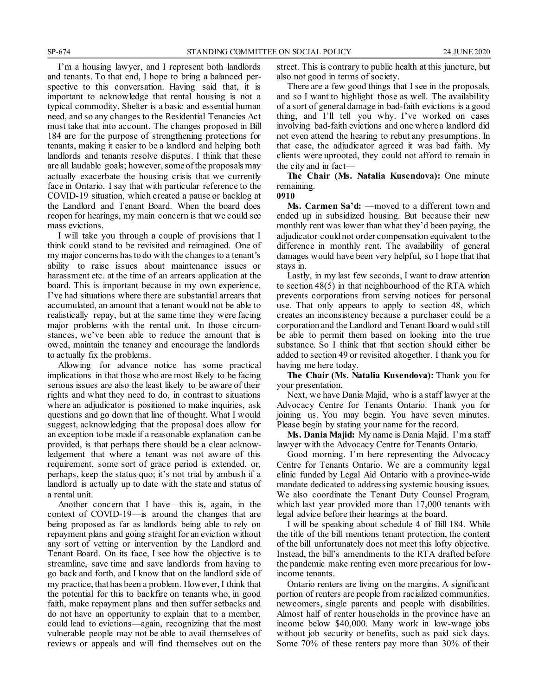I'm a housing lawyer, and I represent both landlords and tenants. To that end, I hope to bring a balanced perspective to this conversation. Having said that, it is important to acknowledge that rental housing is not a typical commodity. Shelter is a basic and essential human need, and so any changes to the Residential Tenancies Act must take that into account. The changes proposed in Bill 184 are for the purpose of strengthening protections for tenants, making it easier to be a landlord and helping both landlords and tenants resolve disputes. I think that these are all laudable goals; however, some of the proposals may actually exacerbate the housing crisis that we currently face in Ontario. I say that with particular reference to the COVID-19 situation, which created a pause or backlog at the Landlord and Tenant Board. When the board does reopen for hearings, my main concern is that we could see mass evictions.

I will take you through a couple of provisions that I think could stand to be revisited and reimagined. One of my major concerns has to do with the changes to a tenant's ability to raise issues about maintenance issues or harassment etc. at the time of an arrears application at the board. This is important because in my own experience, I've had situations where there are substantial arrears that accumulated, an amount that a tenant would not be able to realistically repay, but at the same time they were facing major problems with the rental unit. In those circumstances, we've been able to reduce the amount that is owed, maintain the tenancy and encourage the landlords to actually fix the problems.

Allowing for advance notice has some practical implications in that those who are most likely to be facing serious issues are also the least likely to be aware of their rights and what they need to do, in contrast to situations where an adjudicator is positioned to make inquiries, ask questions and go down that line of thought. What I would suggest, acknowledging that the proposal does allow for an exception to be made if a reasonable explanation can be provided, is that perhaps there should be a clear acknowledgement that where a tenant was not aware of this requirement, some sort of grace period is extended, or, perhaps, keep the status quo; it's not trial by ambush if a landlord is actually up to date with the state and status of a rental unit.

Another concern that I have—this is, again, in the context of COVID-19—is around the changes that are being proposed as far as landlords being able to rely on repayment plans and going straight for an eviction without any sort of vetting or intervention by the Landlord and Tenant Board. On its face, I see how the objective is to streamline, save time and save landlords from having to go back and forth, and I know that on the landlord side of my practice, that has been a problem. However, I think that the potential for this to backfire on tenants who, in good faith, make repayment plans and then suffer setbacks and do not have an opportunity to explain that to a member, could lead to evictions—again, recognizing that the most vulnerable people may not be able to avail themselves of reviews or appeals and will find themselves out on the

street. This is contrary to public health at this juncture, but also not good in terms of society.

There are a few good things that I see in the proposals, and so I want to highlight those as well. The availability of a sort of general damage in bad-faith evictions is a good thing, and I'll tell you why. I've worked on cases involving bad-faith evictions and one where a landlord did not even attend the hearing to rebut any presumptions. In that case, the adjudicator agreed it was bad faith. My clients were uprooted, they could not afford to remain in the city and in fact—

**The Chair (Ms. Natalia Kusendova):** One minute remaining.

**0910**

**Ms. Carmen Sa'd:** —moved to a different town and ended up in subsidized housing. But because their new monthly rent was lower than what they'd been paying, the adjudicator could not order compensation equivalent to the difference in monthly rent. The availability of general damages would have been very helpful, so I hope that that stays in.

Lastly, in my last few seconds, I want to draw attention to section 48(5) in that neighbourhood of the RTA which prevents corporations from serving notices for personal use. That only appears to apply to section 48, which creates an inconsistency because a purchaser could be a corporation and the Landlord and Tenant Board would still be able to permit them based on looking into the true substance. So I think that that section should either be added to section 49 or revisited altogether. I thank you for having me here today.

**The Chair (Ms. Natalia Kusendova):** Thank you for your presentation.

Next, we have Dania Majid, who is a staff lawyer at the Advocacy Centre for Tenants Ontario. Thank you for joining us. You may begin. You have seven minutes. Please begin by stating your name for the record.

**Ms. Dania Majid:** My name is Dania Majid. I'm a staff lawyer with the Advocacy Centre for Tenants Ontario.

Good morning. I'm here representing the Advocacy Centre for Tenants Ontario. We are a community legal clinic funded by Legal Aid Ontario with a province-wide mandate dedicated to addressing systemic housing issues. We also coordinate the Tenant Duty Counsel Program, which last year provided more than 17,000 tenants with legal advice before their hearings at the board.

I will be speaking about schedule 4 of Bill 184. While the title of the bill mentions tenant protection, the content of the bill unfortunately does not meet this lofty objective. Instead, the bill's amendments to the RTA drafted before the pandemic make renting even more precarious for lowincome tenants.

Ontario renters are living on the margins. A significant portion of renters are people from racialized communities, newcomers, single parents and people with disabilities. Almost half of renter households in the province have an income below \$40,000. Many work in low-wage jobs without job security or benefits, such as paid sick days. Some 70% of these renters pay more than 30% of their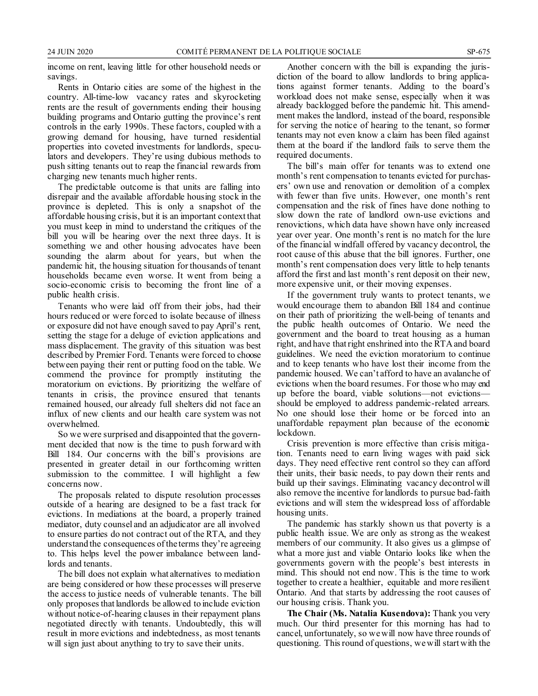income on rent, leaving little for other household needs or savings.

Rents in Ontario cities are some of the highest in the country. All-time-low vacancy rates and skyrocketing rents are the result of governments ending their housing building programs and Ontario gutting the province's rent controls in the early 1990s. These factors, coupled with a growing demand for housing, have turned residential properties into coveted investments for landlords, speculators and developers. They're using dubious methods to push sitting tenants out to reap the financial rewards from charging new tenants much higher rents.

The predictable outcome is that units are falling into disrepair and the available affordable housing stock in the province is depleted. This is only a snapshot of the affordable housing crisis, but it is an important context that you must keep in mind to understand the critiques of the bill you will be hearing over the next three days. It is something we and other housing advocates have been sounding the alarm about for years, but when the pandemic hit, the housing situation for thousands of tenant households became even worse. It went from being a socio-economic crisis to becoming the front line of a public health crisis.

Tenants who were laid off from their jobs, had their hours reduced or were forced to isolate because of illness or exposure did not have enough saved to pay April's rent, setting the stage for a deluge of eviction applications and mass displacement. The gravity of this situation was best described by Premier Ford. Tenants were forced to choose between paying their rent or putting food on the table. We commend the province for promptly instituting the moratorium on evictions. By prioritizing the welfare of tenants in crisis, the province ensured that tenants remained housed, our already full shelters did not face an influx of new clients and our health care system was not overwhelmed.

So we were surprised and disappointed that the government decided that now is the time to push forward with Bill 184. Our concerns with the bill's provisions are presented in greater detail in our forthcoming written submission to the committee. I will highlight a few concerns now.

The proposals related to dispute resolution processes outside of a hearing are designed to be a fast track for evictions. In mediations at the board, a properly trained mediator, duty counsel and an adjudicator are all involved to ensure parties do not contract out of the RTA, and they understand the consequences of the terms they're agreeing to. This helps level the power imbalance between landlords and tenants.

The bill does not explain what alternatives to mediation are being considered or how these processes will preserve the access to justice needs of vulnerable tenants. The bill only proposes that landlords be allowed to include eviction without notice-of-hearing clauses in their repayment plans negotiated directly with tenants. Undoubtedly, this will result in more evictions and indebtedness, as most tenants will sign just about anything to try to save their units.

Another concern with the bill is expanding the jurisdiction of the board to allow landlords to bring applications against former tenants. Adding to the board's workload does not make sense, especially when it was already backlogged before the pandemic hit. This amendment makes the landlord, instead of the board, responsible for serving the notice of hearing to the tenant, so former tenants may not even know a claim has been filed against them at the board if the landlord fails to serve them the required documents.

The bill's main offer for tenants was to extend one month's rent compensation to tenants evicted for purchasers' own use and renovation or demolition of a complex with fewer than five units. However, one month's rent compensation and the risk of fines have done nothing to slow down the rate of landlord own-use evictions and renovictions, which data have shown have only increased year over year. One month's rent is no match for the lure of the financial windfall offered by vacancy decontrol, the root cause of this abuse that the bill ignores. Further, one month's rent compensation does very little to help tenants afford the first and last month's rent deposit on their new, more expensive unit, or their moving expenses.

If the government truly wants to protect tenants, we would encourage them to abandon Bill 184 and continue on their path of prioritizing the well-being of tenants and the public health outcomes of Ontario. We need the government and the board to treat housing as a human right, and have that right enshrined into the RTA and board guidelines. We need the eviction moratorium to continue and to keep tenants who have lost their income from the pandemic housed. We can't afford to have an avalanche of evictions when the board resumes. For those who may end up before the board, viable solutions—not evictions should be employed to address pandemic-related arrears. No one should lose their home or be forced into an unaffordable repayment plan because of the economic lockdown.

Crisis prevention is more effective than crisis mitigation. Tenants need to earn living wages with paid sick days. They need effective rent control so they can afford their units, their basic needs, to pay down their rents and build up their savings. Eliminating vacancy decontrol will also remove the incentive for landlords to pursue bad-faith evictions and will stem the widespread loss of affordable housing units.

The pandemic has starkly shown us that poverty is a public health issue. We are only as strong as the weakest members of our community. It also gives us a glimpse of what a more just and viable Ontario looks like when the governments govern with the people's best interests in mind. This should not end now. This is the time to work together to create a healthier, equitable and more resilient Ontario. And that starts by addressing the root causes of our housing crisis. Thank you.

**The Chair (Ms. Natalia Kusendova):** Thank you very much. Our third presenter for this morning has had to cancel, unfortunately, so we will now have three rounds of questioning. This round of questions, we will start with the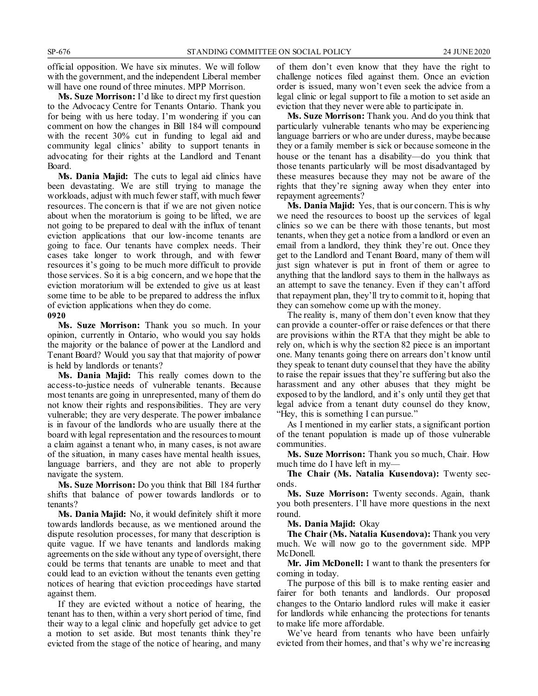official opposition. We have six minutes. We will follow with the government, and the independent Liberal member will have one round of three minutes. MPP Morrison.

**Ms. Suze Morrison:** I'd like to direct my first question to the Advocacy Centre for Tenants Ontario. Thank you for being with us here today. I'm wondering if you can comment on how the changes in Bill 184 will compound with the recent 30% cut in funding to legal aid and community legal clinics' ability to support tenants in advocating for their rights at the Landlord and Tenant Board.

**Ms. Dania Majid:** The cuts to legal aid clinics have been devastating. We are still trying to manage the workloads, adjust with much fewer staff, with much fewer resources. The concern is that if we are not given notice about when the moratorium is going to be lifted, we are not going to be prepared to deal with the influx of tenant eviction applications that our low-income tenants are going to face. Our tenants have complex needs. Their cases take longer to work through, and with fewer resources it's going to be much more difficult to provide those services. So it is a big concern, and we hope that the eviction moratorium will be extended to give us at least some time to be able to be prepared to address the influx of eviction applications when they do come.

#### **0920**

**Ms. Suze Morrison:** Thank you so much. In your opinion, currently in Ontario, who would you say holds the majority or the balance of power at the Landlord and Tenant Board? Would you say that that majority of power is held by landlords or tenants?

**Ms. Dania Majid:** This really comes down to the access-to-justice needs of vulnerable tenants. Because most tenants are going in unrepresented, many of them do not know their rights and responsibilities. They are very vulnerable; they are very desperate. The power imbalance is in favour of the landlords who are usually there at the board with legal representation and the resources to mount a claim against a tenant who, in many cases, is not aware of the situation, in many cases have mental health issues, language barriers, and they are not able to properly navigate the system.

**Ms. Suze Morrison:** Do you think that Bill 184 further shifts that balance of power towards landlords or to tenants?

**Ms. Dania Majid:** No, it would definitely shift it more towards landlords because, as we mentioned around the dispute resolution processes, for many that description is quite vague. If we have tenants and landlords making agreements on the side without any type of oversight, there could be terms that tenants are unable to meet and that could lead to an eviction without the tenants even getting notices of hearing that eviction proceedings have started against them.

If they are evicted without a notice of hearing, the tenant has to then, within a very short period of time, find their way to a legal clinic and hopefully get advice to get a motion to set aside. But most tenants think they're evicted from the stage of the notice of hearing, and many

of them don't even know that they have the right to challenge notices filed against them. Once an eviction order is issued, many won't even seek the advice from a legal clinic or legal support to file a motion to set aside an eviction that they never were able to participate in.

**Ms. Suze Morrison:** Thank you. And do you think that particularly vulnerable tenants who may be experiencing language barriers or who are under duress, maybe because they or a family member is sick or because someone in the house or the tenant has a disability—do you think that those tenants particularly will be most disadvantaged by these measures because they may not be aware of the rights that they're signing away when they enter into repayment agreements?

**Ms. Dania Majid:** Yes, that is our concern. This is why we need the resources to boost up the services of legal clinics so we can be there with those tenants, but most tenants, when they get a notice from a landlord or even an email from a landlord, they think they're out. Once they get to the Landlord and Tenant Board, many of them will just sign whatever is put in front of them or agree to anything that the landlord says to them in the hallways as an attempt to save the tenancy. Even if they can't afford that repayment plan, they'll try to commit to it, hoping that they can somehow come up with the money.

The reality is, many of them don't even know that they can provide a counter-offer or raise defences or that there are provisions within the RTA that they might be able to rely on, which is why the section 82 piece is an important one. Many tenants going there on arrears don't know until they speak to tenant duty counsel that they have the ability to raise the repair issues that they're suffering but also the harassment and any other abuses that they might be exposed to by the landlord, and it's only until they get that legal advice from a tenant duty counsel do they know, "Hey, this is something I can pursue."

As I mentioned in my earlier stats, a significant portion of the tenant population is made up of those vulnerable communities.

**Ms. Suze Morrison:** Thank you so much, Chair. How much time do I have left in my—

**The Chair (Ms. Natalia Kusendova):** Twenty seconds.

**Ms. Suze Morrison:** Twenty seconds. Again, thank you both presenters. I'll have more questions in the next round.

**Ms. Dania Majid:** Okay

**The Chair (Ms. Natalia Kusendova):** Thank you very much. We will now go to the government side. MPP McDonell.

**Mr. Jim McDonell:** I want to thank the presenters for coming in today.

The purpose of this bill is to make renting easier and fairer for both tenants and landlords. Our proposed changes to the Ontario landlord rules will make it easier for landlords while enhancing the protections for tenants to make life more affordable.

We've heard from tenants who have been unfairly evicted from their homes, and that's why we're increasing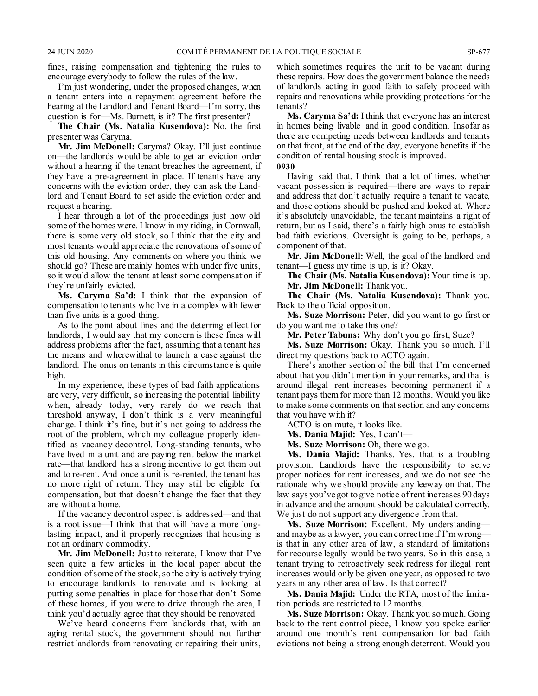fines, raising compensation and tightening the rules to encourage everybody to follow the rules of the law.

I'm just wondering, under the proposed changes, when a tenant enters into a repayment agreement before the hearing at the Landlord and Tenant Board—I'm sorry, this question is for—Ms. Burnett, is it? The first presenter?

**The Chair (Ms. Natalia Kusendova):** No, the first presenter was Caryma.

**Mr. Jim McDonell:** Caryma? Okay. I'll just continue on—the landlords would be able to get an eviction order without a hearing if the tenant breaches the agreement, if they have a pre-agreement in place. If tenants have any concerns with the eviction order, they can ask the Landlord and Tenant Board to set aside the eviction order and request a hearing.

I hear through a lot of the proceedings just how old some of the homes were. I know in my riding, in Cornwall, there is some very old stock, so I think that the city and most tenants would appreciate the renovations of some of this old housing. Any comments on where you think we should go? These are mainly homes with under five units, so it would allow the tenant at least some compensation if they're unfairly evicted.

**Ms. Caryma Sa'd:** I think that the expansion of compensation to tenants who live in a complex with fewer than five units is a good thing.

As to the point about fines and the deterring effect for landlords, I would say that my concern is these fines will address problems after the fact, assuming that a tenant has the means and wherewithal to launch a case against the landlord. The onus on tenants in this circumstance is quite high.

In my experience, these types of bad faith applications are very, very difficult, so increasing the potential liability when, already today, very rarely do we reach that threshold anyway, I don't think is a very meaningful change. I think it's fine, but it's not going to address the root of the problem, which my colleague properly identified as vacancy decontrol. Long-standing tenants, who have lived in a unit and are paying rent below the market rate—that landlord has a strong incentive to get them out and to re-rent. And once a unit is re-rented, the tenant has no more right of return. They may still be eligible for compensation, but that doesn't change the fact that they are without a home.

If the vacancy decontrol aspect is addressed—and that is a root issue—I think that that will have a more longlasting impact, and it properly recognizes that housing is not an ordinary commodity.

**Mr. Jim McDonell:** Just to reiterate, I know that I've seen quite a few articles in the local paper about the condition of some of the stock, so the city is actively trying to encourage landlords to renovate and is looking at putting some penalties in place for those that don't. Some of these homes, if you were to drive through the area, I think you'd actually agree that they should be renovated.

We've heard concerns from landlords that, with an aging rental stock, the government should not further restrict landlords from renovating or repairing their units, which sometimes requires the unit to be vacant during these repairs. How does the government balance the needs of landlords acting in good faith to safely proceed with repairs and renovations while providing protections for the tenants?

**Ms. Caryma Sa'd:** I think that everyone has an interest in homes being livable and in good condition. Insofar as there are competing needs between landlords and tenants on that front, at the end of the day, everyone benefits if the condition of rental housing stock is improved.

**0930**

Having said that, I think that a lot of times, whether vacant possession is required—there are ways to repair and address that don't actually require a tenant to vacate, and those options should be pushed and looked at. Where it's absolutely unavoidable, the tenant maintains a right of return, but as I said, there's a fairly high onus to establish bad faith evictions. Oversight is going to be, perhaps, a component of that.

**Mr. Jim McDonell:** Well, the goal of the landlord and tenant—I guess my time is up, is it? Okay.

**The Chair (Ms. Natalia Kusendova):** Your time is up. **Mr. Jim McDonell:** Thank you.

**The Chair (Ms. Natalia Kusendova):** Thank you. Back to the official opposition.

**Ms. Suze Morrison:** Peter, did you want to go first or do you want me to take this one?

**Mr. Peter Tabuns:** Why don't you go first, Suze?

**Ms. Suze Morrison:** Okay. Thank you so much. I'll direct my questions back to ACTO again.

There's another section of the bill that I'm concerned about that you didn't mention in your remarks, and that is around illegal rent increases becoming permanent if a tenant pays them for more than 12 months. Would you like to make some comments on that section and any concerns that you have with it?

ACTO is on mute, it looks like.

**Ms. Dania Majid:** Yes, I can't—

**Ms. Suze Morrison:** Oh, there we go.

**Ms. Dania Majid:** Thanks. Yes, that is a troubling provision. Landlords have the responsibility to serve proper notices for rent increases, and we do not see the rationale why we should provide any leeway on that. The law says you've got to give notice of rent increases 90 days in advance and the amount should be calculated correctly. We just do not support any divergence from that.

**Ms. Suze Morrison:** Excellent. My understanding and maybe as a lawyer, you can correct me if I'm wrong is that in any other area of law, a standard of limitations for recourse legally would be two years. So in this case, a tenant trying to retroactively seek redress for illegal rent increases would only be given one year, as opposed to two years in any other area of law. Is that correct?

**Ms. Dania Majid:** Under the RTA, most of the limitation periods are restricted to 12 months.

Ms. Suze Morrison: Okay. Thank you so much. Going back to the rent control piece, I know you spoke earlier around one month's rent compensation for bad faith evictions not being a strong enough deterrent. Would you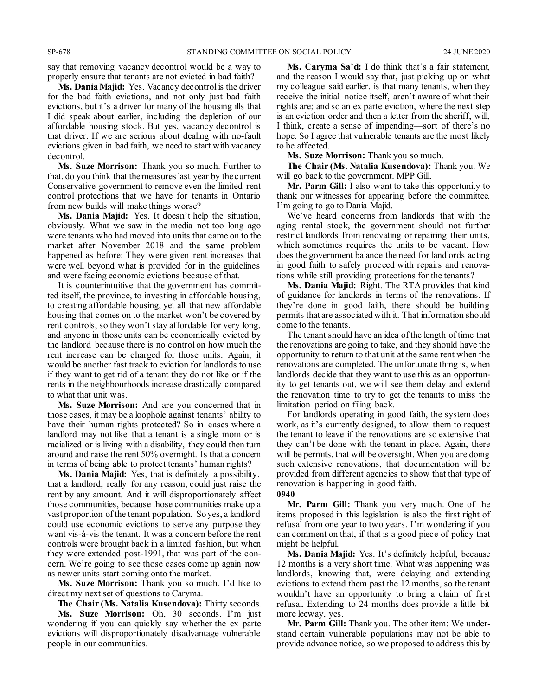say that removing vacancy decontrol would be a way to properly ensure that tenants are not evicted in bad faith?

**Ms. Dania Majid:** Yes. Vacancy decontrol is the driver for the bad faith evictions, and not only just bad faith evictions, but it's a driver for many of the housing ills that I did speak about earlier, including the depletion of our affordable housing stock. But yes, vacancy decontrol is that driver. If we are serious about dealing with no-fault evictions given in bad faith, we need to start with vacancy decontrol.

**Ms. Suze Morrison:** Thank you so much. Further to that, do you think that the measures last year by the current Conservative government to remove even the limited rent control protections that we have for tenants in Ontario from new builds will make things worse?

**Ms. Dania Majid:** Yes. It doesn't help the situation, obviously. What we saw in the media not too long ago were tenants who had moved into units that came on to the market after November 2018 and the same problem happened as before: They were given rent increases that were well beyond what is provided for in the guidelines and were facing economic evictions because of that.

It is counterintuitive that the government has committed itself, the province, to investing in affordable housing, to creating affordable housing, yet all that new affordable housing that comes on to the market won't be covered by rent controls, so they won't stay affordable for very long, and anyone in those units can be economically evicted by the landlord because there is no control on how much the rent increase can be charged for those units. Again, it would be another fast track to eviction for landlords to use if they want to get rid of a tenant they do not like or if the rents in the neighbourhoods increase drastically compared to what that unit was.

**Ms. Suze Morrison:** And are you concerned that in those cases, it may be a loophole against tenants' ability to have their human rights protected? So in cases where a landlord may not like that a tenant is a single mom or is racialized or is living with a disability, they could then turn around and raise the rent 50% overnight. Is that a concern in terms of being able to protect tenants' human rights?

**Ms. Dania Majid:** Yes, that is definitely a possibility, that a landlord, really for any reason, could just raise the rent by any amount. And it will disproportionately affect those communities, because those communities make up a vast proportion of the tenant population. So yes, a landlord could use economic evictions to serve any purpose they want vis-à-vis the tenant. It was a concern before the rent controls were brought back in a limited fashion, but when they were extended post-1991, that was part of the concern. We're going to see those cases come up again now as newer units start coming onto the market.

**Ms. Suze Morrison:** Thank you so much. I'd like to direct my next set of questions to Caryma.

**The Chair (Ms. Natalia Kusendova):** Thirty seconds. **Ms. Suze Morrison:** Oh, 30 seconds. I'm just wondering if you can quickly say whether the ex parte evictions will disproportionately disadvantage vulnerable people in our communities.

**Ms. Caryma Sa'd:** I do think that's a fair statement, and the reason I would say that, just picking up on what my colleague said earlier, is that many tenants, when they receive the initial notice itself, aren't aware of what their rights are; and so an ex parte eviction, where the next step is an eviction order and then a letter from the sheriff, will, I think, create a sense of impending—sort of there's no hope. So I agree that vulnerable tenants are the most likely to be affected.

**Ms. Suze Morrison:** Thank you so much.

**The Chair (Ms. Natalia Kusendova):** Thank you. We will go back to the government. MPP Gill.

**Mr. Parm Gill:** I also want to take this opportunity to thank our witnesses for appearing before the committee. I'm going to go to Dania Majid.

We've heard concerns from landlords that with the aging rental stock, the government should not further restrict landlords from renovating or repairing their units, which sometimes requires the units to be vacant. How does the government balance the need for landlords acting in good faith to safely proceed with repairs and renovations while still providing protections for the tenants?

**Ms. Dania Majid:** Right. The RTA provides that kind of guidance for landlords in terms of the renovations. If they're done in good faith, there should be building permits that are associated with it. That information should come to the tenants.

The tenant should have an idea of the length of time that the renovations are going to take, and they should have the opportunity to return to that unit at the same rent when the renovations are completed. The unfortunate thing is, when landlords decide that they want to use this as an opportunity to get tenants out, we will see them delay and extend the renovation time to try to get the tenants to miss the limitation period on filing back.

For landlords operating in good faith, the system does work, as it's currently designed, to allow them to request the tenant to leave if the renovations are so extensive that they can't be done with the tenant in place. Again, there will be permits, that will be oversight. When you are doing such extensive renovations, that documentation will be provided from different agencies to show that that type of renovation is happening in good faith.

**0940**

**Mr. Parm Gill:** Thank you very much. One of the items proposed in this legislation is also the first right of refusal from one year to two years. I'm wondering if you can comment on that, if that is a good piece of policy that might be helpful.

**Ms. Dania Majid:** Yes. It's definitely helpful, because 12 months is a very short time. What was happening was landlords, knowing that, were delaying and extending evictions to extend them past the 12 months, so the tenant wouldn't have an opportunity to bring a claim of first refusal. Extending to 24 months does provide a little bit more leeway, yes.

**Mr. Parm Gill:** Thank you. The other item: We understand certain vulnerable populations may not be able to provide advance notice, so we proposed to address this by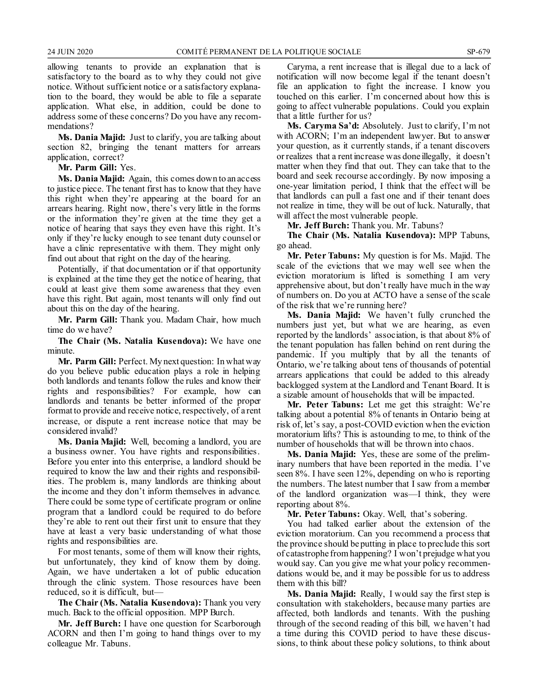allowing tenants to provide an explanation that is satisfactory to the board as to why they could not give notice. Without sufficient notice or a satisfactory explanation to the board, they would be able to file a separate application. What else, in addition, could be done to address some of these concerns? Do you have any recommendations?

**Ms. Dania Majid:** Just to clarify, you are talking about section 82, bringing the tenant matters for arrears application, correct?

**Mr. Parm Gill:** Yes.

**Ms. Dania Majid:** Again, this comes down to an access to justice piece. The tenant first has to know that they have this right when they're appearing at the board for an arrears hearing. Right now, there's very little in the forms or the information they're given at the time they get a notice of hearing that says they even have this right. It's only if they're lucky enough to see tenant duty counsel or have a clinic representative with them. They might only find out about that right on the day of the hearing.

Potentially, if that documentation or if that opportunity is explained at the time they get the notice of hearing, that could at least give them some awareness that they even have this right. But again, most tenants will only find out about this on the day of the hearing.

**Mr. Parm Gill:** Thank you. Madam Chair, how much time do we have?

**The Chair (Ms. Natalia Kusendova):** We have one minute.

**Mr. Parm Gill:** Perfect. My next question: In what way do you believe public education plays a role in helping both landlords and tenants follow the rules and know their rights and responsibilities? For example, how can landlords and tenants be better informed of the proper format to provide and receive notice, respectively, of a rent increase, or dispute a rent increase notice that may be considered invalid?

**Ms. Dania Majid:** Well, becoming a landlord, you are a business owner. You have rights and responsibilities. Before you enter into this enterprise, a landlord should be required to know the law and their rights and responsibilities. The problem is, many landlords are thinking about the income and they don't inform themselves in advance. There could be some type of certificate program or online program that a landlord could be required to do before they're able to rent out their first unit to ensure that they have at least a very basic understanding of what those rights and responsibilities are.

For most tenants, some of them will know their rights, but unfortunately, they kind of know them by doing. Again, we have undertaken a lot of public education through the clinic system. Those resources have been reduced, so it is difficult, but—

**The Chair (Ms. Natalia Kusendova):** Thank you very much. Back to the official opposition. MPP Burch.

**Mr. Jeff Burch:** I have one question for Scarborough ACORN and then I'm going to hand things over to my colleague Mr. Tabuns.

Caryma, a rent increase that is illegal due to a lack of notification will now become legal if the tenant doesn't file an application to fight the increase. I know you touched on this earlier. I'm concerned about how this is going to affect vulnerable populations. Could you explain that a little further for us?

**Ms. Caryma Sa'd:** Absolutely. Just to clarify, I'm not with ACORN; I'm an independent lawyer. But to answer your question, as it currently stands, if a tenant discovers or realizes that a rent increase was done illegally, it doesn't matter when they find that out. They can take that to the board and seek recourse accordingly. By now imposing a one-year limitation period, I think that the effect will be that landlords can pull a fast one and if their tenant does not realize in time, they will be out of luck. Naturally, that will affect the most vulnerable people.

**Mr. Jeff Burch:** Thank you. Mr. Tabuns?

**The Chair (Ms. Natalia Kusendova):** MPP Tabuns, go ahead.

**Mr. Peter Tabuns:** My question is for Ms. Majid. The scale of the evictions that we may well see when the eviction moratorium is lifted is something I am very apprehensive about, but don't really have much in the way of numbers on. Do you at ACTO have a sense of the scale of the risk that we're running here?

**Ms. Dania Majid:** We haven't fully crunched the numbers just yet, but what we are hearing, as even reported by the landlords' association, is that about 8% of the tenant population has fallen behind on rent during the pandemic. If you multiply that by all the tenants of Ontario, we're talking about tens of thousands of potential arrears applications that could be added to this already backlogged system at the Landlord and Tenant Board. It is a sizable amount of households that will be impacted.

**Mr. Peter Tabuns:** Let me get this straight: We're talking about a potential 8% of tenants in Ontario being at risk of, let's say, a post-COVID eviction when the eviction moratorium lifts? This is astounding to me, to think of the number of households that will be thrown into chaos.

**Ms. Dania Majid:** Yes, these are some of the preliminary numbers that have been reported in the media. I've seen 8%. I have seen 12%, depending on who is reporting the numbers. The latest number that I saw from a member of the landlord organization was—I think, they were reporting about 8%.

**Mr. Peter Tabuns:** Okay. Well, that's sobering.

You had talked earlier about the extension of the eviction moratorium. Can you recommend a process that the province should be putting in place to preclude this sort of catastrophe from happening? I won't prejudge what you would say. Can you give me what your policy recommendations would be, and it may be possible for us to address them with this bill?

**Ms. Dania Majid:** Really, I would say the first step is consultation with stakeholders, because many parties are affected, both landlords and tenants. With the pushing through of the second reading of this bill, we haven't had a time during this COVID period to have these discussions, to think about these policy solutions, to think about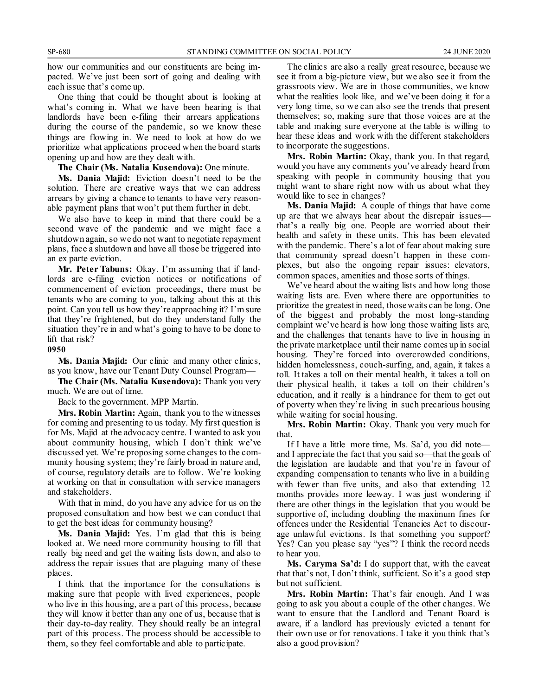how our communities and our constituents are being impacted. We've just been sort of going and dealing with each issue that's come up.

One thing that could be thought about is looking at what's coming in. What we have been hearing is that landlords have been e-filing their arrears applications during the course of the pandemic, so we know these things are flowing in. We need to look at how do we prioritize what applications proceed when the board starts opening up and how are they dealt with.

**The Chair (Ms. Natalia Kusendova):** One minute.

**Ms. Dania Majid:** Eviction doesn't need to be the solution. There are creative ways that we can address arrears by giving a chance to tenants to have very reasonable payment plans that won't put them further in debt.

We also have to keep in mind that there could be a second wave of the pandemic and we might face a shutdown again, so we do not want to negotiate repayment plans, face a shutdown and have all those be triggered into an ex parte eviction.

**Mr. Peter Tabuns:** Okay. I'm assuming that if landlords are e-filing eviction notices or notifications of commencement of eviction proceedings, there must be tenants who are coming to you, talking about this at this point. Can you tell us how they're approaching it? I'm sure that they're frightened, but do they understand fully the situation they're in and what's going to have to be done to lift that risk?

#### **0950**

**Ms. Dania Majid:** Our clinic and many other clinics, as you know, have our Tenant Duty Counsel Program—

**The Chair (Ms. Natalia Kusendova):** Thank you very much. We are out of time.

Back to the government. MPP Martin.

**Mrs. Robin Martin:** Again, thank you to the witnesses for coming and presenting to us today. My first question is for Ms. Majid at the advocacy centre. I wanted to ask you about community housing, which I don't think we've discussed yet. We're proposing some changes to the community housing system; they're fairly broad in nature and, of course, regulatory details are to follow. We're looking at working on that in consultation with service managers and stakeholders.

With that in mind, do you have any advice for us on the proposed consultation and how best we can conduct that to get the best ideas for community housing?

**Ms. Dania Majid:** Yes. I'm glad that this is being looked at. We need more community housing to fill that really big need and get the waiting lists down, and also to address the repair issues that are plaguing many of these places.

I think that the importance for the consultations is making sure that people with lived experiences, people who live in this housing, are a part of this process, because they will know it better than any one of us, because that is their day-to-day reality. They should really be an integral part of this process. The process should be accessible to them, so they feel comfortable and able to participate.

The clinics are also a really great resource, because we see it from a big-picture view, but we also see it from the grassroots view. We are in those communities, we know what the realities look like, and we've been doing it for a very long time, so we can also see the trends that present themselves; so, making sure that those voices are at the table and making sure everyone at the table is willing to hear these ideas and work with the different stakeholders to incorporate the suggestions.

**Mrs. Robin Martin:** Okay, thank you. In that regard, would you have any comments you've already heard from speaking with people in community housing that you might want to share right now with us about what they would like to see in changes?

**Ms. Dania Majid:** A couple of things that have come up are that we always hear about the disrepair issues that's a really big one. People are worried about their health and safety in these units. This has been elevated with the pandemic. There's a lot of fear about making sure that community spread doesn't happen in these complexes, but also the ongoing repair issues: elevators, common spaces, amenities and those sorts of things.

We've heard about the waiting lists and how long those waiting lists are. Even where there are opportunities to prioritize the greatest in need, those waits can be long. One of the biggest and probably the most long-standing complaint we've heard is how long those waiting lists are, and the challenges that tenants have to live in housing in the private marketplace until their name comes up in social housing. They're forced into overcrowded conditions, hidden homelessness, couch-surfing, and, again, it takes a toll. It takes a toll on their mental health, it takes a toll on their physical health, it takes a toll on their children's education, and it really is a hindrance for them to get out of poverty when they're living in such precarious housing while waiting for social housing.

**Mrs. Robin Martin:** Okay. Thank you very much for that.

If I have a little more time, Ms. Sa'd, you did note and I appreciate the fact that you said so—that the goals of the legislation are laudable and that you're in favour of expanding compensation to tenants who live in a building with fewer than five units, and also that extending 12 months provides more leeway. I was just wondering if there are other things in the legislation that you would be supportive of, including doubling the maximum fines for offences under the Residential Tenancies Act to discourage unlawful evictions. Is that something you support? Yes? Can you please say "yes"? I think the record needs to hear you.

**Ms. Caryma Sa'd:** I do support that, with the caveat that that's not, I don't think, sufficient. So it's a good step but not sufficient.

**Mrs. Robin Martin:** That's fair enough. And I was going to ask you about a couple of the other changes. We want to ensure that the Landlord and Tenant Board is aware, if a landlord has previously evicted a tenant for their own use or for renovations. I take it you think that's also a good provision?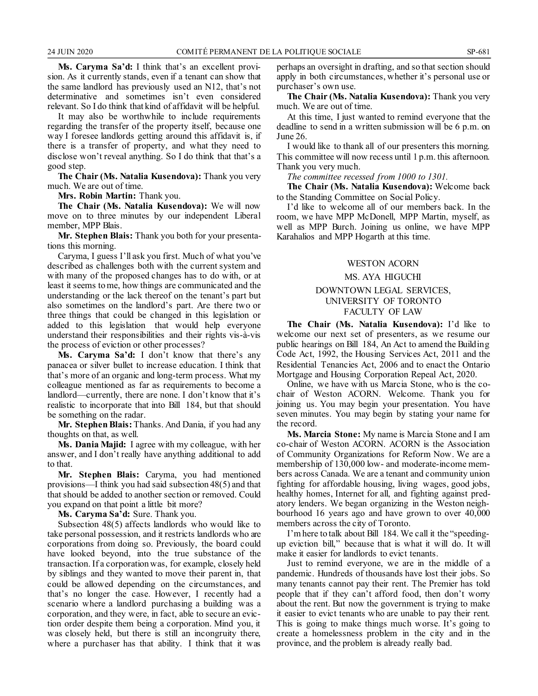**Ms. Caryma Sa'd:** I think that's an excellent provision. As it currently stands, even if a tenant can show that the same landlord has previously used an N12, that's not determinative and sometimes isn't even considered relevant. So I do think that kind of affidavit will be helpful.

It may also be worthwhile to include requirements regarding the transfer of the property itself, because one way I foresee landlords getting around this affidavit is, if there is a transfer of property, and what they need to disclose won't reveal anything. So I do think that that's a good step.

**The Chair (Ms. Natalia Kusendova):** Thank you very much. We are out of time.

**Mrs. Robin Martin:** Thank you.

**The Chair (Ms. Natalia Kusendova):** We will now move on to three minutes by our independent Liberal member, MPP Blais.

**Mr. Stephen Blais:** Thank you both for your presentations this morning.

Caryma, I guess I'll ask you first. Much of what you've described as challenges both with the current system and with many of the proposed changes has to do with, or at least it seems to me, how things are communicated and the understanding or the lack thereof on the tenant's part but also sometimes on the landlord's part. Are there two or three things that could be changed in this legislation or added to this legislation that would help everyone understand their responsibilities and their rights vis-à-vis the process of eviction or other processes?

**Ms. Caryma Sa'd:** I don't know that there's any panacea or silver bullet to increase education. I think that that's more of an organic and long-term process. What my colleague mentioned as far as requirements to become a landlord—currently, there are none. I don't know that it's realistic to incorporate that into Bill 184, but that should be something on the radar.

**Mr. Stephen Blais:** Thanks. And Dania, if you had any thoughts on that, as well.

**Ms. Dania Majid:** I agree with my colleague, with her answer, and I don't really have anything additional to add to that.

**Mr. Stephen Blais:** Caryma, you had mentioned provisions—I think you had said subsection 48(5) and that that should be added to another section or removed. Could you expand on that point a little bit more?

**Ms. Caryma Sa'd:** Sure. Thank you.

Subsection 48(5) affects landlords who would like to take personal possession, and it restricts landlords who are corporations from doing so. Previously, the board could have looked beyond, into the true substance of the transaction. If a corporation was, for example, closely held by siblings and they wanted to move their parent in, that could be allowed depending on the circumstances, and that's no longer the case. However, I recently had a scenario where a landlord purchasing a building was a corporation, and they were, in fact, able to secure an eviction order despite them being a corporation. Mind you, it was closely held, but there is still an incongruity there, where a purchaser has that ability. I think that it was perhaps an oversight in drafting, and so that section should apply in both circumstances, whether it's personal use or purchaser's own use.

**The Chair (Ms. Natalia Kusendova):** Thank you very much. We are out of time.

At this time, I just wanted to remind everyone that the deadline to send in a written submission will be 6 p.m. on June 26.

I would like to thank all of our presenters this morning. This committee will now recess until 1 p.m. this afternoon. Thank you very much.

*The committee recessed from 1000 to 1301.*

**The Chair (Ms. Natalia Kusendova):** Welcome back to the Standing Committee on Social Policy.

I'd like to welcome all of our members back. In the room, we have MPP McDonell, MPP Martin, myself, as well as MPP Burch. Joining us online, we have MPP Karahalios and MPP Hogarth at this time.

#### WESTON ACORN

#### MS. AYA HIGUCHI

#### DOWNTOWN LEGAL SERVICES, UNIVERSITY OF TORONTO FACULTY OF LAW

**The Chair (Ms. Natalia Kusendova):** I'd like to welcome our next set of presenters, as we resume our public hearings on Bill 184, An Act to amend the Building Code Act, 1992, the Housing Services Act, 2011 and the Residential Tenancies Act, 2006 and to enact the Ontario Mortgage and Housing Corporation Repeal Act, 2020.

Online, we have with us Marcia Stone, who is the cochair of Weston ACORN. Welcome. Thank you for joining us. You may begin your presentation. You have seven minutes. You may begin by stating your name for the record.

**Ms. Marcia Stone:** My name is Marcia Stone and I am co-chair of Weston ACORN. ACORN is the Association of Community Organizations for Reform Now. We are a membership of 130,000 low- and moderate-income members across Canada. We are a tenant and community union fighting for affordable housing, living wages, good jobs, healthy homes, Internet for all, and fighting against predatory lenders. We began organizing in the Weston neighbourhood 16 years ago and have grown to over 40,000 members across the city of Toronto.

I'm here to talk about Bill 184. We call it the "speedingup eviction bill," because that is what it will do. It will make it easier for landlords to evict tenants.

Just to remind everyone, we are in the middle of a pandemic. Hundreds of thousands have lost their jobs. So many tenants cannot pay their rent. The Premier has told people that if they can't afford food, then don't worry about the rent. But now the government is trying to make it easier to evict tenants who are unable to pay their rent. This is going to make things much worse. It's going to create a homelessness problem in the city and in the province, and the problem is already really bad.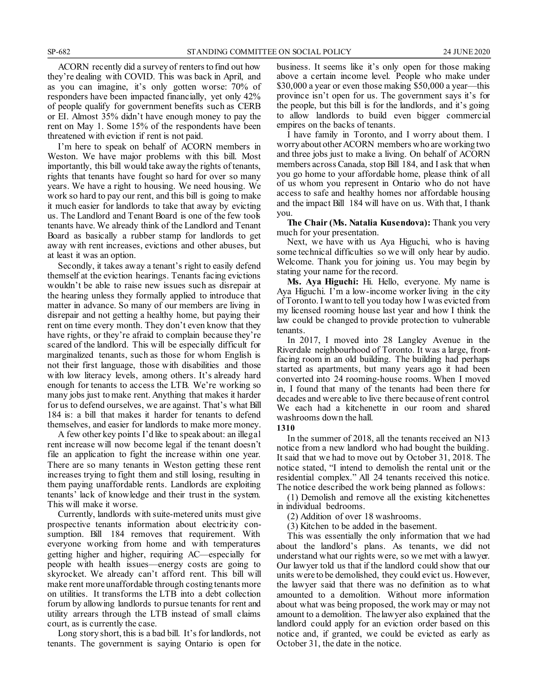ACORN recently did a survey of renters to find out how they're dealing with COVID. This was back in April, and as you can imagine, it's only gotten worse: 70% of responders have been impacted financially, yet only 42% of people qualify for government benefits such as CERB or EI. Almost 35% didn't have enough money to pay the rent on May 1. Some 15% of the respondents have been threatened with eviction if rent is not paid.

I'm here to speak on behalf of ACORN members in Weston. We have major problems with this bill. Most importantly, this bill would take away the rights of tenants, rights that tenants have fought so hard for over so many years. We have a right to housing. We need housing. We work so hard to pay our rent, and this bill is going to make it much easier for landlords to take that away by evicting us. The Landlord and Tenant Board is one of the few tools tenants have. We already think of the Landlord and Tenant Board as basically a rubber stamp for landlords to get away with rent increases, evictions and other abuses, but at least it was an option.

Secondly, it takes away a tenant's right to easily defend themself at the eviction hearings. Tenants facing evictions wouldn't be able to raise new issues such as disrepair at the hearing unless they formally applied to introduce that matter in advance. So many of our members are living in disrepair and not getting a healthy home, but paying their rent on time every month. They don't even know that they have rights, or they're afraid to complain because they're scared of the landlord. This will be especially difficult for marginalized tenants, such as those for whom English is not their first language, those with disabilities and those with low literacy levels, among others. It's already hard enough for tenants to access the LTB. We're working so many jobs just to make rent. Anything that makes it harder for us to defend ourselves, we are against. That's what Bill 184 is: a bill that makes it harder for tenants to defend themselves, and easier for landlords to make more money.

A few other key points I'd like to speak about: an illegal rent increase will now become legal if the tenant doesn't file an application to fight the increase within one year. There are so many tenants in Weston getting these rent increases trying to fight them and still losing, resulting in them paying unaffordable rents. Landlords are exploiting tenants' lack of knowledge and their trust in the system. This will make it worse.

Currently, landlords with suite-metered units must give prospective tenants information about electricity consumption. Bill 184 removes that requirement. With everyone working from home and with temperatures getting higher and higher, requiring AC—especially for people with health issues—energy costs are going to skyrocket. We already can't afford rent. This bill will make rent more unaffordable through costing tenants more on utilities. It transforms the LTB into a debt collection forum by allowing landlords to pursue tenants for rent and utility arrears through the LTB instead of small claims court, as is currently the case.

Long story short, this is a bad bill. It's for landlords, not tenants. The government is saying Ontario is open for business. It seems like it's only open for those making above a certain income level. People who make under \$30,000 a year or even those making \$50,000 a year—this province isn't open for us. The government says it's for the people, but this bill is for the landlords, and it's going to allow landlords to build even bigger commercial empires on the backs of tenants.

I have family in Toronto, and I worry about them. I worry about other ACORN members who are working two and three jobs just to make a living. On behalf of ACORN members across Canada, stop Bill 184, and I ask that when you go home to your affordable home, please think of all of us whom you represent in Ontario who do not have access to safe and healthy homes nor affordable housing and the impact Bill 184 will have on us. With that, I thank you.

**The Chair (Ms. Natalia Kusendova):** Thank you very much for your presentation.

Next, we have with us Aya Higuchi, who is having some technical difficulties so we will only hear by audio. Welcome. Thank you for joining us. You may begin by stating your name for the record.

**Ms. Aya Higuchi:** Hi. Hello, everyone. My name is Aya Higuchi. I'm a low-income worker living in the city of Toronto. I want to tell you today how I was evicted from my licensed rooming house last year and how I think the law could be changed to provide protection to vulnerable tenants.

In 2017, I moved into 28 Langley Avenue in the Riverdale neighbourhood of Toronto. It was a large, frontfacing room in an old building. The building had perhaps started as apartments, but many years ago it had been converted into 24 rooming-house rooms. When I moved in, I found that many of the tenants had been there for decades and were able to live there because of rent control. We each had a kitchenette in our room and shared washrooms down the hall.

#### **1310**

In the summer of 2018, all the tenants received an N13 notice from a new landlord who had bought the building. It said that we had to move out by October 31, 2018. The notice stated, "I intend to demolish the rental unit or the residential complex." All 24 tenants received this notice. The notice described the work being planned as follows:

(1) Demolish and remove all the existing kitchenettes in individual bedrooms.

(2) Addition of over 18 washrooms.

(3) Kitchen to be added in the basement.

This was essentially the only information that we had about the landlord's plans. As tenants, we did not understand what our rights were, so we met with a lawyer. Our lawyer told us that if the landlord could show that our units were to be demolished, they could evict us. However, the lawyer said that there was no definition as to what amounted to a demolition. Without more information about what was being proposed, the work may or may not amount to a demolition. The lawyer also explained that the landlord could apply for an eviction order based on this notice and, if granted, we could be evicted as early as October 31, the date in the notice.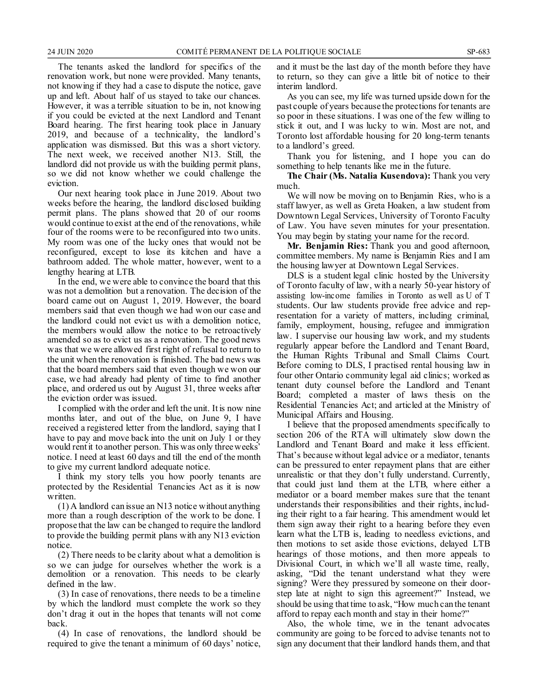The tenants asked the landlord for specifics of the renovation work, but none were provided. Many tenants, not knowing if they had a case to dispute the notice, gave up and left. About half of us stayed to take our chances. However, it was a terrible situation to be in, not knowing if you could be evicted at the next Landlord and Tenant Board hearing. The first hearing took place in January 2019, and because of a technicality, the landlord's application was dismissed. But this was a short victory. The next week, we received another N13. Still, the landlord did not provide us with the building permit plans, so we did not know whether we could challenge the eviction.

Our next hearing took place in June 2019. About two weeks before the hearing, the landlord disclosed building permit plans. The plans showed that 20 of our rooms would continue to exist at the end of the renovations, while four of the rooms were to be reconfigured into two units. My room was one of the lucky ones that would not be reconfigured, except to lose its kitchen and have a bathroom added. The whole matter, however, went to a lengthy hearing at LTB.

In the end, we were able to convince the board that this was not a demolition but a renovation. The decision of the board came out on August 1, 2019. However, the board members said that even though we had won our case and the landlord could not evict us with a demolition notice, the members would allow the notice to be retroactively amended so as to evict us as a renovation. The good news was that we were allowed first right of refusal to return to the unit when the renovation is finished. The bad news was that the board members said that even though we won our case, we had already had plenty of time to find another place, and ordered us out by August 31, three weeks after the eviction order was issued.

I complied with the order and left the unit. It is now nine months later, and out of the blue, on June 9, I have received a registered letter from the landlord, saying that I have to pay and move back into the unit on July 1 or they would rent it to another person. This was only three weeks' notice. I need at least 60 days and till the end of the month to give my current landlord adequate notice.

I think my story tells you how poorly tenants are protected by the Residential Tenancies Act as it is now written.

(1) A landlord can issue an N13 notice without anything more than a rough description of the work to be done. I propose that the law can be changed to require the landlord to provide the building permit plans with any N13 eviction notice.

(2) There needs to be clarity about what a demolition is so we can judge for ourselves whether the work is a demolition or a renovation. This needs to be clearly defined in the law.

(3) In case of renovations, there needs to be a timeline by which the landlord must complete the work so they don't drag it out in the hopes that tenants will not come back.

(4) In case of renovations, the landlord should be required to give the tenant a minimum of 60 days' notice, and it must be the last day of the month before they have to return, so they can give a little bit of notice to their interim landlord.

As you can see, my life was turned upside down for the past couple of years because the protections for tenants are so poor in these situations. I was one of the few willing to stick it out, and I was lucky to win. Most are not, and Toronto lost affordable housing for 20 long-term tenants to a landlord's greed.

Thank you for listening, and I hope you can do something to help tenants like me in the future.

**The Chair (Ms. Natalia Kusendova):** Thank you very much.

We will now be moving on to Benjamin Ries, who is a staff lawyer, as well as Greta Hoaken, a law student from Downtown Legal Services, University of Toronto Faculty of Law. You have seven minutes for your presentation. You may begin by stating your name for the record.

**Mr. Benjamin Ries:** Thank you and good afternoon, committee members. My name is Benjamin Ries and I am the housing lawyer at Downtown Legal Services.

DLS is a student legal clinic hosted by the University of Toronto faculty of law, with a nearly 50-year history of assisting low-income families in Toronto as well as U of T students. Our law students provide free advice and representation for a variety of matters, including criminal, family, employment, housing, refugee and immigration law. I supervise our housing law work, and my students regularly appear before the Landlord and Tenant Board, the Human Rights Tribunal and Small Claims Court. Before coming to DLS, I practised rental housing law in four other Ontario community legal aid clinics; worked as tenant duty counsel before the Landlord and Tenant Board; completed a master of laws thesis on the Residential Tenancies Act; and articled at the Ministry of Municipal Affairs and Housing.

I believe that the proposed amendments specifically to section 206 of the RTA will ultimately slow down the Landlord and Tenant Board and make it less efficient. That's because without legal advice or a mediator, tenants can be pressured to enter repayment plans that are either unrealistic or that they don't fully understand. Currently, that could just land them at the LTB, where either a mediator or a board member makes sure that the tenant understands their responsibilities and their rights, including their right to a fair hearing. This amendment would let them sign away their right to a hearing before they even learn what the LTB is, leading to needless evictions, and then motions to set aside those evictions, delayed LTB hearings of those motions, and then more appeals to Divisional Court, in which we'll all waste time, really, asking, "Did the tenant understand what they were signing? Were they pressured by someone on their doorstep late at night to sign this agreement?" Instead, we should be using that time to ask, "How much can the tenant afford to repay each month and stay in their home?"

Also, the whole time, we in the tenant advocates community are going to be forced to advise tenants not to sign any document that their landlord hands them, and that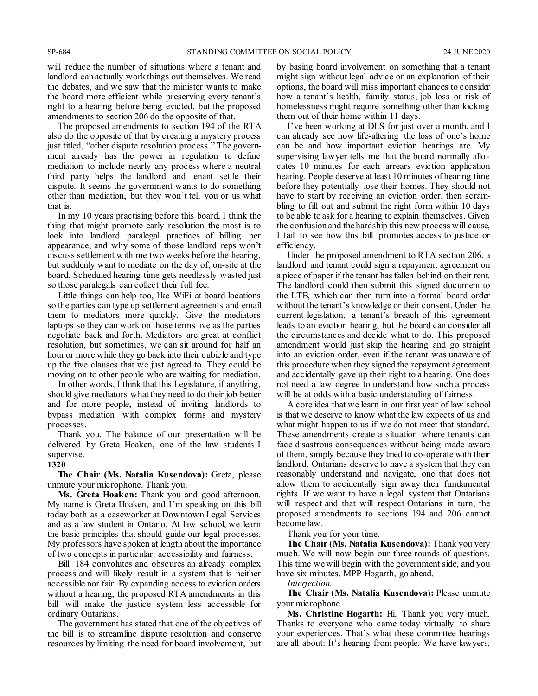will reduce the number of situations where a tenant and landlord can actually work things out themselves. We read the debates, and we saw that the minister wants to make the board more efficient while preserving every tenant's right to a hearing before being evicted, but the proposed amendments to section 206 do the opposite of that.

The proposed amendments to section 194 of the RTA also do the opposite of that by creating a mystery process just titled, "other dispute resolution process." The government already has the power in regulation to define mediation to include nearly any process where a neutral third party helps the landlord and tenant settle their dispute. It seems the government wants to do something other than mediation, but they won't tell you or us what that is.

In my 10 years practising before this board, I think the thing that might promote early resolution the most is to look into landlord paralegal practices of billing per appearance, and why some of those landlord reps won't discuss settlement with me two weeks before the hearing, but suddenly want to mediate on the day of, on-site at the board. Scheduled hearing time gets needlessly wasted just so those paralegals can collect their full fee.

Little things can help too, like WiFi at board locations so the parties can type up settlement agreements and email them to mediators more quickly. Give the mediators laptops so they can work on those terms live as the parties negotiate back and forth. Mediators are great at conflict resolution, but sometimes, we can sit around for half an hour or more while they go back into their cubicle and type up the five clauses that we just agreed to. They could be moving on to other people who are waiting for mediation.

In other words, I think that this Legislature, if anything, should give mediators what they need to do their job better and for more people, instead of inviting landlords to bypass mediation with complex forms and mystery processes.

Thank you. The balance of our presentation will be delivered by Greta Hoaken, one of the law students I supervise.

#### **1320**

**The Chair (Ms. Natalia Kusendova):** Greta, please unmute your microphone. Thank you.

**Ms. Greta Hoaken:** Thank you and good afternoon. My name is Greta Hoaken, and I'm speaking on this bill today both as a caseworker at Downtown Legal Services and as a law student in Ontario. At law school, we learn the basic principles that should guide our legal processes. My professors have spoken at length about the importance of two concepts in particular: accessibility and fairness.

Bill 184 convolutes and obscures an already complex process and will likely result in a system that is neither accessible nor fair. By expanding access to eviction orders without a hearing, the proposed RTA amendments in this bill will make the justice system less accessible for ordinary Ontarians.

The government has stated that one of the objectives of the bill is to streamline dispute resolution and conserve resources by limiting the need for board involvement, but by basing board involvement on something that a tenant might sign without legal advice or an explanation of their options, the board will miss important chances to consider how a tenant's health, family status, job loss or risk of homelessness might require something other than kicking them out of their home within 11 days.

I've been working at DLS for just over a month, and I can already see how life-altering the loss of one's home can be and how important eviction hearings are. My supervising lawyer tells me that the board normally allocates 10 minutes for each arrears eviction application hearing. People deserve at least 10 minutes of hearing time before they potentially lose their homes. They should not have to start by receiving an eviction order, then scrambling to fill out and submit the right form within 10 days to be able to ask for a hearing to explain themselves. Given the confusion and the hardship this new process will cause, I fail to see how this bill promotes access to justice or efficiency.

Under the proposed amendment to RTA section 206, a landlord and tenant could sign a repayment agreement on a piece of paper if the tenant has fallen behind on their rent. The landlord could then submit this signed document to the LTB, which can then turn into a formal board order without the tenant's knowledge or their consent. Under the current legislation, a tenant's breach of this agreement leads to an eviction hearing, but the board can consider all the circumstances and decide what to do. This proposed amendment would just skip the hearing and go straight into an eviction order, even if the tenant was unaware of this procedure when they signed the repayment agreement and accidentally gave up their right to a hearing. One does not need a law degree to understand how such a process will be at odds with a basic understanding of fairness.

A core idea that we learn in our first year of law school is that we deserve to know what the law expects of us and what might happen to us if we do not meet that standard. These amendments create a situation where tenants can face disastrous consequences without being made aware of them, simply because they tried to co-operate with their landlord. Ontarians deserve to have a system that they can reasonably understand and navigate, one that does not allow them to accidentally sign away their fundamental rights. If we want to have a legal system that Ontarians will respect and that will respect Ontarians in turn, the proposed amendments to sections 194 and 206 cannot become law.

Thank you for your time.

**The Chair (Ms. Natalia Kusendova):** Thank you very much. We will now begin our three rounds of questions. This time we will begin with the government side, and you have six minutes. MPP Hogarth, go ahead.

*Interjection.*

**The Chair (Ms. Natalia Kusendova):** Please unmute your microphone.

**Ms. Christine Hogarth:** Hi. Thank you very much. Thanks to everyone who came today virtually to share your experiences. That's what these committee hearings are all about: It's hearing from people. We have lawyers,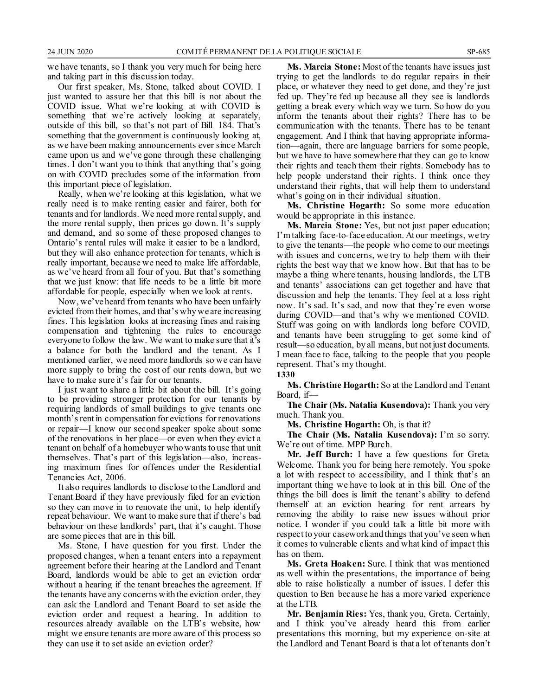we have tenants, so I thank you very much for being here and taking part in this discussion today.

Our first speaker, Ms. Stone, talked about COVID. I just wanted to assure her that this bill is not about the COVID issue. What we're looking at with COVID is something that we're actively looking at separately, outside of this bill, so that's not part of Bill 184. That's something that the government is continuously looking at, as we have been making announcements ever since March came upon us and we've gone through these challenging times. I don't want you to think that anything that's going on with COVID precludes some of the information from this important piece of legislation.

Really, when we're looking at this legislation, what we really need is to make renting easier and fairer, both for tenants and for landlords. We need more rental supply, and the more rental supply, then prices go down. It's supply and demand, and so some of these proposed changes to Ontario's rental rules will make it easier to be a landlord, but they will also enhance protection for tenants, which is really important, because we need to make life affordable, as we've heard from all four of you. But that's something that we just know: that life needs to be a little bit more affordable for people, especially when we look at rents.

Now, we've heard from tenants who have been unfairly evicted from their homes, and that's why we are increasing fines. This legislation looks at increasing fines and raising compensation and tightening the rules to encourage everyone to follow the law. We want to make sure that it's a balance for both the landlord and the tenant. As I mentioned earlier, we need more landlords so we can have more supply to bring the cost of our rents down, but we have to make sure it's fair for our tenants.

I just want to share a little bit about the bill. It's going to be providing stronger protection for our tenants by requiring landlords of small buildings to give tenants one month's rent in compensation for evictions for renovations or repair—I know our second speaker spoke about some of the renovations in her place—or even when they evict a tenant on behalf of a homebuyer who wants to use that unit themselves. That's part of this legislation—also, increasing maximum fines for offences under the Residential Tenancies Act, 2006.

It also requires landlords to disclose to the Landlord and Tenant Board if they have previously filed for an eviction so they can move in to renovate the unit, to help identify repeat behaviour. We want to make sure that if there's bad behaviour on these landlords' part, that it's caught. Those are some pieces that are in this bill.

Ms. Stone, I have question for you first. Under the proposed changes, when a tenant enters into a repayment agreement before their hearing at the Landlord and Tenant Board, landlords would be able to get an eviction order without a hearing if the tenant breaches the agreement. If the tenants have any concerns with the eviction order, they can ask the Landlord and Tenant Board to set aside the eviction order and request a hearing. In addition to resources already available on the LTB's website, how might we ensure tenants are more aware of this process so they can use it to set aside an eviction order?

**Ms. Marcia Stone:** Most of the tenants have issues just trying to get the landlords to do regular repairs in their place, or whatever they need to get done, and they're just fed up. They're fed up because all they see is landlords getting a break every which way we turn. So how do you inform the tenants about their rights? There has to be communication with the tenants. There has to be tenant engagement. And I think that having appropriate information—again, there are language barriers for some people, but we have to have somewhere that they can go to know their rights and teach them their rights. Somebody has to help people understand their rights. I think once they understand their rights, that will help them to understand what's going on in their individual situation.

**Ms. Christine Hogarth:** So some more education would be appropriate in this instance.

**Ms. Marcia Stone:** Yes, but not just paper education; I'm talking face-to-face education. At our meetings, we try to give the tenants—the people who come to our meetings with issues and concerns, we try to help them with their rights the best way that we know how. But that has to be maybe a thing where tenants, housing landlords, the LTB and tenants' associations can get together and have that discussion and help the tenants. They feel at a loss right now. It's sad. It's sad, and now that they're even worse during COVID—and that's why we mentioned COVID. Stuff was going on with landlords long before COVID, and tenants have been struggling to get some kind of result—so education, by all means, but not just documents. I mean face to face, talking to the people that you people represent. That's my thought.

**1330**

**Ms. Christine Hogarth:** So at the Landlord and Tenant Board, if—

**The Chair (Ms. Natalia Kusendova):** Thank you very much. Thank you.

**Ms. Christine Hogarth:** Oh, is that it?

**The Chair (Ms. Natalia Kusendova):** I'm so sorry. We're out of time. MPP Burch.

**Mr. Jeff Burch:** I have a few questions for Greta. Welcome. Thank you for being here remotely. You spoke a lot with respect to accessibility, and I think that's an important thing we have to look at in this bill. One of the things the bill does is limit the tenant's ability to defend themself at an eviction hearing for rent arrears by removing the ability to raise new issues without prior notice. I wonder if you could talk a little bit more with respect to your casework and things that you've seen when it comes to vulnerable clients and what kind of impact this has on them.

**Ms. Greta Hoaken:** Sure. I think that was mentioned as well within the presentations, the importance of being able to raise holistically a number of issues. I defer this question to Ben because he has a more varied experience at the LTB.

**Mr. Benjamin Ries:** Yes, thank you, Greta. Certainly, and I think you've already heard this from earlier presentations this morning, but my experience on-site at the Landlord and Tenant Board is that a lot of tenants don't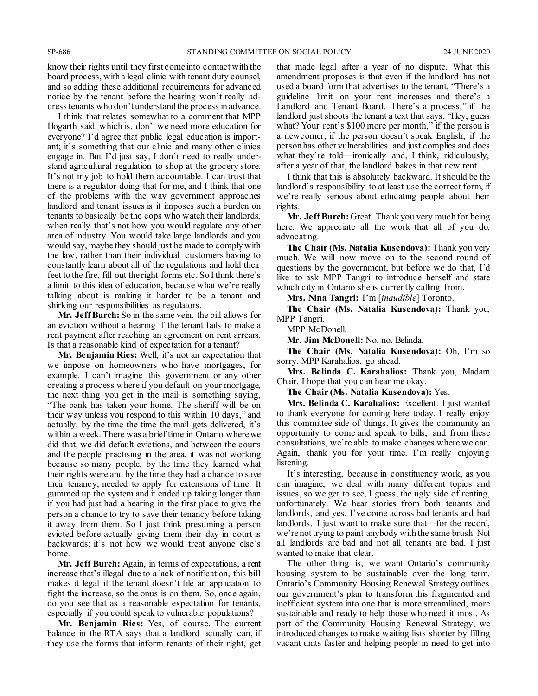know their rights until they first come into contact with the board process, with a legal clinic with tenant duty counsel, and so adding these additional requirements for advanced notice by the tenant before the hearing won't really address tenants who don't understand the process in advance.

I think that relates somewhat to a comment that MPP Hogarth said, which is, don't we need more education for everyone? I'd agree that public legal education is important; it's something that our clinic and many other clinics engage in. But I'd just say, I don't need to really understand agricultural regulation to shop at the grocery store. It's not my job to hold them accountable. I can trust that there is a regulator doing that for me, and I think that one of the problems with the way government approaches landlord and tenant issues is it imposes such a burden on tenants to basically be the cops who watch their landlords, when really that's not how you would regulate any other area of industry. You would take large landlords and you would say, maybe they should just be made to comply with the law, rather than their individual customers having to constantly learn about all of the regulations and hold their feet to the fire, fill out the right forms etc. So I think there's a limit to this idea of education, because what we're really talking about is making it harder to be a tenant and shirking our responsibilities as regulators.

**Mr. JeffBurch:** So in the same vein, the bill allows for an eviction without a hearing if the tenant fails to make a rent payment after reaching an agreement on rent arrears. Is that a reasonable kind of expectation for a tenant?

**Mr. Benjamin Ries:** Well, it's not an expectation that we impose on homeowners who have mortgages, for example. I can't imagine this government or any other creating a process where if you default on your mortgage, the next thing you get in the mail is something saying, "The bank has taken your home. The sheriff will be on their way unless you respond to this within 10 days," and actually, by the time the time the mail gets delivered, it's within a week. There was a brief time in Ontario where we did that, we did default evictions, and between the courts and the people practising in the area, it was not working because so many people, by the time they learned what their rights were and by the time they had a chance to save their tenancy, needed to apply for extensions of time. It gummed up the system and it ended up taking longer than if you had just had a hearing in the first place to give the person a chance to try to save their tenancy before taking it away from them. So I just think presuming a person evicted before actually giving them their day in court is backwards; it's not how we would treat anyone else's home.

**Mr. Jeff Burch:** Again, in terms of expectations, a rent increase that's illegal due to a lack of notification, this bill makes it legal if the tenant doesn't file an application to fight the increase, so the onus is on them. So, once again, do you see that as a reasonable expectation for tenants, especially if you could speak to vulnerable populations?

**Mr. Benjamin Ries:** Yes, of course. The current balance in the RTA says that a landlord actually can, if they use the forms that inform tenants of their right, get that made legal after a year of no dispute. What this amendment proposes is that even if the landlord has not used a board form that advertises to the tenant, "There's a guideline limit on your rent increases and there's a Landlord and Tenant Board. There's a process," if the landlord just shoots the tenant a text that says, "Hey, guess what? Your rent's \$100 more per month," if the person is a newcomer, if the person doesn't speak English, if the person has other vulnerabilities and just complies and does what they're told—ironically and, I think, ridiculously, after a year of that, the landlord bakes in that new rent.

I think that this is absolutely backward. It should be the landlord's responsibility to at least use the correct form, if we're really serious about educating people about their rights.

**Mr. Jeff Burch:** Great. Thank you very much for being here. We appreciate all the work that all of you do, advocating.

**The Chair (Ms. Natalia Kusendova):** Thank you very much. We will now move on to the second round of questions by the government, but before we do that, I'd like to ask MPP Tangri to introduce herself and state which city in Ontario she is currently calling from.

**Mrs. Nina Tangri:** I'm [*inaudible*] Toronto.

**The Chair (Ms. Natalia Kusendova):** Thank you, MPP Tangri.

MPP McDonell.

**Mr. Jim McDonell:** No, no. Belinda.

**The Chair (Ms. Natalia Kusendova):** Oh, I'm so sorry. MPP Karahalios, go ahead.

**Mrs. Belinda C. Karahalios:** Thank you, Madam Chair. I hope that you can hear me okay.

**The Chair (Ms. Natalia Kusendova):** Yes.

**Mrs. Belinda C. Karahalios:** Excellent. I just wanted to thank everyone for coming here today. I really enjoy this committee side of things. It gives the community an opportunity to come and speak to bills, and from these consultations, we're able to make changes where we can. Again, thank you for your time. I'm really enjoying listening.

It's interesting, because in constituency work, as you can imagine, we deal with many different topics and issues, so we get to see, I guess, the ugly side of renting, unfortunately. We hear stories from both tenants and landlords, and yes, I've come across bad tenants and bad landlords. I just want to make sure that—for the record, we're not trying to paint anybody with the same brush. Not all landlords are bad and not all tenants are bad. I just wanted to make that clear.

The other thing is, we want Ontario's community housing system to be sustainable over the long term. Ontario's Community Housing Renewal Strategy outlines our government's plan to transform this fragmented and inefficient system into one that is more streamlined, more sustainable and ready to help those who need it most. As part of the Community Housing Renewal Strategy, we introduced changes to make waiting lists shorter by filling vacant units faster and helping people in need to get into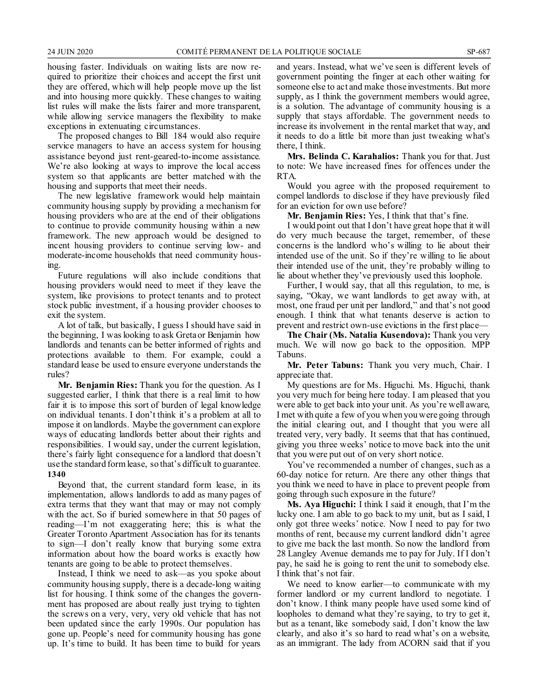housing faster. Individuals on waiting lists are now required to prioritize their choices and accept the first unit they are offered, which will help people move up the list and into housing more quickly. These changes to waiting list rules will make the lists fairer and more transparent, while allowing service managers the flexibility to make exceptions in extenuating circumstances.

The proposed changes to Bill 184 would also require service managers to have an access system for housing assistance beyond just rent-geared-to-income assistance. We're also looking at ways to improve the local access system so that applicants are better matched with the housing and supports that meet their needs.

The new legislative framework would help maintain community housing supply by providing a mechanism for housing providers who are at the end of their obligations to continue to provide community housing within a new framework. The new approach would be designed to incent housing providers to continue serving low- and moderate-income households that need community housing.

Future regulations will also include conditions that housing providers would need to meet if they leave the system, like provisions to protect tenants and to protect stock public investment, if a housing provider chooses to exit the system.

A lot of talk, but basically, I guess I should have said in the beginning, I was looking to ask Greta or Benjamin how landlords and tenants can be better informed of rights and protections available to them. For example, could a standard lease be used to ensure everyone understands the rules?

**Mr. Benjamin Ries:** Thank you for the question. As I suggested earlier, I think that there is a real limit to how fair it is to impose this sort of burden of legal knowledge on individual tenants. I don't think it's a problem at all to impose it on landlords. Maybe the government can explore ways of educating landlords better about their rights and responsibilities. I would say, under the current legislation, there's fairly light consequence for a landlord that doesn't use the standard form lease, so that's difficult to guarantee. **1340**

Beyond that, the current standard form lease, in its implementation, allows landlords to add as many pages of extra terms that they want that may or may not comply with the act. So if buried somewhere in that 50 pages of reading—I'm not exaggerating here; this is what the Greater Toronto Apartment Association has for its tenants to sign—I don't really know that burying some extra information about how the board works is exactly how tenants are going to be able to protect themselves.

Instead, I think we need to ask—as you spoke about community housing supply, there is a decade-long waiting list for housing. I think some of the changes the government has proposed are about really just trying to tighten the screws on a very, very, very old vehicle that has not been updated since the early 1990s. Our population has gone up. People's need for community housing has gone up. It's time to build. It has been time to build for years and years. Instead, what we've seen is different levels of government pointing the finger at each other waiting for someone else to act and make those investments. But more supply, as I think the government members would agree, is a solution. The advantage of community housing is a supply that stays affordable. The government needs to increase its involvement in the rental market that way, and it needs to do a little bit more than just tweaking what's there, I think.

**Mrs. Belinda C. Karahalios:** Thank you for that. Just to note: We have increased fines for offences under the RTA.

Would you agree with the proposed requirement to compel landlords to disclose if they have previously filed for an eviction for own use before?

**Mr. Benjamin Ries:** Yes, I think that that's fine.

I would point out that I don't have great hope that it will do very much because the target, remember, of these concerns is the landlord who's willing to lie about their intended use of the unit. So if they're willing to lie about their intended use of the unit, they're probably willing to lie about whether they've previously used this loophole.

Further, I would say, that all this regulation, to me, is saying, "Okay, we want landlords to get away with, at most, one fraud per unit per landlord," and that's not good enough. I think that what tenants deserve is action to prevent and restrict own-use evictions in the first place—

**The Chair (Ms. Natalia Kusendova):** Thank you very much. We will now go back to the opposition. MPP Tabuns.

**Mr. Peter Tabuns:** Thank you very much, Chair. I appreciate that.

My questions are for Ms. Higuchi. Ms. Higuchi, thank you very much for being here today. I am pleased that you were able to get back into your unit. As you're well aware, I met with quite a few of you when you were going through the initial clearing out, and I thought that you were all treated very, very badly. It seems that that has continued, giving you three weeks' notice to move back into the unit that you were put out of on very short notice.

You've recommended a number of changes, such as a 60-day notice for return. Are there any other things that you think we need to have in place to prevent people from going through such exposure in the future?

**Ms. Aya Higuchi:** I think I said it enough, that I'm the lucky one. I am able to go back to my unit, but as I said, I only got three weeks' notice. Now I need to pay for two months of rent, because my current landlord didn't agree to give me back the last month. So now the landlord from 28 Langley Avenue demands me to pay for July. If I don't pay, he said he is going to rent the unit to somebody else. I think that's not fair.

We need to know earlier—to communicate with my former landlord or my current landlord to negotiate. I don't know. I think many people have used some kind of loopholes to demand what they're saying, to try to get it, but as a tenant, like somebody said, I don't know the law clearly, and also it's so hard to read what's on a website, as an immigrant. The lady from ACORN said that if you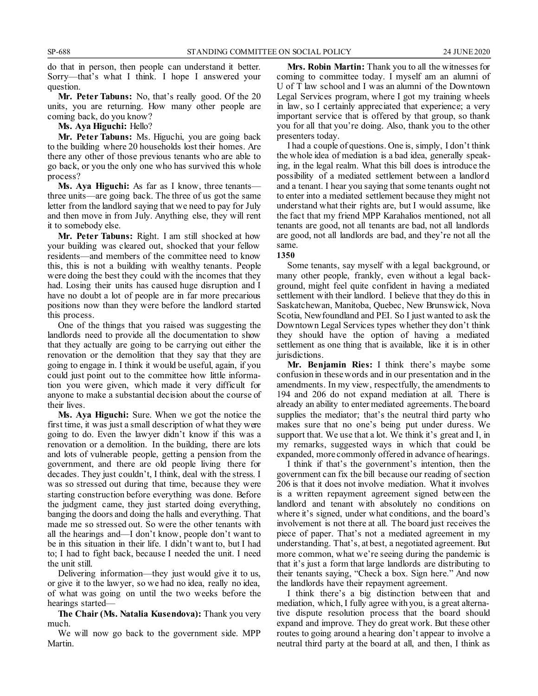do that in person, then people can understand it better. Sorry—that's what I think. I hope I answered your question.

**Mr. Peter Tabuns:** No, that's really good. Of the 20 units, you are returning. How many other people are coming back, do you know?

**Ms. Aya Higuchi:** Hello?

**Mr. Peter Tabuns:** Ms. Higuchi, you are going back to the building where 20 households lost their homes. Are there any other of those previous tenants who are able to go back, or you the only one who has survived this whole process?

**Ms. Aya Higuchi:** As far as I know, three tenants three units—are going back. The three of us got the same letter from the landlord saying that we need to pay for July and then move in from July. Anything else, they will rent it to somebody else.

**Mr. Peter Tabuns:** Right. I am still shocked at how your building was cleared out, shocked that your fellow residents—and members of the committee need to know this, this is not a building with wealthy tenants. People were doing the best they could with the incomes that they had. Losing their units has caused huge disruption and I have no doubt a lot of people are in far more precarious positions now than they were before the landlord started this process.

One of the things that you raised was suggesting the landlords need to provide all the documentation to show that they actually are going to be carrying out either the renovation or the demolition that they say that they are going to engage in. I think it would be useful, again, if you could just point out to the committee how little information you were given, which made it very difficult for anyone to make a substantial decision about the course of their lives.

**Ms. Aya Higuchi:** Sure. When we got the notice the first time, it was just a small description of what they were going to do. Even the lawyer didn't know if this was a renovation or a demolition. In the building, there are lots and lots of vulnerable people, getting a pension from the government, and there are old people living there for decades. They just couldn't, I think, deal with the stress. I was so stressed out during that time, because they were starting construction before everything was done. Before the judgment came, they just started doing everything, banging the doors and doing the halls and everything. That made me so stressed out. So were the other tenants with all the hearings and—I don't know, people don't want to be in this situation in their life. I didn't want to, but I had to; I had to fight back, because I needed the unit. I need the unit still.

Delivering information—they just would give it to us, or give it to the lawyer, so we had no idea, really no idea, of what was going on until the two weeks before the hearings started—

**The Chair (Ms. Natalia Kusendova):** Thank you very much.

We will now go back to the government side. MPP Martin.

**Mrs. Robin Martin:** Thank you to all the witnesses for coming to committee today. I myself am an alumni of U of T law school and I was an alumni of the Downtown Legal Services program, where I got my training wheels in law, so I certainly appreciated that experience; a very important service that is offered by that group, so thank you for all that you're doing. Also, thank you to the other presenters today.

I had a couple of questions. One is, simply, I don't think the whole idea of mediation is a bad idea, generally speaking, in the legal realm. What this bill does is introduce the possibility of a mediated settlement between a landlord and a tenant. I hear you saying that some tenants ought not to enter into a mediated settlement because they might not understand what their rights are, but I would assume, like the fact that my friend MPP Karahalios mentioned, not all tenants are good, not all tenants are bad, not all landlords are good, not all landlords are bad, and they're not all the same.

**1350**

Some tenants, say myself with a legal background, or many other people, frankly, even without a legal background, might feel quite confident in having a mediated settlement with their landlord. I believe that they do this in Saskatchewan, Manitoba, Quebec, New Brunswick, Nova Scotia, Newfoundland and PEI. So I just wanted to ask the Downtown Legal Services types whether they don't think they should have the option of having a mediated settlement as one thing that is available, like it is in other jurisdictions.

**Mr. Benjamin Ries:** I think there's maybe some confusion in these words and in our presentation and in the amendments. In my view, respectfully, the amendments to 194 and 206 do not expand mediation at all. There is already an ability to enter mediated agreements. The board supplies the mediator; that's the neutral third party who makes sure that no one's being put under duress. We support that. We use that a lot. We think it's great and I, in my remarks, suggested ways in which that could be expanded, more commonly offered in advance of hearings.

I think if that's the government's intention, then the government can fix the bill because our reading of section 206 is that it does not involve mediation. What it involves is a written repayment agreement signed between the landlord and tenant with absolutely no conditions on where it's signed, under what conditions, and the board's involvement is not there at all. The board just receives the piece of paper. That's not a mediated agreement in my understanding. That's, at best, a negotiated agreement. But more common, what we're seeing during the pandemic is that it's just a form that large landlords are distributing to their tenants saying, "Check a box. Sign here." And now the landlords have their repayment agreement.

I think there's a big distinction between that and mediation, which, I fully agree with you, is a great alternative dispute resolution process that the board should expand and improve. They do great work. But these other routes to going around a hearing don't appear to involve a neutral third party at the board at all, and then, I think as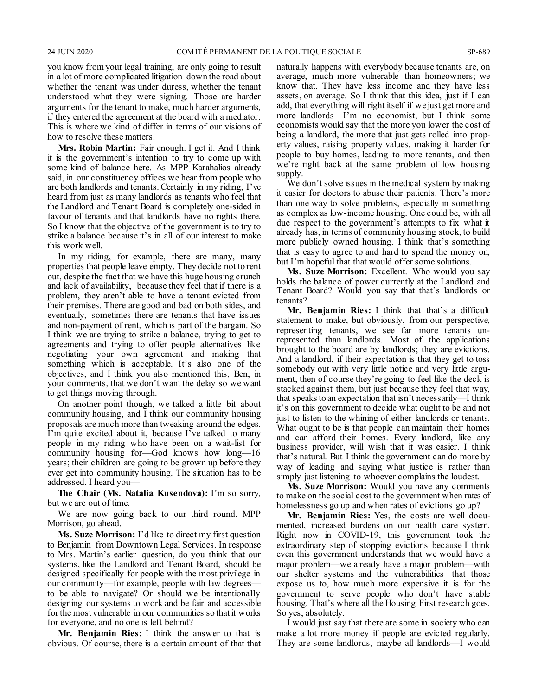you know from your legal training, are only going to result in a lot of more complicated litigation down the road about whether the tenant was under duress, whether the tenant understood what they were signing. Those are harder arguments for the tenant to make, much harder arguments, if they entered the agreement at the board with a mediator. This is where we kind of differ in terms of our visions of how to resolve these matters.

**Mrs. Robin Martin:** Fair enough. I get it. And I think it is the government's intention to try to come up with some kind of balance here. As MPP Karahalios already said, in our constituency offices we hear from people who are both landlords and tenants. Certainly in my riding, I've heard from just as many landlords as tenants who feel that the Landlord and Tenant Board is completely one-sided in favour of tenants and that landlords have no rights there. So I know that the objective of the government is to try to strike a balance because it's in all of our interest to make this work well.

In my riding, for example, there are many, many properties that people leave empty. They decide not to rent out, despite the fact that we have this huge housing crunch and lack of availability, because they feel that if there is a problem, they aren't able to have a tenant evicted from their premises. There are good and bad on both sides, and eventually, sometimes there are tenants that have issues and non-payment of rent, which is part of the bargain. So I think we are trying to strike a balance, trying to get to agreements and trying to offer people alternatives like negotiating your own agreement and making that something which is acceptable. It's also one of the objectives, and I think you also mentioned this, Ben, in your comments, that we don't want the delay so we want to get things moving through.

On another point though, we talked a little bit about community housing, and I think our community housing proposals are much more than tweaking around the edges. I'm quite excited about it, because I've talked to many people in my riding who have been on a wait-list for community housing for—God knows how long—16 years; their children are going to be grown up before they ever get into community housing. The situation has to be addressed. I heard you—

**The Chair (Ms. Natalia Kusendova):** I'm so sorry, but we are out of time.

We are now going back to our third round. MPP Morrison, go ahead.

**Ms. Suze Morrison:** I'd like to direct my first question to Benjamin from Downtown Legal Services. In response to Mrs. Martin's earlier question, do you think that our systems, like the Landlord and Tenant Board, should be designed specifically for people with the most privilege in our community—for example, people with law degrees to be able to navigate? Or should we be intentionally designing our systems to work and be fair and accessible for the most vulnerable in our communities so that it works for everyone, and no one is left behind?

**Mr. Benjamin Ries:** I think the answer to that is obvious. Of course, there is a certain amount of that that naturally happens with everybody because tenants are, on average, much more vulnerable than homeowners; we know that. They have less income and they have less assets, on average. So I think that this idea, just if I can add, that everything will right itself if we just get more and more landlords—I'm no economist, but I think some economists would say that the more you lower the cost of being a landlord, the more that just gets rolled into property values, raising property values, making it harder for people to buy homes, leading to more tenants, and then we're right back at the same problem of low housing supply.

We don't solve issues in the medical system by making it easier for doctors to abuse their patients. There's more than one way to solve problems, especially in something as complex as low-income housing. One could be, with all due respect to the government's attempts to fix what it already has, in terms of community housing stock, to build more publicly owned housing. I think that's something that is easy to agree to and hard to spend the money on, but I'm hopeful that that would offer some solutions.

**Ms. Suze Morrison:** Excellent. Who would you say holds the balance of power currently at the Landlord and Tenant Board? Would you say that that's landlords or tenants?

**Mr. Benjamin Ries:** I think that that's a difficult statement to make, but obviously, from our perspective, representing tenants, we see far more tenants unrepresented than landlords. Most of the applications brought to the board are by landlords; they are evictions. And a landlord, if their expectation is that they get to toss somebody out with very little notice and very little argument, then of course they're going to feel like the deck is stacked against them, but just because they feel that way, that speaks to an expectation that isn't necessarily—I think it's on this government to decide what ought to be and not just to listen to the whining of either landlords or tenants. What ought to be is that people can maintain their homes and can afford their homes. Every landlord, like any business provider, will wish that it was easier. I think that's natural. But I think the government can do more by way of leading and saying what justice is rather than simply just listening to whoever complains the loudest.

**Ms. Suze Morrison:** Would you have any comments to make on the social cost to the government when rates of homelessness go up and when rates of evictions go up?

**Mr. Benjamin Ries:** Yes, the costs are well documented, increased burdens on our health care system. Right now in COVID-19, this government took the extraordinary step of stopping evictions because I think even this government understands that we would have a major problem—we already have a major problem—with our shelter systems and the vulnerabilities that those expose us to, how much more expensive it is for the government to serve people who don't have stable housing. That's where all the Housing First research goes. So yes, absolutely.

I would just say that there are some in society who can make a lot more money if people are evicted regularly. They are some landlords, maybe all landlords—I would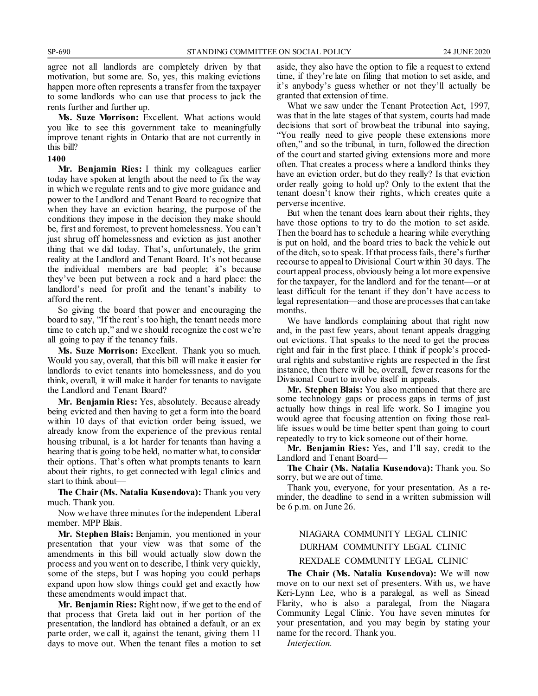agree not all landlords are completely driven by that motivation, but some are. So, yes, this making evictions happen more often represents a transfer from the taxpayer to some landlords who can use that process to jack the rents further and further up.

**Ms. Suze Morrison:** Excellent. What actions would you like to see this government take to meaningfully improve tenant rights in Ontario that are not currently in this bill?

#### **1400**

**Mr. Benjamin Ries:** I think my colleagues earlier today have spoken at length about the need to fix the way in which we regulate rents and to give more guidance and power to the Landlord and Tenant Board to recognize that when they have an eviction hearing, the purpose of the conditions they impose in the decision they make should be, first and foremost, to prevent homelessness. You can't just shrug off homelessness and eviction as just another thing that we did today. That's, unfortunately, the grim reality at the Landlord and Tenant Board. It's not because the individual members are bad people; it's because they've been put between a rock and a hard place: the landlord's need for profit and the tenant's inability to afford the rent.

So giving the board that power and encouraging the board to say, "If the rent's too high, the tenant needs more time to catch up," and we should recognize the cost we're all going to pay if the tenancy fails.

**Ms. Suze Morrison:** Excellent. Thank you so much. Would you say, overall, that this bill will make it easier for landlords to evict tenants into homelessness, and do you think, overall, it will make it harder for tenants to navigate the Landlord and Tenant Board?

**Mr. Benjamin Ries:** Yes, absolutely. Because already being evicted and then having to get a form into the board within 10 days of that eviction order being issued, we already know from the experience of the previous rental housing tribunal, is a lot harder for tenants than having a hearing that is going to be held, no matter what, to consider their options. That's often what prompts tenants to learn about their rights, to get connected with legal clinics and start to think about—

**The Chair (Ms. Natalia Kusendova):** Thank you very much. Thank you.

Now we have three minutes for the independent Liberal member. MPP Blais.

**Mr. Stephen Blais:** Benjamin, you mentioned in your presentation that your view was that some of the amendments in this bill would actually slow down the process and you went on to describe, I think very quickly, some of the steps, but I was hoping you could perhaps expand upon how slow things could get and exactly how these amendments would impact that.

**Mr. Benjamin Ries:** Right now, if we get to the end of that process that Greta laid out in her portion of the presentation, the landlord has obtained a default, or an ex parte order, we call it, against the tenant, giving them 11 days to move out. When the tenant files a motion to set

aside, they also have the option to file a request to extend time, if they're late on filing that motion to set aside, and it's anybody's guess whether or not they'll actually be granted that extension of time.

What we saw under the Tenant Protection Act, 1997, was that in the late stages of that system, courts had made decisions that sort of browbeat the tribunal into saying, "You really need to give people these extensions more often," and so the tribunal, in turn, followed the direction of the court and started giving extensions more and more often. That creates a process where a landlord thinks they have an eviction order, but do they really? Is that eviction order really going to hold up? Only to the extent that the tenant doesn't know their rights, which creates quite a perverse incentive.

But when the tenant does learn about their rights, they have those options to try to do the motion to set aside. Then the board has to schedule a hearing while everything is put on hold, and the board tries to back the vehicle out of the ditch, so to speak. If that process fails, there's further recourse to appeal to Divisional Court within 30 days. The court appeal process, obviously being a lot more expensive for the taxpayer, for the landlord and for the tenant—or at least difficult for the tenant if they don't have access to legal representation—and those are processes that can take months.

We have landlords complaining about that right now and, in the past few years, about tenant appeals dragging out evictions. That speaks to the need to get the process right and fair in the first place. I think if people's procedural rights and substantive rights are respected in the first instance, then there will be, overall, fewer reasons for the Divisional Court to involve itself in appeals.

**Mr. Stephen Blais:** You also mentioned that there are some technology gaps or process gaps in terms of just actually how things in real life work. So I imagine you would agree that focusing attention on fixing those reallife issues would be time better spent than going to court repeatedly to try to kick someone out of their home.

**Mr. Benjamin Ries:** Yes, and I'll say, credit to the Landlord and Tenant Board—

**The Chair (Ms. Natalia Kusendova):** Thank you. So sorry, but we are out of time.

Thank you, everyone, for your presentation. As a reminder, the deadline to send in a written submission will be 6 p.m. on June 26.

### NIAGARA COMMUNITY LEGAL CLINIC DURHAM COMMUNITY LEGAL CLINIC REXDALE COMMUNITY LEGAL CLINIC

**The Chair (Ms. Natalia Kusendova):** We will now move on to our next set of presenters. With us, we have Keri-Lynn Lee, who is a paralegal, as well as Sinead Flarity, who is also a paralegal, from the Niagara Community Legal Clinic. You have seven minutes for your presentation, and you may begin by stating your name for the record. Thank you.

*Interjection.*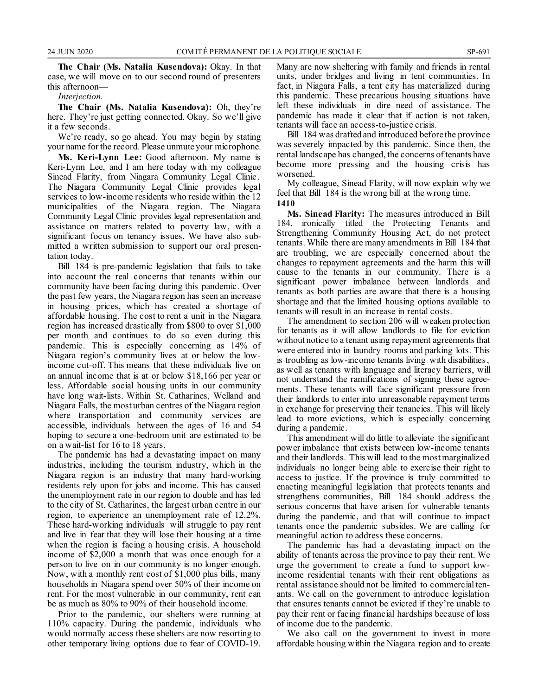**The Chair (Ms. Natalia Kusendova):** Okay. In that case, we will move on to our second round of presenters this afternoon—

*Interjection.*

**The Chair (Ms. Natalia Kusendova):** Oh, they're here. They're just getting connected. Okay. So we'll give it a few seconds.

We're ready, so go ahead. You may begin by stating your name for the record. Please unmute your microphone.

**Ms. Keri-Lynn Lee:** Good afternoon. My name is Keri-Lynn Lee, and I am here today with my colleague Sinead Flarity, from Niagara Community Legal Clinic . The Niagara Community Legal Clinic provides legal services to low-income residents who reside within the 12 municipalities of the Niagara region. The Niagara Community Legal Clinic provides legal representation and assistance on matters related to poverty law, with a significant focus on tenancy issues. We have also submitted a written submission to support our oral presentation today.

Bill 184 is pre-pandemic legislation that fails to take into account the real concerns that tenants within our community have been facing during this pandemic. Over the past few years, the Niagara region has seen an increase in housing prices, which has created a shortage of affordable housing. The cost to rent a unit in the Niagara region has increased drastically from \$800 to over \$1,000 per month and continues to do so even during this pandemic. This is especially concerning as 14% of Niagara region's community lives at or below the lowincome cut-off. This means that these individuals live on an annual income that is at or below \$18,166 per year or less. Affordable social housing units in our community have long wait-lists. Within St. Catharines, Welland and Niagara Falls, the most urban centres of the Niagara region where transportation and community services are accessible, individuals between the ages of 16 and 54 hoping to secure a one-bedroom unit are estimated to be on a wait-list for 16 to 18 years.

The pandemic has had a devastating impact on many industries, including the tourism industry, which in the Niagara region is an industry that many hard-working residents rely upon for jobs and income. This has caused the unemployment rate in our region to double and has led to the city of St. Catharines, the largest urban centre in our region, to experience an unemployment rate of 12.2%. These hard-working individuals will struggle to pay rent and live in fear that they will lose their housing at a time when the region is facing a housing crisis. A household income of \$2,000 a month that was once enough for a person to live on in our community is no longer enough. Now, with a monthly rent cost of \$1,000 plus bills, many households in Niagara spend over 50% of their income on rent. For the most vulnerable in our community, rent can be as much as 80% to 90% of their household income.

Prior to the pandemic, our shelters were running at 110% capacity. During the pandemic, individuals who would normally access these shelters are now resorting to other temporary living options due to fear of COVID-19. Many are now sheltering with family and friends in rental units, under bridges and living in tent communities. In fact, in Niagara Falls, a tent city has materialized during this pandemic. These precarious housing situations have left these individuals in dire need of assistance. The pandemic has made it clear that if action is not taken, tenants will face an access-to-justice crisis.

Bill 184 was drafted and introduced before the province was severely impacted by this pandemic. Since then, the rental landscape has changed, the concerns of tenants have become more pressing and the housing crisis has worsened.

My colleague, Sinead Flarity, will now explain why we feel that Bill 184 is the wrong bill at the wrong time. **1410**

**Ms. Sinead Flarity:** The measures introduced in Bill 184, ironically titled the Protecting Tenants and Strengthening Community Housing Act, do not protect tenants. While there are many amendments in Bill 184 that are troubling, we are especially concerned about the changes to repayment agreements and the harm this will cause to the tenants in our community. There is a significant power imbalance between landlords and tenants as both parties are aware that there is a housing shortage and that the limited housing options available to tenants will result in an increase in rental costs.

The amendment to section 206 will weaken protection for tenants as it will allow landlords to file for eviction without notice to a tenant using repayment agreements that were entered into in laundry rooms and parking lots. This is troubling as low-income tenants living with disabilities, as well as tenants with language and literacy barriers, will not understand the ramifications of signing these agreements. These tenants will face significant pressure from their landlords to enter into unreasonable repayment terms in exchange for preserving their tenancies. This will likely lead to more evictions, which is especially concerning during a pandemic.

This amendment will do little to alleviate the significant power imbalance that exists between low-income tenants and their landlords. This will lead to the most marginalized individuals no longer being able to exercise their right to access to justice. If the province is truly committed to enacting meaningful legislation that protects tenants and strengthens communities, Bill 184 should address the serious concerns that have arisen for vulnerable tenants during the pandemic, and that will continue to impact tenants once the pandemic subsides. We are calling for meaningful action to address these concerns.

The pandemic has had a devastating impact on the ability of tenants across the province to pay their rent. We urge the government to create a fund to support lowincome residential tenants with their rent obligations as rental assistance should not be limited to commercial tenants. We call on the government to introduce legislation that ensures tenants cannot be evicted if they're unable to pay their rent or facing financial hardships because of loss of income due to the pandemic.

We also call on the government to invest in more affordable housing within the Niagara region and to create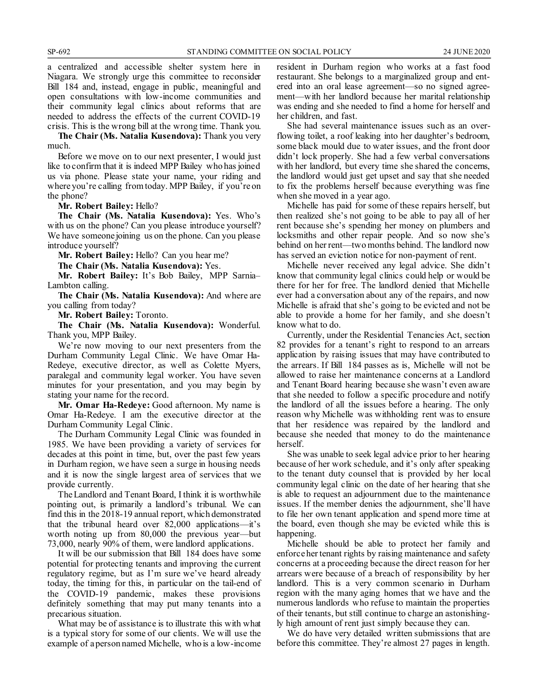a centralized and accessible shelter system here in Niagara. We strongly urge this committee to reconsider Bill 184 and, instead, engage in public, meaningful and open consultations with low-income communities and their community legal clinics about reforms that are needed to address the effects of the current COVID-19 crisis. This is the wrong bill at the wrong time. Thank you.

**The Chair (Ms. Natalia Kusendova):** Thank you very much.

Before we move on to our next presenter, I would just like to confirm that it is indeed MPP Bailey who has joined us via phone. Please state your name, your riding and where you're calling from today. MPP Bailey, if you're on the phone?

**Mr. Robert Bailey:** Hello?

**The Chair (Ms. Natalia Kusendova):** Yes. Who's with us on the phone? Can you please introduce yourself? We have someone joining us on the phone. Can you please introduce yourself?

**Mr. Robert Bailey:** Hello? Can you hear me?

**The Chair (Ms. Natalia Kusendova):** Yes.

**Mr. Robert Bailey:** It's Bob Bailey, MPP Sarnia– Lambton calling.

**The Chair (Ms. Natalia Kusendova):** And where are you calling from today?

**Mr. Robert Bailey:** Toronto.

**The Chair (Ms. Natalia Kusendova):** Wonderful. Thank you, MPP Bailey.

We're now moving to our next presenters from the Durham Community Legal Clinic. We have Omar Ha-Redeye, executive director, as well as Colette Myers, paralegal and community legal worker. You have seven minutes for your presentation, and you may begin by stating your name for the record.

**Mr. Omar Ha-Redeye:** Good afternoon. My name is Omar Ha-Redeye. I am the executive director at the Durham Community Legal Clinic.

The Durham Community Legal Clinic was founded in 1985. We have been providing a variety of services for decades at this point in time, but, over the past few years in Durham region, we have seen a surge in housing needs and it is now the single largest area of services that we provide currently.

The Landlord and Tenant Board, I think it is worthwhile pointing out, is primarily a landlord's tribunal. We can find this in the 2018-19 annual report, which demonstrated that the tribunal heard over 82,000 applications—it's worth noting up from 80,000 the previous year—but 73,000, nearly 90% of them, were landlord applications.

It will be our submission that Bill 184 does have some potential for protecting tenants and improving the current regulatory regime, but as I'm sure we've heard already today, the timing for this, in particular on the tail-end of the COVID-19 pandemic, makes these provisions definitely something that may put many tenants into a precarious situation.

What may be of assistance is to illustrate this with what is a typical story for some of our clients. We will use the example of a person named Michelle, who is a low-income resident in Durham region who works at a fast food restaurant. She belongs to a marginalized group and entered into an oral lease agreement—so no signed agreement—with her landlord because her marital relationship was ending and she needed to find a home for herself and her children, and fast.

She had several maintenance issues such as an overflowing toilet, a roof leaking into her daughter's bedroom, some black mould due to water issues, and the front door didn't lock properly. She had a few verbal conversations with her landlord, but every time she shared the concerns, the landlord would just get upset and say that she needed to fix the problems herself because everything was fine when she moved in a year ago.

Michelle has paid for some of these repairs herself, but then realized she's not going to be able to pay all of her rent because she's spending her money on plumbers and locksmiths and other repair people. And so now she's behind on her rent—two months behind. The landlord now has served an eviction notice for non-payment of rent.

Michelle never received any legal advice. She didn't know that community legal clinics could help or would be there for her for free. The landlord denied that Michelle ever had a conversation about any of the repairs, and now Michelle is afraid that she's going to be evicted and not be able to provide a home for her family, and she doesn't know what to do.

Currently, under the Residential Tenancies Act, section 82 provides for a tenant's right to respond to an arrears application by raising issues that may have contributed to the arrears. If Bill 184 passes as is, Michelle will not be allowed to raise her maintenance concerns at a Landlord and Tenant Board hearing because she wasn't even aware that she needed to follow a specific procedure and notify the landlord of all the issues before a hearing. The only reason why Michelle was withholding rent was to ensure that her residence was repaired by the landlord and because she needed that money to do the maintenance herself.

She was unable to seek legal advice prior to her hearing because of her work schedule, and it's only after speaking to the tenant duty counsel that is provided by her local community legal clinic on the date of her hearing that she is able to request an adjournment due to the maintenance issues. If the member denies the adjournment, she'll have to file her own tenant application and spend more time at the board, even though she may be evicted while this is happening.

Michelle should be able to protect her family and enforce her tenant rights by raising maintenance and safety concerns at a proceeding because the direct reason for her arrears were because of a breach of responsibility by her landlord. This is a very common scenario in Durham region with the many aging homes that we have and the numerous landlords who refuse to maintain the properties of their tenants, but still continue to charge an astonishingly high amount of rent just simply because they can.

We do have very detailed written submissions that are before this committee. They're almost 27 pages in length.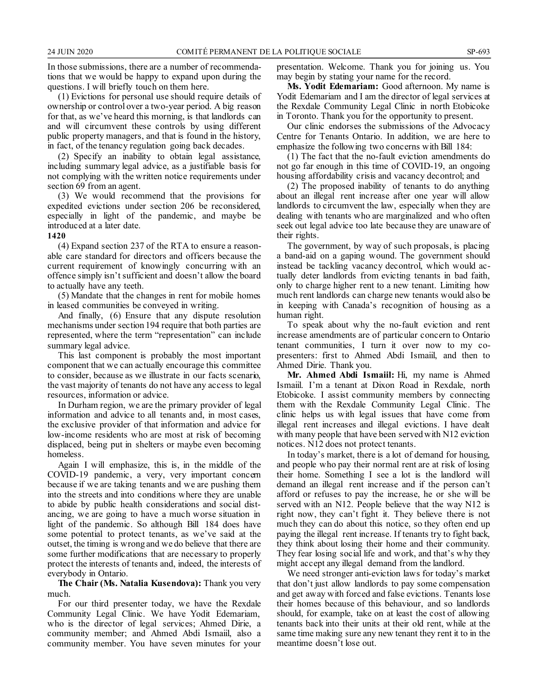In those submissions, there are a number of recommendations that we would be happy to expand upon during the questions. I will briefly touch on them here.

(1) Evictions for personal use should require details of ownership or control over a two-year period. A big reason for that, as we've heard this morning, is that landlords can and will circumvent these controls by using different public property managers, and that is found in the history, in fact, of the tenancy regulation going back decades.

(2) Specify an inability to obtain legal assistance, including summary legal advice, as a justifiable basis for not complying with the written notice requirements under section 69 from an agent.

(3) We would recommend that the provisions for expedited evictions under section 206 be reconsidered, especially in light of the pandemic, and maybe be introduced at a later date.

#### **1420**

(4) Expand section 237 of the RTA to ensure a reasonable care standard for directors and officers because the current requirement of knowingly concurring with an offence simply isn't sufficient and doesn't allow the board to actually have any teeth.

(5) Mandate that the changes in rent for mobile homes in leased communities be conveyed in writing.

And finally, (6) Ensure that any dispute resolution mechanisms under section 194 require that both parties are represented, where the term "representation" can include summary legal advice.

This last component is probably the most important component that we can actually encourage this committee to consider, because as we illustrate in our facts scenario, the vast majority of tenants do not have any access to legal resources, information or advice.

In Durham region, we are the primary provider of legal information and advice to all tenants and, in most cases, the exclusive provider of that information and advice for low-income residents who are most at risk of becoming displaced, being put in shelters or maybe even becoming homeless.

Again I will emphasize, this is, in the middle of the COVID-19 pandemic, a very, very important concern because if we are taking tenants and we are pushing them into the streets and into conditions where they are unable to abide by public health considerations and social distancing, we are going to have a much worse situation in light of the pandemic. So although Bill 184 does have some potential to protect tenants, as we've said at the outset, the timing is wrong and we do believe that there are some further modifications that are necessary to properly protect the interests of tenants and, indeed, the interests of everybody in Ontario.

**The Chair (Ms. Natalia Kusendova):** Thank you very much.

For our third presenter today, we have the Rexdale Community Legal Clinic. We have Yodit Edemariam, who is the director of legal services; Ahmed Dirie, a community member; and Ahmed Abdi Ismaiil, also a community member. You have seven minutes for your presentation. Welcome. Thank you for joining us. You may begin by stating your name for the record.

**Ms. Yodit Edemariam:** Good afternoon. My name is Yodit Edemariam and I am the director of legal services at the Rexdale Community Legal Clinic in north Etobicoke in Toronto. Thank you for the opportunity to present.

Our clinic endorses the submissions of the Advocacy Centre for Tenants Ontario. In addition, we are here to emphasize the following two concerns with Bill 184:

(1) The fact that the no-fault eviction amendments do not go far enough in this time of COVID-19, an ongoing housing affordability crisis and vacancy decontrol; and

(2) The proposed inability of tenants to do anything about an illegal rent increase after one year will allow landlords to circumvent the law, especially when they are dealing with tenants who are marginalized and who often seek out legal advice too late because they are unaware of their rights.

The government, by way of such proposals, is placing a band-aid on a gaping wound. The government should instead be tackling vacancy decontrol, which would actually deter landlords from evicting tenants in bad faith, only to charge higher rent to a new tenant. Limiting how much rent landlords can charge new tenants would also be in keeping with Canada's recognition of housing as a human right.

To speak about why the no-fault eviction and rent increase amendments are of particular concern to Ontario tenant communities, I turn it over now to my copresenters: first to Ahmed Abdi Ismaiil, and then to Ahmed Dirie. Thank you.

**Mr. Ahmed Abdi Ismaiil:** Hi, my name is Ahmed Ismaiil. I'm a tenant at Dixon Road in Rexdale, north Etobicoke. I assist community members by connecting them with the Rexdale Community Legal Clinic. The clinic helps us with legal issues that have come from illegal rent increases and illegal evictions. I have dealt with many people that have been served with N12 eviction notices. N12 does not protect tenants.

In today's market, there is a lot of demand for housing, and people who pay their normal rent are at risk of losing their home. Something I see a lot is the landlord will demand an illegal rent increase and if the person can't afford or refuses to pay the increase, he or she will be served with an N12. People believe that the way N12 is right now, they can't fight it. They believe there is not much they can do about this notice, so they often end up paying the illegal rent increase. If tenants try to fight back, they think about losing their home and their community. They fear losing social life and work, and that's why they might accept any illegal demand from the landlord.

We need stronger anti-eviction laws for today's market that don't just allow landlords to pay some compensation and get away with forced and false evictions. Tenants lose their homes because of this behaviour, and so landlords should, for example, take on at least the cost of allowing tenants back into their units at their old rent, while at the same time making sure any new tenant they rent it to in the meantime doesn't lose out.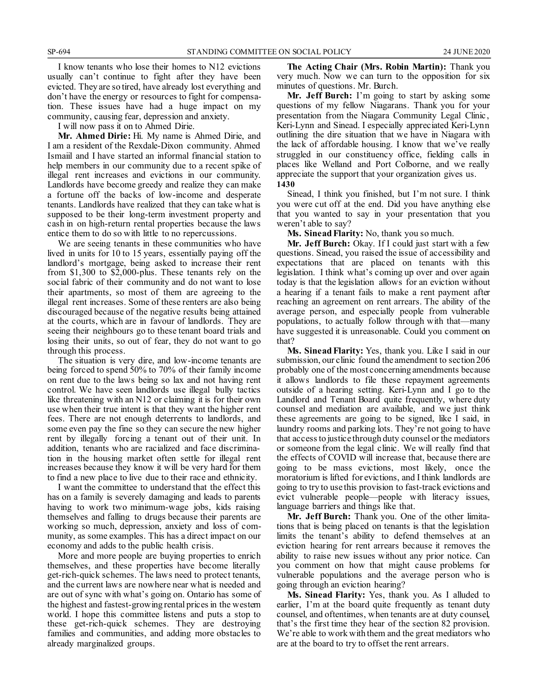I know tenants who lose their homes to N12 evictions usually can't continue to fight after they have been evicted. They are so tired, have already lost everything and don't have the energy or resources to fight for compensation. These issues have had a huge impact on my community, causing fear, depression and anxiety.

I will now pass it on to Ahmed Dirie.

**Mr. Ahmed Dirie:** Hi. My name is Ahmed Dirie, and I am a resident of the Rexdale-Dixon community. Ahmed Ismaiil and I have started an informal financial station to help members in our community due to a recent spike of illegal rent increases and evictions in our community. Landlords have become greedy and realize they can make a fortune off the backs of low-income and desperate tenants. Landlords have realized that they can take what is supposed to be their long-term investment property and cash in on high-return rental properties because the laws entice them to do so with little to no repercussions.

We are seeing tenants in these communities who have lived in units for 10 to 15 years, essentially paying off the landlord's mortgage, being asked to increase their rent from \$1,300 to \$2,000-plus. These tenants rely on the social fabric of their community and do not want to lose their apartments, so most of them are agreeing to the illegal rent increases. Some of these renters are also being discouraged because of the negative results being attained at the courts, which are in favour of landlords. They are seeing their neighbours go to these tenant board trials and losing their units, so out of fear, they do not want to go through this process.

The situation is very dire, and low-income tenants are being forced to spend 50% to 70% of their family income on rent due to the laws being so lax and not having rent control. We have seen landlords use illegal bully tactics like threatening with an N12 or claiming it is for their own use when their true intent is that they want the higher rent fees. There are not enough deterrents to landlords, and some even pay the fine so they can secure the new higher rent by illegally forcing a tenant out of their unit. In addition, tenants who are racialized and face discrimination in the housing market often settle for illegal rent increases because they know it will be very hard for them to find a new place to live due to their race and ethnicity.

I want the committee to understand that the effect this has on a family is severely damaging and leads to parents having to work two minimum-wage jobs, kids raising themselves and falling to drugs because their parents are working so much, depression, anxiety and loss of community, as some examples. This has a direct impact on our economy and adds to the public health crisis.

More and more people are buying properties to enrich themselves, and these properties have become literally get-rich-quick schemes. The laws need to protect tenants, and the current laws are nowhere near what is needed and are out of sync with what's going on. Ontario has some of the highest and fastest-growing rental prices in the western world. I hope this committee listens and puts a stop to these get-rich-quick schemes. They are destroying families and communities, and adding more obstacles to already marginalized groups.

**The Acting Chair (Mrs. Robin Martin):** Thank you very much. Now we can turn to the opposition for six minutes of questions. Mr. Burch.

**Mr. Jeff Burch:** I'm going to start by asking some questions of my fellow Niagarans. Thank you for your presentation from the Niagara Community Legal Clinic , Keri-Lynn and Sinead. I especially appreciated Keri-Lynn outlining the dire situation that we have in Niagara with the lack of affordable housing. I know that we've really struggled in our constituency office, fielding calls in places like Welland and Port Colborne, and we really appreciate the support that your organization gives us. **1430**

Sinead, I think you finished, but I'm not sure. I think you were cut off at the end. Did you have anything else that you wanted to say in your presentation that you weren't able to say?

**Ms. Sinead Flarity:** No, thank you so much.

**Mr. Jeff Burch:** Okay. If I could just start with a few questions. Sinead, you raised the issue of accessibility and expectations that are placed on tenants with this legislation. I think what's coming up over and over again today is that the legislation allows for an eviction without a hearing if a tenant fails to make a rent payment after reaching an agreement on rent arrears. The ability of the average person, and especially people from vulnerable populations, to actually follow through with that—many have suggested it is unreasonable. Could you comment on that?

**Ms. Sinead Flarity:** Yes, thank you. Like I said in our submission, our clinic found the amendment to section 206 probably one of the most concerning amendments because it allows landlords to file these repayment agreements outside of a hearing setting. Keri-Lynn and I go to the Landlord and Tenant Board quite frequently, where duty counsel and mediation are available, and we just think these agreements are going to be signed, like I said, in laundry rooms and parking lots. They're not going to have that access to justice through duty counsel or the mediators or someone from the legal clinic. We will really find that the effects of COVID will increase that, because there are going to be mass evictions, most likely, once the moratorium is lifted for evictions, and I think landlords are going to try to use this provision to fast-track evictions and evict vulnerable people—people with literacy issues, language barriers and things like that.

**Mr. Jeff Burch:** Thank you. One of the other limitations that is being placed on tenants is that the legislation limits the tenant's ability to defend themselves at an eviction hearing for rent arrears because it removes the ability to raise new issues without any prior notice. Can you comment on how that might cause problems for vulnerable populations and the average person who is going through an eviction hearing?

**Ms. Sinead Flarity:** Yes, thank you. As I alluded to earlier, I'm at the board quite frequently as tenant duty counsel, and oftentimes, when tenants are at duty counsel, that's the first time they hear of the section 82 provision. We're able to work with them and the great mediators who are at the board to try to offset the rent arrears.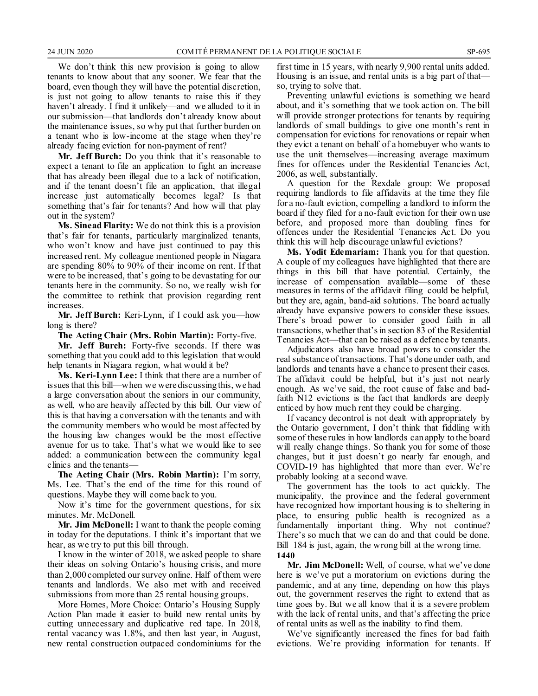We don't think this new provision is going to allow tenants to know about that any sooner. We fear that the board, even though they will have the potential discretion, is just not going to allow tenants to raise this if they haven't already. I find it unlikely—and we alluded to it in our submission—that landlords don't already know about the maintenance issues, so why put that further burden on a tenant who is low-income at the stage when they're already facing eviction for non-payment of rent?

**Mr. Jeff Burch:** Do you think that it's reasonable to expect a tenant to file an application to fight an increase that has already been illegal due to a lack of notification, and if the tenant doesn't file an application, that illegal increase just automatically becomes legal? Is that something that's fair for tenants? And how will that play out in the system?

**Ms. Sinead Flarity:** We do not think this is a provision that's fair for tenants, particularly marginalized tenants, who won't know and have just continued to pay this increased rent. My colleague mentioned people in Niagara are spending 80% to 90% of their income on rent. If that were to be increased, that's going to be devastating for our tenants here in the community. So no, we really wish for the committee to rethink that provision regarding rent increases.

**Mr. Jeff Burch:** Keri-Lynn, if I could ask you—how long is there?

**The Acting Chair (Mrs. Robin Martin):** Forty-five.

**Mr. Jeff Burch:** Forty-five seconds. If there was something that you could add to this legislation that would help tenants in Niagara region, what would it be?

**Ms. Keri-Lynn Lee:** I think that there are a number of issues that this bill—when we were discussing this, we had a large conversation about the seniors in our community, as well, who are heavily affected by this bill. Our view of this is that having a conversation with the tenants and with the community members who would be most affected by the housing law changes would be the most effective avenue for us to take. That's what we would like to see added: a communication between the community legal clinics and the tenants—

**The Acting Chair (Mrs. Robin Martin):** I'm sorry, Ms. Lee. That's the end of the time for this round of questions. Maybe they will come back to you.

Now it's time for the government questions, for six minutes. Mr. McDonell.

**Mr. Jim McDonell:** I want to thank the people coming in today for the deputations. I think it's important that we hear, as we try to put this bill through.

I know in the winter of 2018, we asked people to share their ideas on solving Ontario's housing crisis, and more than 2,000 completed our survey online. Half of them were tenants and landlords. We also met with and received submissions from more than 25 rental housing groups.

More Homes, More Choice: Ontario's Housing Supply Action Plan made it easier to build new rental units by cutting unnecessary and duplicative red tape. In 2018, rental vacancy was 1.8%, and then last year, in August, new rental construction outpaced condominiums for the first time in 15 years, with nearly 9,900 rental units added. Housing is an issue, and rental units is a big part of that so, trying to solve that.

Preventing unlawful evictions is something we heard about, and it's something that we took action on. The bill will provide stronger protections for tenants by requiring landlords of small buildings to give one month's rent in compensation for evictions for renovations or repair when they evict a tenant on behalf of a homebuyer who wants to use the unit themselves—increasing average maximum fines for offences under the Residential Tenancies Act, 2006, as well, substantially.

A question for the Rexdale group: We proposed requiring landlords to file affidavits at the time they file for a no-fault eviction, compelling a landlord to inform the board if they filed for a no-fault eviction for their own use before, and proposed more than doubling fines for offences under the Residential Tenancies Act. Do you think this will help discourage unlawful evictions?

**Ms. Yodit Edemariam:** Thank you for that question. A couple of my colleagues have highlighted that there are things in this bill that have potential. Certainly, the increase of compensation available—some of these measures in terms of the affidavit filing could be helpful, but they are, again, band-aid solutions. The board actually already have expansive powers to consider these issues. There's broad power to consider good faith in all transactions, whether that's in section 83 of the Residential Tenancies Act—that can be raised as a defence by tenants.

Adjudicators also have broad powers to consider the real substance of transactions. That's done under oath, and landlords and tenants have a chance to present their cases. The affidavit could be helpful, but it's just not nearly enough. As we've said, the root cause of false and badfaith N12 evictions is the fact that landlords are deeply enticed by how much rent they could be charging.

If vacancy decontrol is not dealt with appropriately by the Ontario government, I don't think that fiddling with some of these rules in how landlords can apply to the board will really change things. So thank you for some of those changes, but it just doesn't go nearly far enough, and COVID-19 has highlighted that more than ever. We're probably looking at a second wave.

The government has the tools to act quickly. The municipality, the province and the federal government have recognized how important housing is to sheltering in place, to ensuring public health is recognized as a fundamentally important thing. Why not continue? There's so much that we can do and that could be done. Bill 184 is just, again, the wrong bill at the wrong time. **1440**

**Mr. Jim McDonell:** Well, of course, what we've done here is we've put a moratorium on evictions during the pandemic, and at any time, depending on how this plays out, the government reserves the right to extend that as time goes by. But we all know that it is a severe problem with the lack of rental units, and that's affecting the price of rental units as well as the inability to find them.

We've significantly increased the fines for bad faith evictions. We're providing information for tenants. If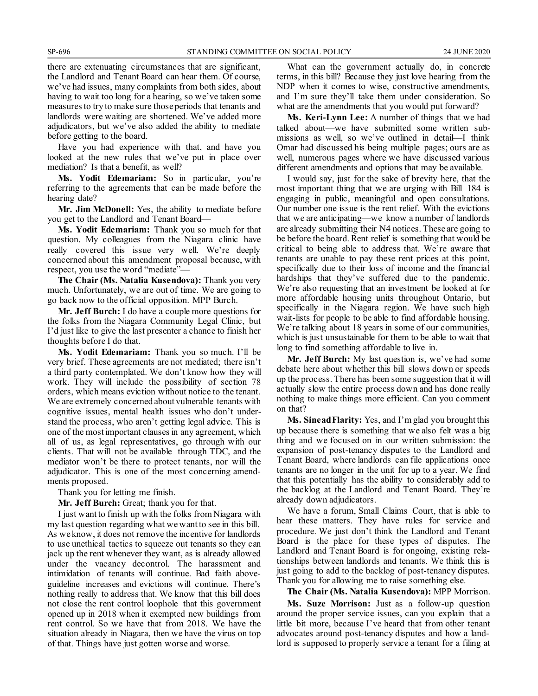there are extenuating circumstances that are significant, the Landlord and Tenant Board can hear them. Of course, we've had issues, many complaints from both sides, about having to wait too long for a hearing, so we've taken some measures to try to make sure those periods that tenants and landlords were waiting are shortened. We've added more adjudicators, but we've also added the ability to mediate before getting to the board.

Have you had experience with that, and have you looked at the new rules that we've put in place over mediation? Is that a benefit, as well?

**Ms. Yodit Edemariam:** So in particular, you're referring to the agreements that can be made before the hearing date?

**Mr. Jim McDonell:** Yes, the ability to mediate before you get to the Landlord and Tenant Board—

**Ms. Yodit Edemariam:** Thank you so much for that question. My colleagues from the Niagara clinic have really covered this issue very well. We're deeply concerned about this amendment proposal because, with respect, you use the word "mediate"—

**The Chair (Ms. Natalia Kusendova):** Thank you very much. Unfortunately, we are out of time. We are going to go back now to the official opposition. MPP Burch.

**Mr. Jeff Burch:** I do have a couple more questions for the folks from the Niagara Community Legal Clinic, but I'd just like to give the last presenter a chance to finish her thoughts before I do that.

**Ms. Yodit Edemariam:** Thank you so much. I'll be very brief. These agreements are not mediated; there isn't a third party contemplated. We don't know how they will work. They will include the possibility of section 78 orders, which means eviction without notice to the tenant. We are extremely concerned about vulnerable tenants with cognitive issues, mental health issues who don't understand the process, who aren't getting legal advice. This is one of the most important clauses in any agreement, which all of us, as legal representatives, go through with our clients. That will not be available through TDC, and the mediator won't be there to protect tenants, nor will the adjudicator. This is one of the most concerning amendments proposed.

Thank you for letting me finish.

**Mr. Jeff Burch:** Great; thank you for that.

I just want to finish up with the folks from Niagara with my last question regarding what we want to see in this bill. As we know, it does not remove the incentive for landlords to use unethical tactics to squeeze out tenants so they can jack up the rent whenever they want, as is already allowed under the vacancy decontrol. The harassment and intimidation of tenants will continue. Bad faith aboveguideline increases and evictions will continue. There's nothing really to address that. We know that this bill does not close the rent control loophole that this government opened up in 2018 when it exempted new buildings from rent control. So we have that from 2018. We have the situation already in Niagara, then we have the virus on top of that. Things have just gotten worse and worse.

What can the government actually do, in concrete terms, in this bill? Because they just love hearing from the NDP when it comes to wise, constructive amendments, and I'm sure they'll take them under consideration. So what are the amendments that you would put forward?

**Ms. Keri-Lynn Lee:** A number of things that we had talked about—we have submitted some written submissions as well, so we've outlined in detail—I think Omar had discussed his being multiple pages; ours are as well, numerous pages where we have discussed various different amendments and options that may be available.

I would say, just for the sake of brevity here, that the most important thing that we are urging with Bill 184 is engaging in public, meaningful and open consultations. Our number one issue is the rent relief. With the evictions that we are anticipating—we know a number of landlords are already submitting their N4 notices. These are going to be before the board. Rent relief is something that would be critical to being able to address that. We're aware that tenants are unable to pay these rent prices at this point, specifically due to their loss of income and the financial hardships that they've suffered due to the pandemic. We're also requesting that an investment be looked at for more affordable housing units throughout Ontario, but specifically in the Niagara region. We have such high wait-lists for people to be able to find affordable housing. We're talking about 18 years in some of our communities, which is just unsustainable for them to be able to wait that long to find something affordable to live in.

**Mr. Jeff Burch:** My last question is, we've had some debate here about whether this bill slows down or speeds up the process. There has been some suggestion that it will actually slow the entire process down and has done really nothing to make things more efficient. Can you comment on that?

**Ms. Sinead Flarity:** Yes, and I'm glad you brought this up because there is something that we also felt was a big thing and we focused on in our written submission: the expansion of post-tenancy disputes to the Landlord and Tenant Board, where landlords can file applications once tenants are no longer in the unit for up to a year. We find that this potentially has the ability to considerably add to the backlog at the Landlord and Tenant Board. They're already down adjudicators.

We have a forum, Small Claims Court, that is able to hear these matters. They have rules for service and procedure. We just don't think the Landlord and Tenant Board is the place for these types of disputes. The Landlord and Tenant Board is for ongoing, existing relationships between landlords and tenants. We think this is just going to add to the backlog of post-tenancy disputes. Thank you for allowing me to raise something else.

**The Chair (Ms. Natalia Kusendova):** MPP Morrison.

**Ms. Suze Morrison:** Just as a follow-up question around the proper service issues, can you explain that a little bit more, because I've heard that from other tenant advocates around post-tenancy disputes and how a landlord is supposed to properly service a tenant for a filing at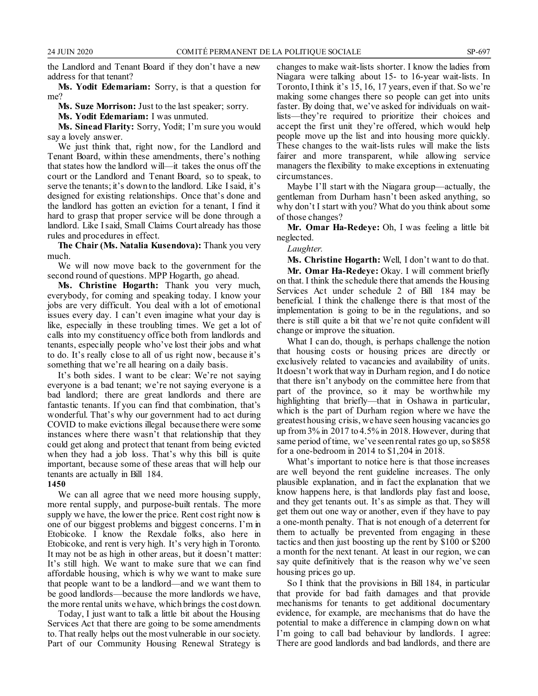the Landlord and Tenant Board if they don't have a new address for that tenant?

**Ms. Yodit Edemariam:** Sorry, is that a question for me?

**Ms. Suze Morrison:** Just to the last speaker; sorry.

**Ms. Yodit Edemariam:** I was unmuted.

**Ms. Sinead Flarity:** Sorry, Yodit; I'm sure you would say a lovely answer.

We just think that, right now, for the Landlord and Tenant Board, within these amendments, there's nothing that states how the landlord will—it takes the onus off the court or the Landlord and Tenant Board, so to speak, to serve the tenants; it's down to the landlord. Like I said, it's designed for existing relationships. Once that's done and the landlord has gotten an eviction for a tenant, I find it hard to grasp that proper service will be done through a landlord. Like I said, Small Claims Court already has those rules and procedures in effect.

**The Chair (Ms. Natalia Kusendova):** Thank you very much.

We will now move back to the government for the second round of questions. MPP Hogarth, go ahead.

**Ms. Christine Hogarth:** Thank you very much, everybody, for coming and speaking today. I know your jobs are very difficult. You deal with a lot of emotional issues every day. I can't even imagine what your day is like, especially in these troubling times. We get a lot of calls into my constituency office both from landlords and tenants, especially people who've lost their jobs and what to do. It's really close to all of us right now, because it's something that we're all hearing on a daily basis.

It's both sides. I want to be clear: We're not saying everyone is a bad tenant; we're not saying everyone is a bad landlord; there are great landlords and there are fantastic tenants. If you can find that combination, that's wonderful. That's why our government had to act during COVID to make evictions illegal because there were some instances where there wasn't that relationship that they could get along and protect that tenant from being evicted when they had a job loss. That's why this bill is quite important, because some of these areas that will help our tenants are actually in Bill 184.

#### **1450**

We can all agree that we need more housing supply, more rental supply, and purpose-built rentals. The more supply we have, the lower the price. Rent cost right now is one of our biggest problems and biggest concerns. I'm in Etobicoke. I know the Rexdale folks, also here in Etobicoke, and rent is very high. It's very high in Toronto. It may not be as high in other areas, but it doesn't matter: It's still high. We want to make sure that we can find affordable housing, which is why we want to make sure that people want to be a landlord—and we want them to be good landlords—because the more landlords we have, the more rental units we have, which brings the cost down.

Today, I just want to talk a little bit about the Housing Services Act that there are going to be some amendments to. That really helps out the most vulnerable in our society. Part of our Community Housing Renewal Strategy is changes to make wait-lists shorter. I know the ladies from Niagara were talking about 15- to 16-year wait-lists. In Toronto, I think it's 15, 16, 17 years, even if that. So we're making some changes there so people can get into units faster. By doing that, we've asked for individuals on waitlists—they're required to prioritize their choices and accept the first unit they're offered, which would help people move up the list and into housing more quickly. These changes to the wait-lists rules will make the lists fairer and more transparent, while allowing service managers the flexibility to make exceptions in extenuating circumstances.

Maybe I'll start with the Niagara group—actually, the gentleman from Durham hasn't been asked anything, so why don't I start with you? What do you think about some of those changes?

**Mr. Omar Ha-Redeye:** Oh, I was feeling a little bit neglected.

#### *Laughter.*

**Ms. Christine Hogarth:** Well, I don't want to do that.

**Mr. Omar Ha-Redeye:** Okay. I will comment briefly on that. I think the schedule there that amends the Housing Services Act under schedule 2 of Bill 184 may be beneficial. I think the challenge there is that most of the implementation is going to be in the regulations, and so there is still quite a bit that we're not quite confident will change or improve the situation.

What I can do, though, is perhaps challenge the notion that housing costs or housing prices are directly or exclusively related to vacancies and availability of units. It doesn't work that way in Durham region, and I do notice that there isn't anybody on the committee here from that part of the province, so it may be worthwhile my highlighting that briefly—that in Oshawa in particular, which is the part of Durham region where we have the greatest housing crisis, we have seen housing vacancies go up from 3% in 2017 to 4.5% in 2018. However, during that same period of time, we've seen rental rates go up, so \$858 for a one-bedroom in 2014 to \$1,204 in 2018.

What's important to notice here is that those increases are well beyond the rent guideline increases. The only plausible explanation, and in fact the explanation that we know happens here, is that landlords play fast and loose, and they get tenants out. It's as simple as that. They will get them out one way or another, even if they have to pay a one-month penalty. That is not enough of a deterrent for them to actually be prevented from engaging in these tactics and then just boosting up the rent by \$100 or \$200 a month for the next tenant. At least in our region, we can say quite definitively that is the reason why we've seen housing prices go up.

So I think that the provisions in Bill 184, in particular that provide for bad faith damages and that provide mechanisms for tenants to get additional documentary evidence, for example, are mechanisms that do have the potential to make a difference in clamping down on what I'm going to call bad behaviour by landlords. I agree: There are good landlords and bad landlords, and there are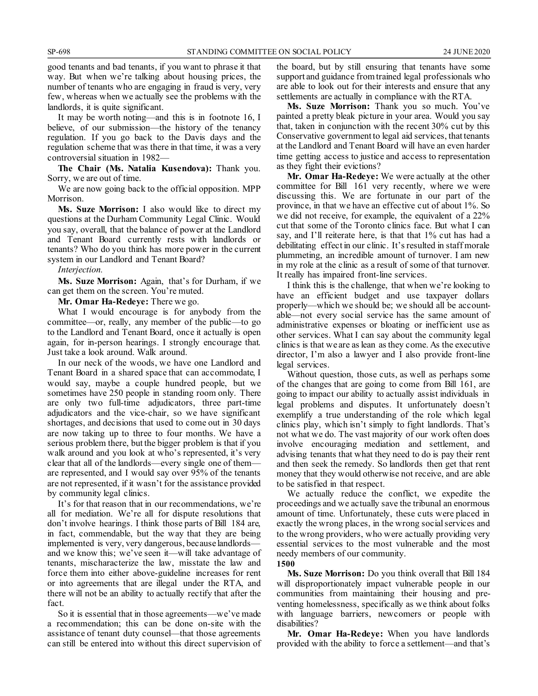good tenants and bad tenants, if you want to phrase it that way. But when we're talking about housing prices, the number of tenants who are engaging in fraud is very, very few, whereas when we actually see the problems with the landlords, it is quite significant.

It may be worth noting—and this is in footnote 16, I believe, of our submission—the history of the tenancy regulation. If you go back to the Davis days and the regulation scheme that was there in that time, it was a very controversial situation in 1982—

**The Chair (Ms. Natalia Kusendova):** Thank you. Sorry, we are out of time.

We are now going back to the official opposition. MPP Morrison.

**Ms. Suze Morrison:** I also would like to direct my questions at the Durham Community Legal Clinic. Would you say, overall, that the balance of power at the Landlord and Tenant Board currently rests with landlords or tenants? Who do you think has more power in the current system in our Landlord and Tenant Board?

*Interjection.*

**Ms. Suze Morrison:** Again, that's for Durham, if we can get them on the screen. You're muted.

**Mr. Omar Ha-Redeye:** There we go.

What I would encourage is for anybody from the committee—or, really, any member of the public—to go to the Landlord and Tenant Board, once it actually is open again, for in-person hearings. I strongly encourage that. Just take a look around. Walk around.

In our neck of the woods, we have one Landlord and Tenant Board in a shared space that can accommodate, I would say, maybe a couple hundred people, but we sometimes have 250 people in standing room only. There are only two full-time adjudicators, three part-time adjudicators and the vice-chair, so we have significant shortages, and decisions that used to come out in 30 days are now taking up to three to four months. We have a serious problem there, but the bigger problem is that if you walk around and you look at who's represented, it's very clear that all of the landlords—every single one of them are represented, and I would say over 95% of the tenants are not represented, if it wasn't for the assistance provided by community legal clinics.

It's for that reason that in our recommendations, we're all for mediation. We're all for dispute resolutions that don't involve hearings. I think those parts of Bill 184 are, in fact, commendable, but the way that they are being implemented is very, very dangerous, because landlords and we know this; we've seen it—will take advantage of tenants, mischaracterize the law, misstate the law and force them into either above-guideline increases for rent or into agreements that are illegal under the RTA, and there will not be an ability to actually rectify that after the fact.

So it is essential that in those agreements—we've made a recommendation; this can be done on-site with the assistance of tenant duty counsel—that those agreements can still be entered into without this direct supervision of the board, but by still ensuring that tenants have some support and guidance from trained legal professionals who are able to look out for their interests and ensure that any settlements are actually in compliance with the RTA.

**Ms. Suze Morrison:** Thank you so much. You've painted a pretty bleak picture in your area. Would you say that, taken in conjunction with the recent 30% cut by this Conservative government to legal aid services, that tenants at the Landlord and Tenant Board will have an even harder time getting access to justice and access to representation as they fight their evictions?

**Mr. Omar Ha-Redeye:** We were actually at the other committee for Bill 161 very recently, where we were discussing this. We are fortunate in our part of the province, in that we have an effective cut of about 1%. So we did not receive, for example, the equivalent of a 22% cut that some of the Toronto clinics face. But what I can say, and I'll reiterate here, is that that 1% cut has had a debilitating effect in our clinic. It's resulted in staff morale plummeting, an incredible amount of turnover. I am new in my role at the clinic as a result of some of that turnover. It really has impaired front-line services.

I think this is the challenge, that when we're looking to have an efficient budget and use taxpayer dollars properly—which we should be; we should all be accountable—not every social service has the same amount of administrative expenses or bloating or inefficient use as other services. What I can say about the community legal clinics is that we are as lean as they come. As the executive director, I'm also a lawyer and I also provide front-line legal services.

Without question, those cuts, as well as perhaps some of the changes that are going to come from Bill 161, are going to impact our ability to actually assist individuals in legal problems and disputes. It unfortunately doesn't exemplify a true understanding of the role which legal clinics play, which isn't simply to fight landlords. That's not what we do. The vast majority of our work often does involve encouraging mediation and settlement, and advising tenants that what they need to do is pay their rent and then seek the remedy. So landlords then get that rent money that they would otherwise not receive, and are able to be satisfied in that respect.

We actually reduce the conflict, we expedite the proceedings and we actually save the tribunal an enormous amount of time. Unfortunately, these cuts were placed in exactly the wrong places, in the wrong social services and to the wrong providers, who were actually providing very essential services to the most vulnerable and the most needy members of our community.

**1500**

**Ms. Suze Morrison:** Do you think overall that Bill 184 will disproportionately impact vulnerable people in our communities from maintaining their housing and preventing homelessness, specifically as we think about folks with language barriers, newcomers or people with disabilities?

**Mr. Omar Ha-Redeye:** When you have landlords provided with the ability to force a settlement—and that's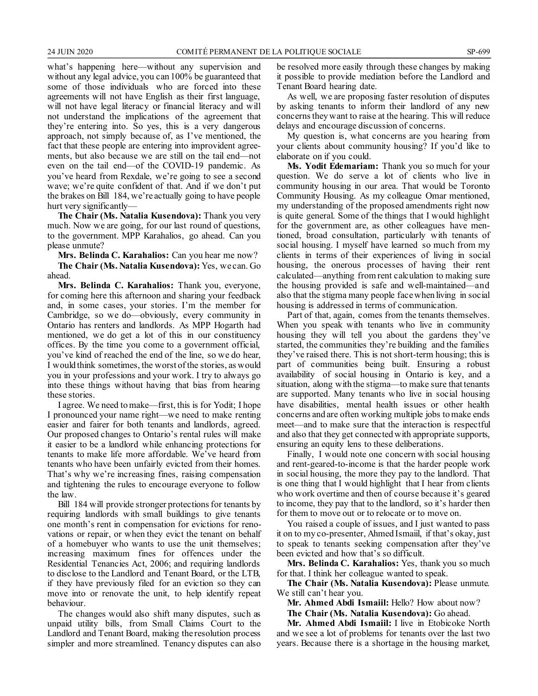what's happening here—without any supervision and without any legal advice, you can 100% be guaranteed that some of those individuals who are forced into these agreements will not have English as their first language, will not have legal literacy or financial literacy and will not understand the implications of the agreement that they're entering into. So yes, this is a very dangerous approach, not simply because of, as I've mentioned, the fact that these people are entering into improvident agreements, but also because we are still on the tail end—not even on the tail end—of the COVID-19 pandemic. As you've heard from Rexdale, we're going to see a second wave; we're quite confident of that. And if we don't put the brakes on Bill 184, we're actually going to have people hurt very significantly—

**The Chair (Ms. Natalia Kusendova):** Thank you very much. Now we are going, for our last round of questions, to the government. MPP Karahalios, go ahead. Can you please unmute?

**Mrs. Belinda C. Karahalios:** Can you hear me now?

**The Chair (Ms. Natalia Kusendova):** Yes, we can. Go ahead.

**Mrs. Belinda C. Karahalios:** Thank you, everyone, for coming here this afternoon and sharing your feedback and, in some cases, your stories. I'm the member for Cambridge, so we do—obviously, every community in Ontario has renters and landlords. As MPP Hogarth had mentioned, we do get a lot of this in our constituency offices. By the time you come to a government official, you've kind of reached the end of the line, so we do hear, I would think sometimes, the worst of the stories, as would you in your professions and your work. I try to always go into these things without having that bias from hearing these stories.

I agree. We need to make—first, this is for Yodit; I hope I pronounced your name right—we need to make renting easier and fairer for both tenants and landlords, agreed. Our proposed changes to Ontario's rental rules will make it easier to be a landlord while enhancing protections for tenants to make life more affordable. We've heard from tenants who have been unfairly evicted from their homes. That's why we're increasing fines, raising compensation and tightening the rules to encourage everyone to follow the law.

Bill 184 will provide stronger protections for tenants by requiring landlords with small buildings to give tenants one month's rent in compensation for evictions for renovations or repair, or when they evict the tenant on behalf of a homebuyer who wants to use the unit themselves; increasing maximum fines for offences under the Residential Tenancies Act, 2006; and requiring landlords to disclose to the Landlord and Tenant Board, or the LTB, if they have previously filed for an eviction so they can move into or renovate the unit, to help identify repeat behaviour.

The changes would also shift many disputes, such as unpaid utility bills, from Small Claims Court to the Landlord and Tenant Board, making the resolution process simpler and more streamlined. Tenancy disputes can also be resolved more easily through these changes by making it possible to provide mediation before the Landlord and Tenant Board hearing date.

As well, we are proposing faster resolution of disputes by asking tenants to inform their landlord of any new concerns they want to raise at the hearing. This will reduce delays and encourage discussion of concerns.

My question is, what concerns are you hearing from your clients about community housing? If you'd like to elaborate on if you could.

**Ms. Yodit Edemariam:** Thank you so much for your question. We do serve a lot of clients who live in community housing in our area. That would be Toronto Community Housing. As my colleague Omar mentioned, my understanding of the proposed amendments right now is quite general. Some of the things that I would highlight for the government are, as other colleagues have mentioned, broad consultation, particularly with tenants of social housing. I myself have learned so much from my clients in terms of their experiences of living in social housing, the onerous processes of having their rent calculated—anything from rent calculation to making sure the housing provided is safe and well-maintained—and also that the stigma many people face when living in social housing is addressed in terms of communication.

Part of that, again, comes from the tenants themselves. When you speak with tenants who live in community housing they will tell you about the gardens they've started, the communities they're building and the families they've raised there. This is not short-term housing; this is part of communities being built. Ensuring a robust availability of social housing in Ontario is key, and a situation, along with the stigma—to make sure that tenants are supported. Many tenants who live in social housing have disabilities, mental health issues or other health concerns and are often working multiple jobs to make ends meet—and to make sure that the interaction is respectful and also that they get connected with appropriate supports, ensuring an equity lens to these deliberations.

Finally, I would note one concern with social housing and rent-geared-to-income is that the harder people work in social housing, the more they pay to the landlord. That is one thing that I would highlight that I hear from clients who work overtime and then of course because it's geared to income, they pay that to the landlord, so it's harder then for them to move out or to relocate or to move on.

You raised a couple of issues, and I just wanted to pass it on to my co-presenter, Ahmed Ismaiil, if that's okay, just to speak to tenants seeking compensation after they've been evicted and how that's so difficult.

**Mrs. Belinda C. Karahalios:** Yes, thank you so much for that. I think her colleague wanted to speak.

**The Chair (Ms. Natalia Kusendova):** Please unmute. We still can't hear you.

**Mr. Ahmed Abdi Ismaiil:** Hello? How about now?

**The Chair (Ms. Natalia Kusendova):** Go ahead.

**Mr. Ahmed Abdi Ismaiil:** I live in Etobicoke North and we see a lot of problems for tenants over the last two years. Because there is a shortage in the housing market,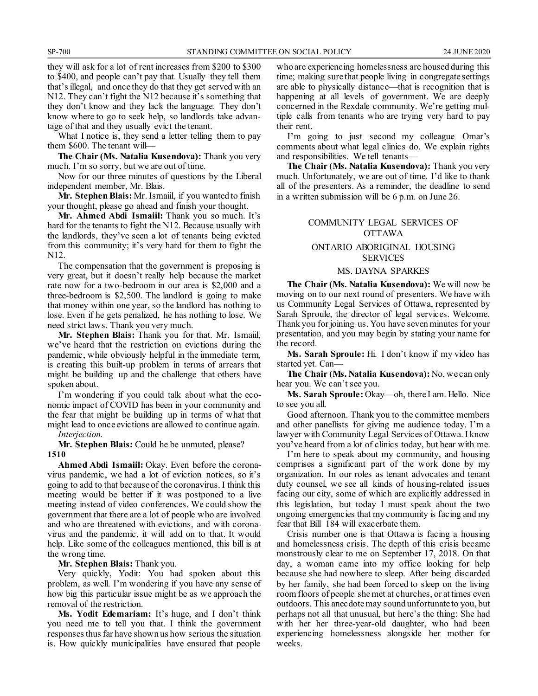they will ask for a lot of rent increases from \$200 to \$300 to \$400, and people can't pay that. Usually they tell them that's illegal, and once they do that they get served with an N12. They can't fight the N12 because it's something that they don't know and they lack the language. They don't know where to go to seek help, so landlords take advantage of that and they usually evict the tenant.

What I notice is, they send a letter telling them to pay them \$600. The tenant will—

**The Chair (Ms. Natalia Kusendova):** Thank you very much. I'm so sorry, but we are out of time.

Now for our three minutes of questions by the Liberal independent member, Mr. Blais.

**Mr. Stephen Blais:** Mr. Ismaiil, if you wanted to finish your thought, please go ahead and finish your thought.

**Mr. Ahmed Abdi Ismaiil:** Thank you so much. It's hard for the tenants to fight the N12. Because usually with the landlords, they've seen a lot of tenants being evicted from this community; it's very hard for them to fight the N12.

The compensation that the government is proposing is very great, but it doesn't really help because the market rate now for a two-bedroom in our area is \$2,000 and a three-bedroom is \$2,500. The landlord is going to make that money within one year, so the landlord has nothing to lose. Even if he gets penalized, he has nothing to lose. We need strict laws. Thank you very much.

**Mr. Stephen Blais:** Thank you for that. Mr. Ismaiil, we've heard that the restriction on evictions during the pandemic, while obviously helpful in the immediate term, is creating this built-up problem in terms of arrears that might be building up and the challenge that others have spoken about.

I'm wondering if you could talk about what the economic impact of COVID has been in your community and the fear that might be building up in terms of what that might lead to once evictions are allowed to continue again.

### *Interjection.*

**Mr. Stephen Blais:** Could he be unmuted, please? **1510**

**Ahmed Abdi Ismaiil:** Okay. Even before the coronavirus pandemic, we had a lot of eviction notices, so it's going to add to that because of the coronavirus. I think this meeting would be better if it was postponed to a live meeting instead of video conferences. We could show the government that there are a lot of people who are involved and who are threatened with evictions, and with coronavirus and the pandemic, it will add on to that. It would help. Like some of the colleagues mentioned, this bill is at the wrong time.

#### **Mr. Stephen Blais:** Thank you.

Very quickly, Yodit: You had spoken about this problem, as well. I'm wondering if you have any sense of how big this particular issue might be as we approach the removal of the restriction.

**Ms. Yodit Edemariam:** It's huge, and I don't think you need me to tell you that. I think the government responses thus far have shown us how serious the situation is. How quickly municipalities have ensured that people who are experiencing homelessness are housed during this time; making sure that people living in congregate settings are able to physically distance—that is recognition that is happening at all levels of government. We are deeply concerned in the Rexdale community. We're getting multiple calls from tenants who are trying very hard to pay their rent.

I'm going to just second my colleague Omar's comments about what legal clinics do. We explain rights and responsibilities. We tell tenants—

**The Chair (Ms. Natalia Kusendova):** Thank you very much. Unfortunately, we are out of time. I'd like to thank all of the presenters. As a reminder, the deadline to send in a written submission will be 6 p.m. on June 26.

#### COMMUNITY LEGAL SERVICES OF OTTAWA

#### ONTARIO ABORIGINAL HOUSING SERVICES

#### MS. DAYNA SPARKES

**The Chair (Ms. Natalia Kusendova):** We will now be moving on to our next round of presenters. We have with us Community Legal Services of Ottawa, represented by Sarah Sproule, the director of legal services. Welcome. Thank you for joining us. You have seven minutes for your presentation, and you may begin by stating your name for the record.

**Ms. Sarah Sproule:** Hi. I don't know if my video has started yet. Can—

**The Chair (Ms. Natalia Kusendova):** No, we can only hear you. We can't see you.

**Ms. Sarah Sproule:** Okay—oh, there I am. Hello. Nice to see you all.

Good afternoon. Thank you to the committee members and other panellists for giving me audience today. I'm a lawyer with Community Legal Services of Ottawa. I know you've heard from a lot of clinics today, but bear with me.

I'm here to speak about my community, and housing comprises a significant part of the work done by my organization. In our roles as tenant advocates and tenant duty counsel, we see all kinds of housing-related issues facing our city, some of which are explicitly addressed in this legislation, but today I must speak about the two ongoing emergencies that my community is facing and my fear that Bill 184 will exacerbate them.

Crisis number one is that Ottawa is facing a housing and homelessness crisis. The depth of this crisis became monstrously clear to me on September 17, 2018. On that day, a woman came into my office looking for help because she had nowhere to sleep. After being discarded by her family, she had been forced to sleep on the living room floors of people she met at churches, or at times even outdoors. This anecdote may sound unfortunate to you, but perhaps not all that unusual, but here's the thing: She had with her her three-year-old daughter, who had been experiencing homelessness alongside her mother for weeks.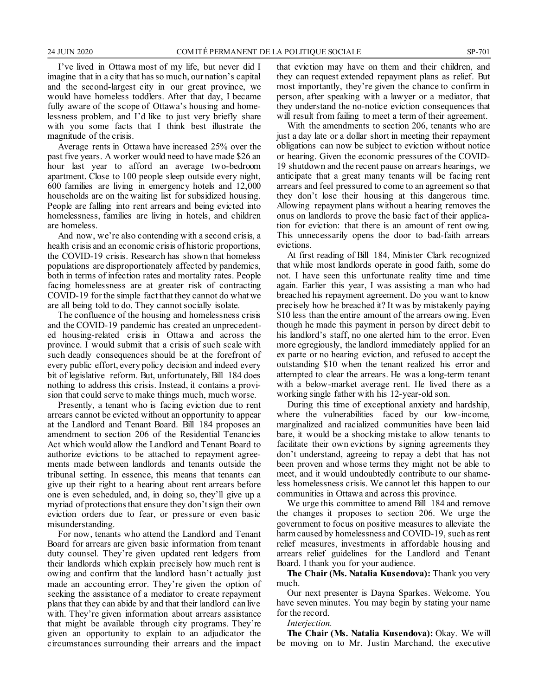I've lived in Ottawa most of my life, but never did I imagine that in a city that has so much, our nation's capital and the second-largest city in our great province, we would have homeless toddlers. After that day, I became fully aware of the scope of Ottawa's housing and homelessness problem, and I'd like to just very briefly share with you some facts that I think best illustrate the magnitude of the crisis.

Average rents in Ottawa have increased 25% over the past five years. A worker would need to have made \$26 an hour last year to afford an average two-bedroom apartment. Close to 100 people sleep outside every night, 600 families are living in emergency hotels and 12,000 households are on the waiting list for subsidized housing. People are falling into rent arrears and being evicted into homelessness, families are living in hotels, and children are homeless.

And now, we're also contending with a second crisis, a health crisis and an economic crisis of historic proportions, the COVID-19 crisis. Research has shown that homeless populations are disproportionately affected by pandemics, both in terms of infection rates and mortality rates. People facing homelessness are at greater risk of contracting COVID-19 for the simple fact that they cannot do what we are all being told to do. They cannot socially isolate.

The confluence of the housing and homelessness crisis and the COVID-19 pandemic has created an unprecedented housing-related crisis in Ottawa and across the province. I would submit that a crisis of such scale with such deadly consequences should be at the forefront of every public effort, every policy decision and indeed every bit of legislative reform. But, unfortunately, Bill 184 does nothing to address this crisis. Instead, it contains a provision that could serve to make things much, much worse.

Presently, a tenant who is facing eviction due to rent arrears cannot be evicted without an opportunity to appear at the Landlord and Tenant Board. Bill 184 proposes an amendment to section 206 of the Residential Tenancies Act which would allow the Landlord and Tenant Board to authorize evictions to be attached to repayment agreements made between landlords and tenants outside the tribunal setting. In essence, this means that tenants can give up their right to a hearing about rent arrears before one is even scheduled, and, in doing so, they'll give up a myriad of protections that ensure they don't sign their own eviction orders due to fear, or pressure or even basic misunderstanding.

For now, tenants who attend the Landlord and Tenant Board for arrears are given basic information from tenant duty counsel. They're given updated rent ledgers from their landlords which explain precisely how much rent is owing and confirm that the landlord hasn't actually just made an accounting error. They're given the option of seeking the assistance of a mediator to create repayment plans that they can abide by and that their landlord can live with. They're given information about arrears assistance that might be available through city programs. They're given an opportunity to explain to an adjudicator the circumstances surrounding their arrears and the impact that eviction may have on them and their children, and they can request extended repayment plans as relief. But most importantly, they're given the chance to confirm in person, after speaking with a lawyer or a mediator, that they understand the no-notice eviction consequences that will result from failing to meet a term of their agreement.

With the amendments to section 206, tenants who are just a day late or a dollar short in meeting their repayment obligations can now be subject to eviction without notice or hearing. Given the economic pressures of the COVID-19 shutdown and the recent pause on arrears hearings, we anticipate that a great many tenants will be facing rent arrears and feel pressured to come to an agreement so that they don't lose their housing at this dangerous time. Allowing repayment plans without a hearing removes the onus on landlords to prove the basic fact of their application for eviction: that there is an amount of rent owing. This unnecessarily opens the door to bad-faith arrears evictions.

At first reading of Bill 184, Minister Clark recognized that while most landlords operate in good faith, some do not. I have seen this unfortunate reality time and time again. Earlier this year, I was assisting a man who had breached his repayment agreement. Do you want to know precisely how he breached it? It was by mistakenly paying \$10 less than the entire amount of the arrears owing. Even though he made this payment in person by direct debit to his landlord's staff, no one alerted him to the error. Even more egregiously, the landlord immediately applied for an ex parte or no hearing eviction, and refused to accept the outstanding \$10 when the tenant realized his error and attempted to clear the arrears. He was a long-term tenant with a below-market average rent. He lived there as a working single father with his 12-year-old son.

During this time of exceptional anxiety and hardship, where the vulnerabilities faced by our low-income, marginalized and racialized communities have been laid bare, it would be a shocking mistake to allow tenants to facilitate their own evictions by signing agreements they don't understand, agreeing to repay a debt that has not been proven and whose terms they might not be able to meet, and it would undoubtedly contribute to our shameless homelessness crisis. We cannot let this happen to our communities in Ottawa and across this province.

We urge this committee to amend Bill 184 and remove the changes it proposes to section 206. We urge the government to focus on positive measures to alleviate the harm caused by homelessness and COVID-19, such as rent relief measures, investments in affordable housing and arrears relief guidelines for the Landlord and Tenant Board. I thank you for your audience.

**The Chair (Ms. Natalia Kusendova):** Thank you very much.

Our next presenter is Dayna Sparkes. Welcome. You have seven minutes. You may begin by stating your name for the record.

*Interjection.*

**The Chair (Ms. Natalia Kusendova):** Okay. We will be moving on to Mr. Justin Marchand, the executive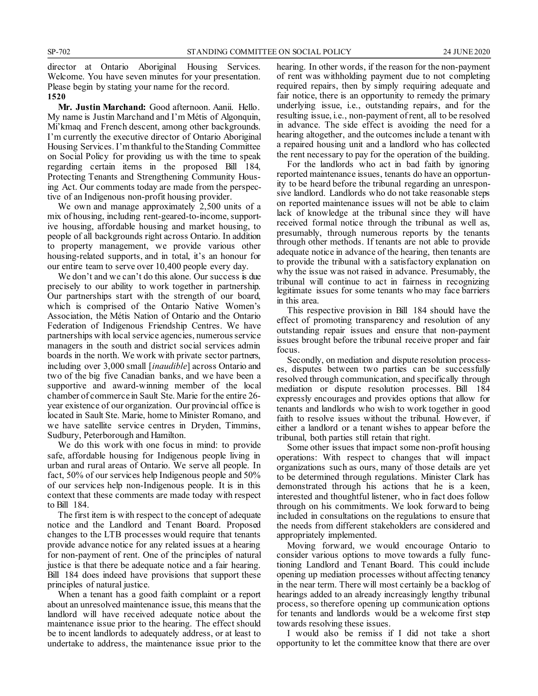director at Ontario Aboriginal Housing Services. Welcome. You have seven minutes for your presentation. Please begin by stating your name for the record.

#### **1520**

**Mr. Justin Marchand:** Good afternoon. Aanii. Hello. My name is Justin Marchand and I'm Métis of Algonquin, Mi'kmaq and French descent, among other backgrounds. I'm currently the executive director of Ontario Aboriginal Housing Services. I'm thankful to the Standing Committee on Social Policy for providing us with the time to speak regarding certain items in the proposed Bill 184, Protecting Tenants and Strengthening Community Housing Act. Our comments today are made from the perspective of an Indigenous non-profit housing provider.

We own and manage approximately 2,500 units of a mix of housing, including rent-geared-to-income, supportive housing, affordable housing and market housing, to people of all backgrounds right across Ontario. In addition to property management, we provide various other housing-related supports, and in total, it's an honour for our entire team to serve over 10,400 people every day.

We don't and we can't do this alone. Our success is due precisely to our ability to work together in partnership. Our partnerships start with the strength of our board, which is comprised of the Ontario Native Women's Association, the Métis Nation of Ontario and the Ontario Federation of Indigenous Friendship Centres. We have partnerships with local service agencies, numerous service managers in the south and district social services admin boards in the north. We work with private sector partners, including over 3,000 small [*inaudible*] across Ontario and two of the big five Canadian banks, and we have been a supportive and award-winning member of the local chamber of commerce in Sault Ste. Marie for the entire 26 year existence of our organization. Our provincial office is located in Sault Ste. Marie, home to Minister Romano, and we have satellite service centres in Dryden, Timmins, Sudbury, Peterborough and Hamilton.

We do this work with one focus in mind: to provide safe, affordable housing for Indigenous people living in urban and rural areas of Ontario. We serve all people. In fact, 50% of our services help Indigenous people and 50% of our services help non-Indigenous people. It is in this context that these comments are made today with respect to Bill 184.

The first item is with respect to the concept of adequate notice and the Landlord and Tenant Board. Proposed changes to the LTB processes would require that tenants provide advance notice for any related issues at a hearing for non-payment of rent. One of the principles of natural justice is that there be adequate notice and a fair hearing. Bill 184 does indeed have provisions that support these principles of natural justice.

When a tenant has a good faith complaint or a report about an unresolved maintenance issue, this means that the landlord will have received adequate notice about the maintenance issue prior to the hearing. The effect should be to incent landlords to adequately address, or at least to undertake to address, the maintenance issue prior to the hearing. In other words, if the reason for the non-payment of rent was withholding payment due to not completing required repairs, then by simply requiring adequate and fair notice, there is an opportunity to remedy the primary underlying issue, i.e., outstanding repairs, and for the resulting issue, i.e., non-payment of rent, all to be resolved in advance. The side effect is avoiding the need for a hearing altogether, and the outcomes include a tenant with a repaired housing unit and a landlord who has collected the rent necessary to pay for the operation of the building.

For the landlords who act in bad faith by ignoring reported maintenance issues, tenants do have an opportunity to be heard before the tribunal regarding an unresponsive landlord. Landlords who do not take reasonable steps on reported maintenance issues will not be able to claim lack of knowledge at the tribunal since they will have received formal notice through the tribunal as well as, presumably, through numerous reports by the tenants through other methods. If tenants are not able to provide adequate notice in advance of the hearing, then tenants are to provide the tribunal with a satisfactory explanation on why the issue was not raised in advance. Presumably, the tribunal will continue to act in fairness in recognizing legitimate issues for some tenants who may face barriers in this area.

This respective provision in Bill 184 should have the effect of promoting transparency and resolution of any outstanding repair issues and ensure that non-payment issues brought before the tribunal receive proper and fair focus.

Secondly, on mediation and dispute resolution processes, disputes between two parties can be successfully resolved through communication, and specifically through mediation or dispute resolution processes. Bill 184 expressly encourages and provides options that allow for tenants and landlords who wish to work together in good faith to resolve issues without the tribunal. However, if either a landlord or a tenant wishes to appear before the tribunal, both parties still retain that right.

Some other issues that impact some non-profit housing operations: With respect to changes that will impact organizations such as ours, many of those details are yet to be determined through regulations. Minister Clark has demonstrated through his actions that he is a keen, interested and thoughtful listener, who in fact does follow through on his commitments. We look forward to being included in consultations on the regulations to ensure that the needs from different stakeholders are considered and appropriately implemented.

Moving forward, we would encourage Ontario to consider various options to move towards a fully functioning Landlord and Tenant Board. This could include opening up mediation processes without affecting tenancy in the near term. There will most certainly be a backlog of hearings added to an already increasingly lengthy tribunal process, so therefore opening up communication options for tenants and landlords would be a welcome first step towards resolving these issues.

I would also be remiss if I did not take a short opportunity to let the committee know that there are over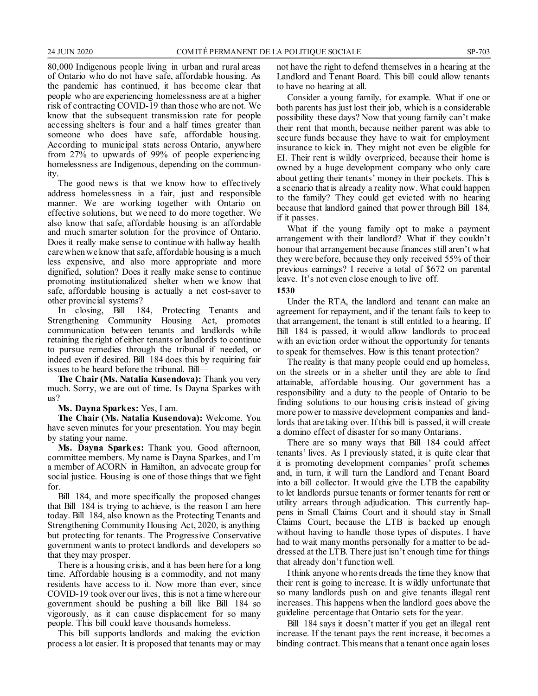80,000 Indigenous people living in urban and rural areas of Ontario who do not have safe, affordable housing. As the pandemic has continued, it has become clear that people who are experiencing homelessness are at a higher risk of contracting COVID-19 than those who are not. We know that the subsequent transmission rate for people accessing shelters is four and a half times greater than someone who does have safe, affordable housing. According to municipal stats across Ontario, anywhere from 27% to upwards of 99% of people experiencing homelessness are Indigenous, depending on the commun-<br>ity.

The good news is that we know how to effectively address homelessness in a fair, just and responsible manner. We are working together with Ontario on effective solutions, but we need to do more together. We also know that safe, affordable housing is an affordable and much smarter solution for the province of Ontario. Does it really make sense to continue with hallway health care when we know that safe, affordable housing is a much less expensive, and also more appropriate and more dignified, solution? Does it really make sense to continue promoting institutionalized shelter when we know that safe, affordable housing is actually a net cost-saver to other provincial systems?

In closing, Bill 184, Protecting Tenants and Strengthening Community Housing Act, promotes communication between tenants and landlords while retaining the right of either tenants or landlords to continue to pursue remedies through the tribunal if needed, or indeed even if desired. Bill 184 does this by requiring fair issues to be heard before the tribunal. Bill—

**The Chair (Ms. Natalia Kusendova):** Thank you very much. Sorry, we are out of time. Is Dayna Sparkes with us?

**Ms. Dayna Sparkes:** Yes, I am.

**The Chair (Ms. Natalia Kusendova):** Welcome. You have seven minutes for your presentation. You may begin by stating your name.

**Ms. Dayna Sparkes:** Thank you. Good afternoon, committee members. My name is Dayna Sparkes, and I'm a member of ACORN in Hamilton, an advocate group for social justice. Housing is one of those things that we fight for.

Bill 184, and more specifically the proposed changes that Bill 184 is trying to achieve, is the reason I am here today. Bill 184, also known as the Protecting Tenants and Strengthening Community Housing Act, 2020, is anything but protecting for tenants. The Progressive Conservative government wants to protect landlords and developers so that they may prosper.

There is a housing crisis, and it has been here for a long time. Affordable housing is a commodity, and not many residents have access to it. Now more than ever, since COVID-19 took over our lives, this is not a time where our government should be pushing a bill like Bill 184 so vigorously, as it can cause displacement for so many people. This bill could leave thousands homeless.

This bill supports landlords and making the eviction process a lot easier. It is proposed that tenants may or may not have the right to defend themselves in a hearing at the Landlord and Tenant Board. This bill could allow tenants to have no hearing at all.

Consider a young family, for example. What if one or both parents has just lost their job, which is a considerable possibility these days? Now that young family can't make their rent that month, because neither parent was able to secure funds because they have to wait for employment insurance to kick in. They might not even be eligible for EI. Their rent is wildly overpriced, because their home is owned by a huge development company who only care about getting their tenants' money in their pockets. This is a scenario that is already a reality now. What could happen to the family? They could get evicted with no hearing because that landlord gained that power through Bill 184, if it passes.

What if the young family opt to make a payment arrangement with their landlord? What if they couldn't honour that arrangement because finances still aren't what they were before, because they only received 55% of their previous earnings? I receive a total of \$672 on parental leave. It's not even close enough to live off.

**1530**

Under the RTA, the landlord and tenant can make an agreement for repayment, and if the tenant fails to keep to that arrangement, the tenant is still entitled to a hearing. If Bill 184 is passed, it would allow landlords to proceed with an eviction order without the opportunity for tenants to speak for themselves. How is this tenant protection?

The reality is that many people could end up homeless, on the streets or in a shelter until they are able to find attainable, affordable housing. Our government has a responsibility and a duty to the people of Ontario to be finding solutions to our housing crisis instead of giving more power to massive development companies and landlords that are taking over. If this bill is passed, it will create a domino effect of disaster for so many Ontarians.

There are so many ways that Bill 184 could affect tenants' lives. As I previously stated, it is quite clear that it is promoting development companies' profit schemes and, in turn, it will turn the Landlord and Tenant Board into a bill collector. It would give the LTB the capability to let landlords pursue tenants or former tenants for rent or utility arrears through adjudication. This currently happens in Small Claims Court and it should stay in Small Claims Court, because the LTB is backed up enough without having to handle those types of disputes. I have had to wait many months personally for a matter to be addressed at the LTB. There just isn't enough time for things that already don't function well.

I think anyone who rents dreads the time they know that their rent is going to increase. It is wildly unfortunate that so many landlords push on and give tenants illegal rent increases. This happens when the landlord goes above the guideline percentage that Ontario sets for the year.

Bill 184 says it doesn't matter if you get an illegal rent increase. If the tenant pays the rent increase, it becomes a binding contract. This means that a tenant once again loses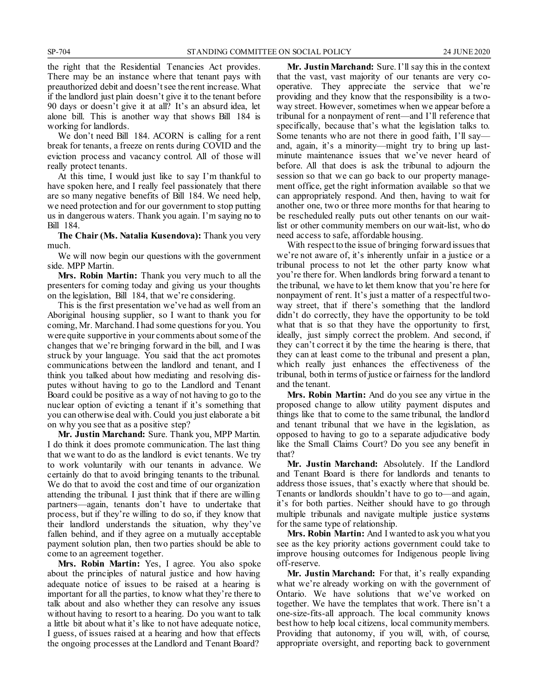the right that the Residential Tenancies Act provides. There may be an instance where that tenant pays with preauthorized debit and doesn't see the rent increase. What if the landlord just plain doesn't give it to the tenant before 90 days or doesn't give it at all? It's an absurd idea, let alone bill. This is another way that shows Bill 184 is working for landlords.

We don't need Bill 184. ACORN is calling for a rent break for tenants, a freeze on rents during COVID and the eviction process and vacancy control. All of those will really protect tenants.

At this time, I would just like to say I'm thankful to have spoken here, and I really feel passionately that there are so many negative benefits of Bill 184. We need help, we need protection and for our government to stop putting us in dangerous waters. Thank you again. I'm saying no to Bill 184.

**The Chair (Ms. Natalia Kusendova):** Thank you very much.

We will now begin our questions with the government side. MPP Martin.

**Mrs. Robin Martin:** Thank you very much to all the presenters for coming today and giving us your thoughts on the legislation, Bill 184, that we're considering.

This is the first presentation we've had as well from an Aboriginal housing supplier, so I want to thank you for coming, Mr. Marchand. I had some questions for you. You were quite supportive in your comments about some of the changes that we're bringing forward in the bill, and I was struck by your language. You said that the act promotes communications between the landlord and tenant, and I think you talked about how mediating and resolving disputes without having to go to the Landlord and Tenant Board could be positive as a way of not having to go to the nuclear option of evicting a tenant if it's something that you can otherwise deal with. Could you just elaborate a bit on why you see that as a positive step?

**Mr. Justin Marchand:** Sure. Thank you, MPP Martin. I do think it does promote communication. The last thing that we want to do as the landlord is evict tenants. We try to work voluntarily with our tenants in advance. We certainly do that to avoid bringing tenants to the tribunal. We do that to avoid the cost and time of our organization attending the tribunal. I just think that if there are willing partners—again, tenants don't have to undertake that process, but if they're willing to do so, if they know that their landlord understands the situation, why they've fallen behind, and if they agree on a mutually acceptable payment solution plan, then two parties should be able to come to an agreement together.

**Mrs. Robin Martin:** Yes, I agree. You also spoke about the principles of natural justice and how having adequate notice of issues to be raised at a hearing is important for all the parties, to know what they're there to talk about and also whether they can resolve any issues without having to resort to a hearing. Do you want to talk a little bit about what it's like to not have adequate notice, I guess, of issues raised at a hearing and how that effects the ongoing processes at the Landlord and Tenant Board?

**Mr. Justin Marchand:** Sure. I'll say this in the context that the vast, vast majority of our tenants are very cooperative. They appreciate the service that we're providing and they know that the responsibility is a twoway street. However, sometimes when we appear before a tribunal for a nonpayment of rent—and I'll reference that specifically, because that's what the legislation talks to. Some tenants who are not there in good faith, I'll say and, again, it's a minority—might try to bring up lastminute maintenance issues that we've never heard of before. All that does is ask the tribunal to adjourn the session so that we can go back to our property management office, get the right information available so that we can appropriately respond. And then, having to wait for another one, two or three more months for that hearing to be rescheduled really puts out other tenants on our waitlist or other community members on our wait-list, who do need access to safe, affordable housing.

With respect to the issue of bringing forward issues that we're not aware of, it's inherently unfair in a justice or a tribunal process to not let the other party know what you're there for. When landlords bring forward a tenant to the tribunal, we have to let them know that you're here for nonpayment of rent. It's just a matter of a respectful twoway street, that if there's something that the landlord didn't do correctly, they have the opportunity to be told what that is so that they have the opportunity to first, ideally, just simply correct the problem. And second, if they can't correct it by the time the hearing is there, that they can at least come to the tribunal and present a plan, which really just enhances the effectiveness of the tribunal, both in terms of justice or fairness for the landlord and the tenant.

**Mrs. Robin Martin:** And do you see any virtue in the proposed change to allow utility payment disputes and things like that to come to the same tribunal, the landlord and tenant tribunal that we have in the legislation, as opposed to having to go to a separate adjudicative body like the Small Claims Court? Do you see any benefit in that?

**Mr. Justin Marchand:** Absolutely. If the Landlord and Tenant Board is there for landlords and tenants to address those issues, that's exactly where that should be. Tenants or landlords shouldn't have to go to—and again, it's for both parties. Neither should have to go through multiple tribunals and navigate multiple justice systems for the same type of relationship.

**Mrs. Robin Martin:** And I wanted to ask you what you see as the key priority actions government could take to improve housing outcomes for Indigenous people living off-reserve.

**Mr. Justin Marchand:** For that, it's really expanding what we're already working on with the government of Ontario. We have solutions that we've worked on together. We have the templates that work. There isn't a one-size-fits-all approach. The local community knows best how to help local citizens, local community members. Providing that autonomy, if you will, with, of course, appropriate oversight, and reporting back to government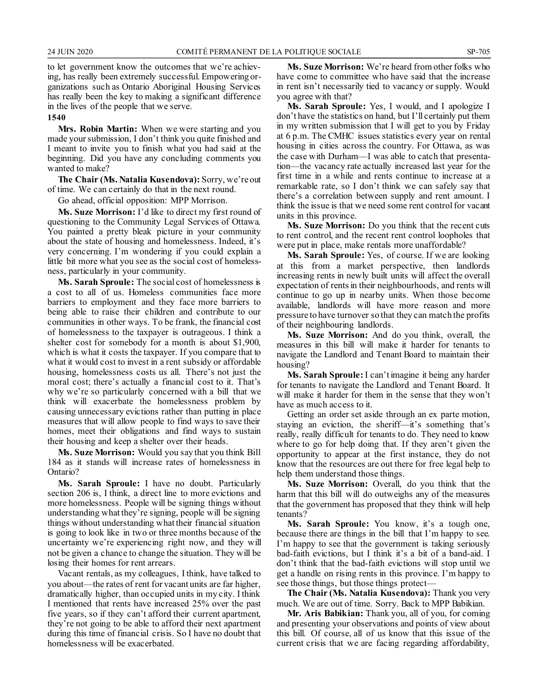to let government know the outcomes that we're achieving, has really been extremely successful. Empowering organizations such as Ontario Aboriginal Housing Services has really been the key to making a significant difference in the lives of the people that we serve.

**1540**

**Mrs. Robin Martin:** When we were starting and you made your submission, I don't think you quite finished and I meant to invite you to finish what you had said at the beginning. Did you have any concluding comments you wanted to make?

**The Chair (Ms. Natalia Kusendova):** Sorry, we're out of time. We can certainly do that in the next round.

Go ahead, official opposition: MPP Morrison.

**Ms. Suze Morrison:** I'd like to direct my first round of questioning to the Community Legal Services of Ottawa. You painted a pretty bleak picture in your community about the state of housing and homelessness. Indeed, it's very concerning. I'm wondering if you could explain a little bit more what you see as the social cost of homelessness, particularly in your community.

**Ms. Sarah Sproule:** The social cost of homelessness is a cost to all of us. Homeless communities face more barriers to employment and they face more barriers to being able to raise their children and contribute to our communities in other ways. To be frank, the financial cost of homelessness to the taxpayer is outrageous. I think a shelter cost for somebody for a month is about \$1,900, which is what it costs the taxpayer. If you compare that to what it would cost to invest in a rent subsidy or affordable housing, homelessness costs us all. There's not just the moral cost; there's actually a financial cost to it. That's why we're so particularly concerned with a bill that we think will exacerbate the homelessness problem by causing unnecessary evictions rather than putting in place measures that will allow people to find ways to save their homes, meet their obligations and find ways to sustain their housing and keep a shelter over their heads.

**Ms. Suze Morrison:** Would you say that you think Bill 184 as it stands will increase rates of homelessness in Ontario?

**Ms. Sarah Sproule:** I have no doubt. Particularly section 206 is, I think, a direct line to more evictions and more homelessness. People will be signing things without understanding what they're signing, people will be signing things without understanding what their financial situation is going to look like in two or three months because of the uncertainty we're experiencing right now, and they will not be given a chance to change the situation. They will be losing their homes for rent arrears.

Vacant rentals, as my colleagues, I think, have talked to you about—the rates of rent for vacant units are far higher, dramatically higher, than occupied units in my city. I think I mentioned that rents have increased 25% over the past five years, so if they can't afford their current apartment, they're not going to be able to afford their next apartment during this time of financial crisis. So I have no doubt that homelessness will be exacerbated.

**Ms. Suze Morrison:** We're heard from other folks who have come to committee who have said that the increase in rent isn't necessarily tied to vacancy or supply. Would you agree with that?

**Ms. Sarah Sproule:** Yes, I would, and I apologize I don't have the statistics on hand, but I'll certainly put them in my written submission that I will get to you by Friday at 6 p.m. The CMHC issues statistics every year on rental housing in cities across the country. For Ottawa, as was the case with Durham—I was able to catch that presentation—the vacancy rate actually increased last year for the first time in a while and rents continue to increase at a remarkable rate, so I don't think we can safely say that there's a correlation between supply and rent amount. I think the issue is that we need some rent control for vacant units in this province.

**Ms. Suze Morrison:** Do you think that the recent cuts to rent control, and the recent rent control loopholes that were put in place, make rentals more unaffordable?

**Ms. Sarah Sproule:** Yes, of course. If we are looking at this from a market perspective, then landlords increasing rents in newly built units will affect the overall expectation of rents in their neighbourhoods, and rents will continue to go up in nearby units. When those become available, landlords will have more reason and more pressure to have turnover so that they can match the profits of their neighbouring landlords.

**Ms. Suze Morrison:** And do you think, overall, the measures in this bill will make it harder for tenants to navigate the Landlord and Tenant Board to maintain their housing?

**Ms. Sarah Sproule:** I can't imagine it being any harder for tenants to navigate the Landlord and Tenant Board. It will make it harder for them in the sense that they won't have as much access to it.

Getting an order set aside through an ex parte motion, staying an eviction, the sheriff—it's something that's really, really difficult for tenants to do. They need to know where to go for help doing that. If they aren't given the opportunity to appear at the first instance, they do not know that the resources are out there for free legal help to help them understand those things.

**Ms. Suze Morrison:** Overall, do you think that the harm that this bill will do outweighs any of the measures that the government has proposed that they think will help tenants?

**Ms. Sarah Sproule:** You know, it's a tough one, because there are things in the bill that I'm happy to see. I'm happy to see that the government is taking seriously bad-faith evictions, but I think it's a bit of a band-aid. I don't think that the bad-faith evictions will stop until we get a handle on rising rents in this province. I'm happy to see those things, but those things protect—

**The Chair (Ms. Natalia Kusendova):** Thank you very much. We are out of time. Sorry. Back to MPP Babikian.

**Mr. Aris Babikian:** Thank you, all of you, for coming and presenting your observations and points of view about this bill. Of course, all of us know that this issue of the current crisis that we are facing regarding affordability,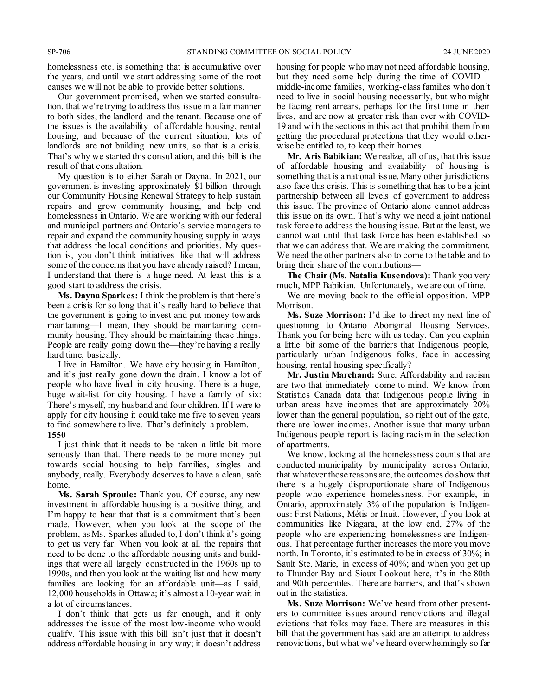homelessness etc. is something that is accumulative over the years, and until we start addressing some of the root causes we will not be able to provide better solutions.

Our government promised, when we started consultation, that we're trying to address this issue in a fair manner to both sides, the landlord and the tenant. Because one of the issues is the availability of affordable housing, rental housing, and because of the current situation, lots of landlords are not building new units, so that is a crisis. That's why we started this consultation, and this bill is the result of that consultation.

My question is to either Sarah or Dayna. In 2021, our government is investing approximately \$1 billion through our Community Housing Renewal Strategy to help sustain repairs and grow community housing, and help end homelessness in Ontario. We are working with our federal and municipal partners and Ontario's service managers to repair and expand the community housing supply in ways that address the local conditions and priorities. My question is, you don't think initiatives like that will address some of the concerns that you have already raised? I mean, I understand that there is a huge need. At least this is a good start to address the crisis.

**Ms. Dayna Sparkes:** I think the problem is that there's been a crisis for so long that it's really hard to believe that the government is going to invest and put money towards maintaining—I mean, they should be maintaining community housing. They should be maintaining these things. People are really going down the—they're having a really hard time, basically.

I live in Hamilton. We have city housing in Hamilton, and it's just really gone down the drain. I know a lot of people who have lived in city housing. There is a huge, huge wait-list for city housing. I have a family of six: There's myself, my husband and four children. If I were to apply for city housing it could take me five to seven years to find somewhere to live. That's definitely a problem. **1550**

I just think that it needs to be taken a little bit more seriously than that. There needs to be more money put towards social housing to help families, singles and anybody, really. Everybody deserves to have a clean, safe home.

**Ms. Sarah Sproule:** Thank you. Of course, any new investment in affordable housing is a positive thing, and I'm happy to hear that that is a commitment that's been made. However, when you look at the scope of the problem, as Ms. Sparkes alluded to, I don't think it's going to get us very far. When you look at all the repairs that need to be done to the affordable housing units and buildings that were all largely constructed in the 1960s up to 1990s, and then you look at the waiting list and how many families are looking for an affordable unit—as I said, 12,000 households in Ottawa; it's almost a 10-year wait in a lot of circumstances.

I don't think that gets us far enough, and it only addresses the issue of the most low-income who would qualify. This issue with this bill isn't just that it doesn't address affordable housing in any way; it doesn't address housing for people who may not need affordable housing, but they need some help during the time of COVID middle-income families, working-class families who don't need to live in social housing necessarily, but who might be facing rent arrears, perhaps for the first time in their lives, and are now at greater risk than ever with COVID-19 and with the sections in this act that prohibit them from getting the procedural protections that they would otherwise be entitled to, to keep their homes.

**Mr. Aris Babikian:** We realize, all of us, that this issue of affordable housing and availability of housing is something that is a national issue. Many other jurisdictions also face this crisis. This is something that has to be a joint partnership between all levels of government to address this issue. The province of Ontario alone cannot address this issue on its own. That's why we need a joint national task force to address the housing issue. But at the least, we cannot wait until that task force has been established so that we can address that. We are making the commitment. We need the other partners also to come to the table and to bring their share of the contributions—

**The Chair (Ms. Natalia Kusendova):** Thank you very much, MPP Babikian. Unfortunately, we are out of time.

We are moving back to the official opposition. MPP Morrison.

**Ms. Suze Morrison:** I'd like to direct my next line of questioning to Ontario Aboriginal Housing Services. Thank you for being here with us today. Can you explain a little bit some of the barriers that Indigenous people, particularly urban Indigenous folks, face in accessing housing, rental housing specifically?

**Mr. Justin Marchand:** Sure. Affordability and racism are two that immediately come to mind. We know from Statistics Canada data that Indigenous people living in urban areas have incomes that are approximately 20% lower than the general population, so right out of the gate, there are lower incomes. Another issue that many urban Indigenous people report is facing racism in the selection of apartments.

We know, looking at the homelessness counts that are conducted municipality by municipality across Ontario, that whatever those reasons are, the outcomes do show that there is a hugely disproportionate share of Indigenous people who experience homelessness. For example, in Ontario, approximately 3% of the population is Indigenous: First Nations, Métis or Inuit. However, if you look at communities like Niagara, at the low end, 27% of the people who are experiencing homelessness are Indigenous. That percentage further increases the more you move north. In Toronto, it's estimated to be in excess of 30%; in Sault Ste. Marie, in excess of 40%; and when you get up to Thunder Bay and Sioux Lookout here, it's in the 80th and 90th percentiles. There are barriers, and that's shown out in the statistics.

**Ms. Suze Morrison:** We've heard from other presenters to committee issues around renovictions and illegal evictions that folks may face. There are measures in this bill that the government has said are an attempt to address renovictions, but what we've heard overwhelmingly so far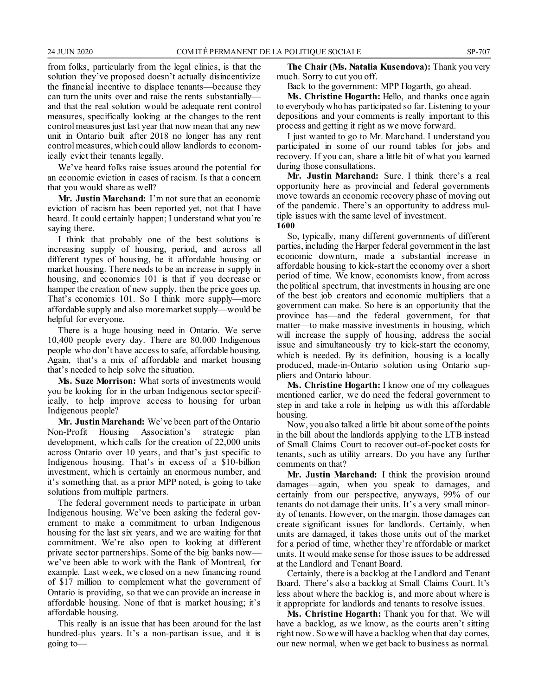from folks, particularly from the legal clinics, is that the solution they've proposed doesn't actually disincentivize the financial incentive to displace tenants—because they can turn the units over and raise the rents substantially and that the real solution would be adequate rent control measures, specifically looking at the changes to the rent control measures just last year that now mean that any new unit in Ontario built after 2018 no longer has any rent control measures, which could allow landlords to economically evict their tenants legally.

We've heard folks raise issues around the potential for an economic eviction in cases of racism. Is that a concern that you would share as well?

**Mr. Justin Marchand:** I'm not sure that an economic eviction of racism has been reported yet, not that I have heard. It could certainly happen; I understand what you're saying there.

I think that probably one of the best solutions is increasing supply of housing, period, and across all different types of housing, be it affordable housing or market housing. There needs to be an increase in supply in housing, and economics 101 is that if you decrease or hamper the creation of new supply, then the price goes up. That's economics 101. So I think more supply—more affordable supply and also more market supply—would be helpful for everyone.

There is a huge housing need in Ontario. We serve 10,400 people every day. There are 80,000 Indigenous people who don't have access to safe, affordable housing. Again, that's a mix of affordable and market housing that's needed to help solve the situation.

**Ms. Suze Morrison:** What sorts of investments would you be looking for in the urban Indigenous sector specifically, to help improve access to housing for urban Indigenous people?

**Mr. Justin Marchand:** We've been part of the Ontario Non-Profit Housing Association's strategic plan development, which calls for the creation of 22,000 units across Ontario over 10 years, and that's just specific to Indigenous housing. That's in excess of a \$10-billion investment, which is certainly an enormous number, and it's something that, as a prior MPP noted, is going to take solutions from multiple partners.

The federal government needs to participate in urban Indigenous housing. We've been asking the federal government to make a commitment to urban Indigenous housing for the last six years, and we are waiting for that commitment. We're also open to looking at different private sector partnerships. Some of the big banks now we've been able to work with the Bank of Montreal, for example. Last week, we closed on a new financing round of \$17 million to complement what the government of Ontario is providing, so that we can provide an increase in affordable housing. None of that is market housing; it's affordable housing.

This really is an issue that has been around for the last hundred-plus years. It's a non-partisan issue, and it is going to—

**The Chair (Ms. Natalia Kusendova):** Thank you very much. Sorry to cut you off.

Back to the government: MPP Hogarth, go ahead.

**Ms. Christine Hogarth:** Hello, and thanks once again to everybody who has participated so far. Listening to your depositions and your comments is really important to this process and getting it right as we move forward.

I just wanted to go to Mr. Marchand. I understand you participated in some of our round tables for jobs and recovery. If you can, share a little bit of what you learned during those consultations.

**Mr. Justin Marchand:** Sure. I think there's a real opportunity here as provincial and federal governments move towards an economic recovery phase of moving out of the pandemic. There's an opportunity to address multiple issues with the same level of investment. **1600**

So, typically, many different governments of different parties, including the Harper federal government in the last economic downturn, made a substantial increase in affordable housing to kick-start the economy over a short period of time. We know, economists know, from across the political spectrum, that investments in housing are one of the best job creators and economic multipliers that a government can make. So here is an opportunity that the province has—and the federal government, for that matter—to make massive investments in housing, which will increase the supply of housing, address the social issue and simultaneously try to kick-start the economy, which is needed. By its definition, housing is a locally produced, made-in-Ontario solution using Ontario suppliers and Ontario labour.

**Ms. Christine Hogarth:** I know one of my colleagues mentioned earlier, we do need the federal government to step in and take a role in helping us with this affordable housing.

Now, you also talked a little bit about some of the points in the bill about the landlords applying to the LTB instead of Small Claims Court to recover out-of-pocket costs for tenants, such as utility arrears. Do you have any further comments on that?

**Mr. Justin Marchand:** I think the provision around damages—again, when you speak to damages, and certainly from our perspective, anyways, 99% of our tenants do not damage their units. It's a very small minority of tenants. However, on the margin, those damages can create significant issues for landlords. Certainly, when units are damaged, it takes those units out of the market for a period of time, whether they're affordable or market units. It would make sense for those issues to be addressed at the Landlord and Tenant Board.

Certainly, there is a backlog at the Landlord and Tenant Board. There's also a backlog at Small Claims Court. It's less about where the backlog is, and more about where is it appropriate for landlords and tenants to resolve issues.

**Ms. Christine Hogarth:** Thank you for that. We will have a backlog, as we know, as the courts aren't sitting right now. So we will have a backlog when that day comes, our new normal, when we get back to business as normal.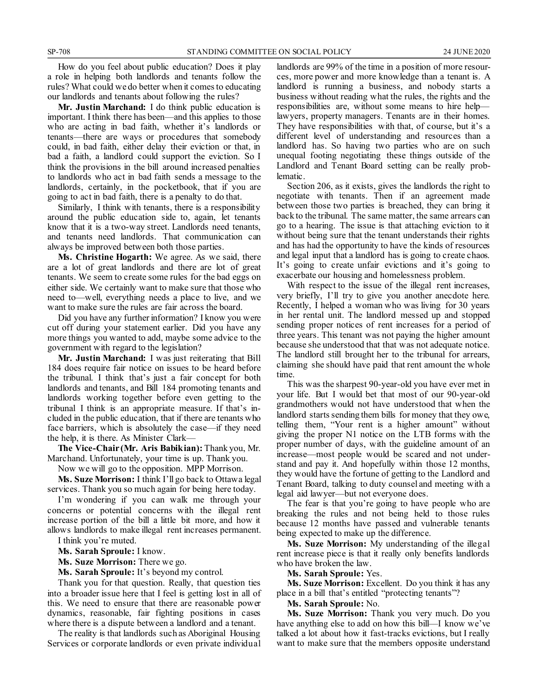How do you feel about public education? Does it play a role in helping both landlords and tenants follow the rules? What could we do better when it comes to educating our landlords and tenants about following the rules?

**Mr. Justin Marchand:** I do think public education is important. I think there has been—and this applies to those who are acting in bad faith, whether it's landlords or tenants—there are ways or procedures that somebody could, in bad faith, either delay their eviction or that, in bad a faith, a landlord could support the eviction. So I think the provisions in the bill around increased penalties to landlords who act in bad faith sends a message to the landlords, certainly, in the pocketbook, that if you are going to act in bad faith, there is a penalty to do that.

Similarly, I think with tenants, there is a responsibility around the public education side to, again, let tenants know that it is a two-way street. Landlords need tenants, and tenants need landlords. That communication can always be improved between both those parties.

**Ms. Christine Hogarth:** We agree. As we said, there are a lot of great landlords and there are lot of great tenants. We seem to create some rules for the bad eggs on either side. We certainly want to make sure that those who need to—well, everything needs a place to live, and we want to make sure the rules are fair across the board.

Did you have any further information? I know you were cut off during your statement earlier. Did you have any more things you wanted to add, maybe some advice to the government with regard to the legislation?

**Mr. Justin Marchand:** I was just reiterating that Bill 184 does require fair notice on issues to be heard before the tribunal. I think that's just a fair concept for both landlords and tenants, and Bill 184 promoting tenants and landlords working together before even getting to the tribunal I think is an appropriate measure. If that's included in the public education, that if there are tenants who face barriers, which is absolutely the case—if they need the help, it is there. As Minister Clark—

**The Vice-Chair (Mr. Aris Babikian):** Thank you, Mr. Marchand. Unfortunately, your time is up. Thank you.

Now we will go to the opposition. MPP Morrison.

**Ms. Suze Morrison:** I think I'll go back to Ottawa legal services. Thank you so much again for being here today.

I'm wondering if you can walk me through your concerns or potential concerns with the illegal rent increase portion of the bill a little bit more, and how it allows landlords to make illegal rent increases permanent.

I think you're muted.

**Ms. Sarah Sproule:** I know.

**Ms. Suze Morrison:** There we go.

**Ms. Sarah Sproule:** It's beyond my control.

Thank you for that question. Really, that question ties into a broader issue here that I feel is getting lost in all of this. We need to ensure that there are reasonable power dynamics, reasonable, fair fighting positions in cases where there is a dispute between a landlord and a tenant.

The reality is that landlords such as Aboriginal Housing Services or corporate landlords or even private individual landlords are 99% of the time in a position of more resources, more power and more knowledge than a tenant is. A landlord is running a business, and nobody starts a business without reading what the rules, the rights and the responsibilities are, without some means to hire help lawyers, property managers. Tenants are in their homes. They have responsibilities with that, of course, but it's a different level of understanding and resources than a landlord has. So having two parties who are on such unequal footing negotiating these things outside of the Landlord and Tenant Board setting can be really problematic.

Section 206, as it exists, gives the landlords the right to negotiate with tenants. Then if an agreement made between those two parties is breached, they can bring it back to the tribunal. The same matter, the same arrears can go to a hearing. The issue is that attaching eviction to it without being sure that the tenant understands their rights and has had the opportunity to have the kinds of resources and legal input that a landlord has is going to create chaos. It's going to create unfair evictions and it's going to exacerbate our housing and homelessness problem.

With respect to the issue of the illegal rent increases, very briefly, I'll try to give you another anecdote here. Recently, I helped a woman who was living for 30 years in her rental unit. The landlord messed up and stopped sending proper notices of rent increases for a period of three years. This tenant was not paying the higher amount because she understood that that was not adequate notice. The landlord still brought her to the tribunal for arrears, claiming she should have paid that rent amount the whole time.

This was the sharpest 90-year-old you have ever met in your life. But I would bet that most of our 90-year-old grandmothers would not have understood that when the landlord starts sending them bills for money that they owe, telling them, "Your rent is a higher amount" without giving the proper N1 notice on the LTB forms with the proper number of days, with the guideline amount of an increase—most people would be scared and not understand and pay it. And hopefully within those 12 months, they would have the fortune of getting to the Landlord and Tenant Board, talking to duty counsel and meeting with a legal aid lawyer—but not everyone does.

The fear is that you're going to have people who are breaking the rules and not being held to those rules because 12 months have passed and vulnerable tenants being expected to make up the difference.

**Ms. Suze Morrison:** My understanding of the illegal rent increase piece is that it really only benefits landlords who have broken the law.

**Ms. Sarah Sproule:** Yes.

**Ms. Suze Morrison:** Excellent. Do you think it has any place in a bill that's entitled "protecting tenants"?

**Ms. Sarah Sproule:** No.

**Ms. Suze Morrison:** Thank you very much. Do you have anything else to add on how this bill—I know we've talked a lot about how it fast-tracks evictions, but I really want to make sure that the members opposite understand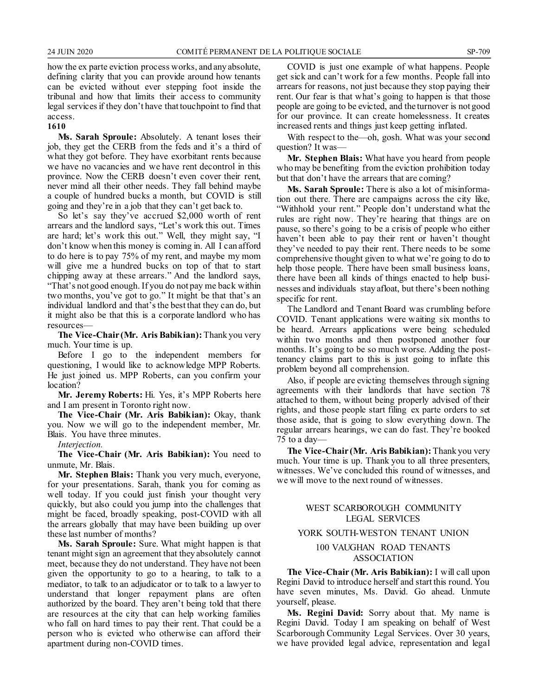how the ex parte eviction process works, and any absolute, defining clarity that you can provide around how tenants can be evicted without ever stepping foot inside the tribunal and how that limits their access to community legal services if they don't have that touchpoint to find that access.

#### **1610**

**Ms. Sarah Sproule:** Absolutely. A tenant loses their job, they get the CERB from the feds and it's a third of what they got before. They have exorbitant rents because we have no vacancies and we have rent decontrol in this province. Now the CERB doesn't even cover their rent, never mind all their other needs. They fall behind maybe a couple of hundred bucks a month, but COVID is still going and they're in a job that they can't get back to.

So let's say they've accrued \$2,000 worth of rent arrears and the landlord says, "Let's work this out. Times are hard; let's work this out." Well, they might say, "I don't know when this money is coming in. All I can afford to do here is to pay 75% of my rent, and maybe my mom will give me a hundred bucks on top of that to start chipping away at these arrears." And the landlord says, "That's not good enough. If you do not pay me back within two months, you've got to go." It might be that that's an individual landlord and that's the best that they can do, but it might also be that this is a corporate landlord who has resources—

**The Vice-Chair (Mr. Aris Babikian):** Thank you very much. Your time is up.

Before I go to the independent members for questioning, I would like to acknowledge MPP Roberts. He just joined us. MPP Roberts, can you confirm your location?

**Mr. Jeremy Roberts:** Hi. Yes, it's MPP Roberts here and I am present in Toronto right now.

**The Vice-Chair (Mr. Aris Babikian):** Okay, thank you. Now we will go to the independent member, Mr. Blais. You have three minutes.

#### *Interjection.*

**The Vice-Chair (Mr. Aris Babikian):** You need to unmute, Mr. Blais.

**Mr. Stephen Blais:** Thank you very much, everyone, for your presentations. Sarah, thank you for coming as well today. If you could just finish your thought very quickly, but also could you jump into the challenges that might be faced, broadly speaking, post-COVID with all the arrears globally that may have been building up over these last number of months?

**Ms. Sarah Sproule:** Sure. What might happen is that tenant might sign an agreement that they absolutely cannot meet, because they do not understand. They have not been given the opportunity to go to a hearing, to talk to a mediator, to talk to an adjudicator or to talk to a lawyer to understand that longer repayment plans are often authorized by the board. They aren't being told that there are resources at the city that can help working families who fall on hard times to pay their rent. That could be a person who is evicted who otherwise can afford their apartment during non-COVID times.

COVID is just one example of what happens. People get sick and can't work for a few months. People fall into arrears for reasons, not just because they stop paying their rent. Our fear is that what's going to happen is that those people are going to be evicted, and the turnover is not good for our province. It can create homelessness. It creates increased rents and things just keep getting inflated.

With respect to the—oh, gosh. What was your second question? It was—

**Mr. Stephen Blais:** What have you heard from people who may be benefiting from the eviction prohibition today but that don't have the arrears that are coming?

**Ms. Sarah Sproule:** There is also a lot of misinformation out there. There are campaigns across the city like, "Withhold your rent." People don't understand what the rules are right now. They're hearing that things are on pause, so there's going to be a crisis of people who either haven't been able to pay their rent or haven't thought they've needed to pay their rent. There needs to be some comprehensive thought given to what we're going to do to help those people. There have been small business loans, there have been all kinds of things enacted to help businesses and individuals stay afloat, but there's been nothing specific for rent.

The Landlord and Tenant Board was crumbling before COVID. Tenant applications were waiting six months to be heard. Arrears applications were being scheduled within two months and then postponed another four months. It's going to be so much worse. Adding the posttenancy claims part to this is just going to inflate this problem beyond all comprehension.

Also, if people are evicting themselves through signing agreements with their landlords that have section 78 attached to them, without being properly advised of their rights, and those people start filing ex parte orders to set those aside, that is going to slow everything down. The regular arrears hearings, we can do fast. They're booked 75 to a day—

**The Vice-Chair (Mr. Aris Babikian):** Thank you very much. Your time is up. Thank you to all three presenters, witnesses. We've concluded this round of witnesses, and we will move to the next round of witnesses.

#### WEST SCARBOROUGH COMMUNITY LEGAL SERVICES

#### YORK SOUTH-WESTON TENANT UNION

#### 100 VAUGHAN ROAD TENANTS ASSOCIATION

**The Vice-Chair (Mr. Aris Babikian):** I will call upon Regini David to introduce herself and start this round. You have seven minutes, Ms. David. Go ahead. Unmute yourself, please.

**Ms. Regini David:** Sorry about that. My name is Regini David. Today I am speaking on behalf of West Scarborough Community Legal Services. Over 30 years, we have provided legal advice, representation and legal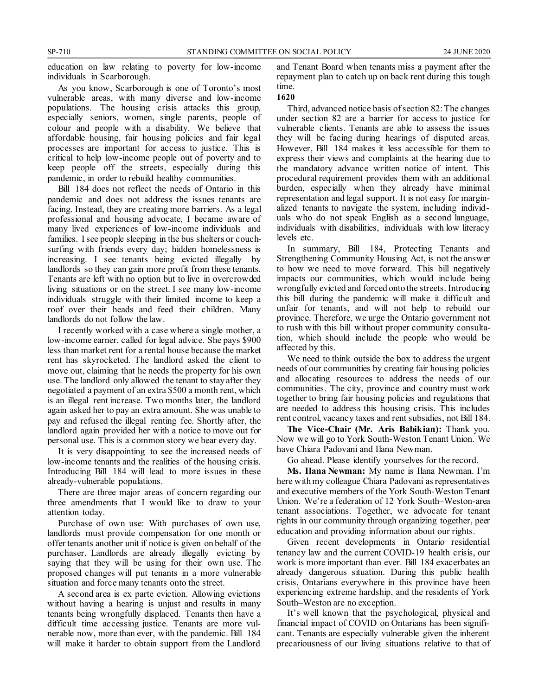education on law relating to poverty for low-income individuals in Scarborough.

As you know, Scarborough is one of Toronto's most vulnerable areas, with many diverse and low-income populations. The housing crisis attacks this group, especially seniors, women, single parents, people of colour and people with a disability. We believe that affordable housing, fair housing policies and fair legal processes are important for access to justice. This is critical to help low-income people out of poverty and to keep people off the streets, especially during this pandemic, in order to rebuild healthy communities.

Bill 184 does not reflect the needs of Ontario in this pandemic and does not address the issues tenants are facing. Instead, they are creating more barriers. As a legal professional and housing advocate, I became aware of many lived experiences of low-income individuals and families. I see people sleeping in the bus shelters or couchsurfing with friends every day; hidden homelessness is increasing. I see tenants being evicted illegally by landlords so they can gain more profit from these tenants. Tenants are left with no option but to live in overcrowded living situations or on the street. I see many low-income individuals struggle with their limited income to keep a roof over their heads and feed their children. Many landlords do not follow the law.

I recently worked with a case where a single mother, a low-income earner, called for legal advice. She pays \$900 less than market rent for a rental house because the market rent has skyrocketed. The landlord asked the client to move out, claiming that he needs the property for his own use. The landlord only allowed the tenant to stay after they negotiated a payment of an extra \$500 a month rent, which is an illegal rent increase. Two months later, the landlord again asked her to pay an extra amount. She was unable to pay and refused the illegal renting fee. Shortly after, the landlord again provided her with a notice to move out for personal use. This is a common story we hear every day.

It is very disappointing to see the increased needs of low-income tenants and the realities of the housing crisis. Introducing Bill 184 will lead to more issues in these already-vulnerable populations.

There are three major areas of concern regarding our three amendments that I would like to draw to your attention today.

Purchase of own use: With purchases of own use, landlords must provide compensation for one month or offer tenants another unit if notice is given on behalf of the purchaser. Landlords are already illegally evicting by saying that they will be using for their own use. The proposed changes will put tenants in a more vulnerable situation and force many tenants onto the street.

A second area is ex parte eviction. Allowing evictions without having a hearing is unjust and results in many tenants being wrongfully displaced. Tenants then have a difficult time accessing justice. Tenants are more vulnerable now, more than ever, with the pandemic. Bill 184 will make it harder to obtain support from the Landlord and Tenant Board when tenants miss a payment after the repayment plan to catch up on back rent during this tough time.

#### **1620**

Third, advanced notice basis of section 82: The changes under section 82 are a barrier for access to justice for vulnerable clients. Tenants are able to assess the issues they will be facing during hearings of disputed areas. However, Bill 184 makes it less accessible for them to express their views and complaints at the hearing due to the mandatory advance written notice of intent. This procedural requirement provides them with an additional burden, especially when they already have minimal representation and legal support. It is not easy for marginalized tenants to navigate the system, including individuals who do not speak English as a second language, individuals with disabilities, individuals with low literacy levels etc.

In summary, Bill 184, Protecting Tenants and Strengthening Community Housing Act, is not the answer to how we need to move forward. This bill negatively impacts our communities, which would include being wrongfully evicted and forced onto the streets. Introducing this bill during the pandemic will make it difficult and unfair for tenants, and will not help to rebuild our province. Therefore, we urge the Ontario government not to rush with this bill without proper community consultation, which should include the people who would be affected by this.

We need to think outside the box to address the urgent needs of our communities by creating fair housing policies and allocating resources to address the needs of our communities. The city, province and country must work together to bring fair housing policies and regulations that are needed to address this housing crisis. This includes rent control, vacancy taxes and rent subsidies, not Bill 184.

**The Vice-Chair (Mr. Aris Babikian):** Thank you. Now we will go to York South-Weston Tenant Union. We have Chiara Padovani and Ilana Newman.

Go ahead. Please identify yourselves for the record.

**Ms. Ilana Newman:** My name is Ilana Newman. I'm here with my colleague Chiara Padovani as representatives and executive members of the York South-Weston Tenant Union. We're a federation of 12 York South–Weston-area tenant associations. Together, we advocate for tenant rights in our community through organizing together, peer education and providing information about our rights.

Given recent developments in Ontario residential tenancy law and the current COVID-19 health crisis, our work is more important than ever. Bill 184 exacerbates an already dangerous situation. During this public health crisis, Ontarians everywhere in this province have been experiencing extreme hardship, and the residents of York South–Weston are no exception.

It's well known that the psychological, physical and financial impact of COVID on Ontarians has been significant. Tenants are especially vulnerable given the inherent precariousness of our living situations relative to that of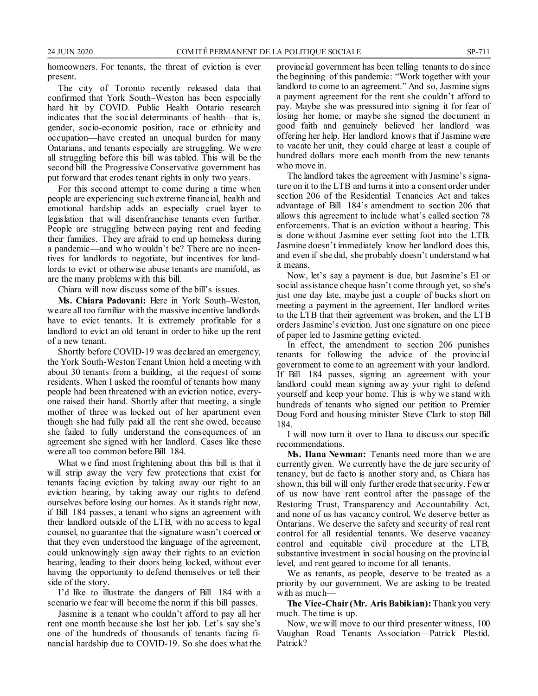homeowners. For tenants, the threat of eviction is ever present.

The city of Toronto recently released data that confirmed that York South–Weston has been especially hard hit by COVID. Public Health Ontario research indicates that the social determinants of health—that is, gender, socio-economic position, race or ethnicity and occupation—have created an unequal burden for many Ontarians, and tenants especially are struggling. We were all struggling before this bill was tabled. This will be the second bill the Progressive Conservative government has put forward that erodes tenant rights in only two years.

For this second attempt to come during a time when people are experiencing such extreme financial, health and emotional hardship adds an especially cruel layer to legislation that will disenfranchise tenants even further. People are struggling between paying rent and feeding their families. They are afraid to end up homeless during a pandemic—and who wouldn't be? There are no incentives for landlords to negotiate, but incentives for landlords to evict or otherwise abuse tenants are manifold, as are the many problems with this bill.

Chiara will now discuss some of the bill's issues.

**Ms. Chiara Padovani:** Here in York South–Weston, we are all too familiar with the massive incentive landlords have to evict tenants. It is extremely profitable for a landlord to evict an old tenant in order to hike up the rent of a new tenant.

Shortly before COVID-19 was declared an emergency, the York South-Weston Tenant Union held a meeting with about 30 tenants from a building, at the request of some residents. When I asked the roomful of tenants how many people had been threatened with an eviction notice, everyone raised their hand. Shortly after that meeting, a single mother of three was locked out of her apartment even though she had fully paid all the rent she owed, because she failed to fully understand the consequences of an agreement she signed with her landlord. Cases like these were all too common before Bill 184.

What we find most frightening about this bill is that it will strip away the very few protections that exist for tenants facing eviction by taking away our right to an eviction hearing, by taking away our rights to defend ourselves before losing our homes. As it stands right now, if Bill 184 passes, a tenant who signs an agreement with their landlord outside of the LTB, with no access to legal counsel, no guarantee that the signature wasn't coerced or that they even understood the language of the agreement, could unknowingly sign away their rights to an eviction hearing, leading to their doors being locked, without ever having the opportunity to defend themselves or tell their side of the story.

I'd like to illustrate the dangers of Bill 184 with a scenario we fear will become the norm if this bill passes.

Jasmine is a tenant who couldn't afford to pay all her rent one month because she lost her job. Let's say she's one of the hundreds of thousands of tenants facing financial hardship due to COVID-19. So she does what the provincial government has been telling tenants to do since the beginning of this pandemic: "Work together with your landlord to come to an agreement." And so, Jasmine signs a payment agreement for the rent she couldn't afford to pay. Maybe she was pressured into signing it for fear of losing her home, or maybe she signed the document in good faith and genuinely believed her landlord was offering her help. Her landlord knows that if Jasmine were to vacate her unit, they could charge at least a couple of hundred dollars more each month from the new tenants who move in.

The landlord takes the agreement with Jasmine's signature on it to the LTB and turns it into a consent order under section 206 of the Residential Tenancies Act and takes advantage of Bill 184's amendment to section 206 that allows this agreement to include what's called section 78 enforcements. That is an eviction without a hearing. This is done without Jasmine ever setting foot into the LTB. Jasmine doesn't immediately know her landlord does this, and even if she did, she probably doesn't understand what it means.

Now, let's say a payment is due, but Jasmine's EI or social assistance cheque hasn't come through yet, so she's just one day late, maybe just a couple of bucks short on meeting a payment in the agreement. Her landlord writes to the LTB that their agreement was broken, and the LTB orders Jasmine's eviction. Just one signature on one piece of paper led to Jasmine getting evicted.

In effect, the amendment to section 206 punishes tenants for following the advice of the provincial government to come to an agreement with your landlord. If Bill 184 passes, signing an agreement with your landlord could mean signing away your right to defend yourself and keep your home. This is why we stand with hundreds of tenants who signed our petition to Premier Doug Ford and housing minister Steve Clark to stop Bill 184.

I will now turn it over to Ilana to discuss our specific recommendations.

**Ms. Ilana Newman:** Tenants need more than we are currently given. We currently have the de jure security of tenancy, but de facto is another story and, as Chiara has shown, this bill will only further erode that security. Fewer of us now have rent control after the passage of the Restoring Trust, Transparency and Accountability Act, and none of us has vacancy control. We deserve better as Ontarians. We deserve the safety and security of real rent control for all residential tenants. We deserve vacancy control and equitable civil procedure at the LTB, substantive investment in social housing on the provincial level, and rent geared to income for all tenants.

We as tenants, as people, deserve to be treated as a priority by our government. We are asking to be treated with as much-

**The Vice-Chair (Mr. Aris Babikian):** Thank you very much. The time is up.

Now, we will move to our third presenter witness, 100 Vaughan Road Tenants Association—Patrick Plestid. Patrick?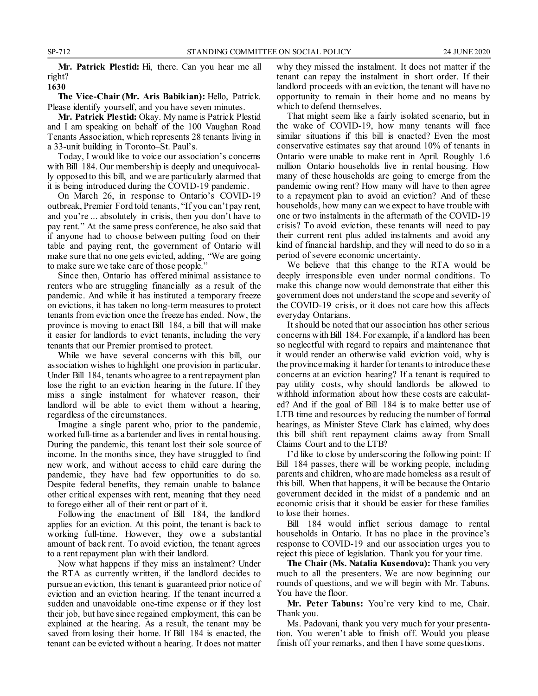**Mr. Patrick Plestid:** Hi, there. Can you hear me all right? **1630**

**The Vice-Chair (Mr. Aris Babikian):** Hello, Patrick. Please identify yourself, and you have seven minutes.

**Mr. Patrick Plestid:** Okay. My name is Patrick Plestid and I am speaking on behalf of the 100 Vaughan Road Tenants Association, which represents 28 tenants living in a 33-unit building in Toronto–St. Paul's.

Today, I would like to voice our association's concerns with Bill 184. Our membership is deeply and unequivocally opposed to this bill, and we are particularly alarmed that it is being introduced during the COVID-19 pandemic.

On March 26, in response to Ontario's COVID-19 outbreak, Premier Ford told tenants, "If you can't pay rent, and you're ... absolutely in crisis, then you don't have to pay rent." At the same press conference, he also said that if anyone had to choose between putting food on their table and paying rent, the government of Ontario will make sure that no one gets evicted, adding, "We are going to make sure we take care of those people."

Since then, Ontario has offered minimal assistance to renters who are struggling financially as a result of the pandemic. And while it has instituted a temporary freeze on evictions, it has taken no long-term measures to protect tenants from eviction once the freeze has ended. Now, the province is moving to enact Bill 184, a bill that will make it easier for landlords to evict tenants, including the very tenants that our Premier promised to protect.

While we have several concerns with this bill, our association wishes to highlight one provision in particular. Under Bill 184, tenants who agree to a rent repayment plan lose the right to an eviction hearing in the future. If they miss a single instalment for whatever reason, their landlord will be able to evict them without a hearing, regardless of the circumstances.

Imagine a single parent who, prior to the pandemic, worked full-time as a bartender and lives in rental housing. During the pandemic, this tenant lost their sole source of income. In the months since, they have struggled to find new work, and without access to child care during the pandemic, they have had few opportunities to do so. Despite federal benefits, they remain unable to balance other critical expenses with rent, meaning that they need to forego either all of their rent or part of it.

Following the enactment of Bill 184, the landlord applies for an eviction. At this point, the tenant is back to working full-time. However, they owe a substantial amount of back rent. To avoid eviction, the tenant agrees to a rent repayment plan with their landlord.

Now what happens if they miss an instalment? Under the RTA as currently written, if the landlord decides to pursue an eviction, this tenant is guaranteed prior notice of eviction and an eviction hearing. If the tenant incurred a sudden and unavoidable one-time expense or if they lost their job, but have since regained employment, this can be explained at the hearing. As a result, the tenant may be saved from losing their home. If Bill 184 is enacted, the tenant can be evicted without a hearing. It does not matter why they missed the instalment. It does not matter if the tenant can repay the instalment in short order. If their landlord proceeds with an eviction, the tenant will have no opportunity to remain in their home and no means by which to defend themselves.

That might seem like a fairly isolated scenario, but in the wake of COVID-19, how many tenants will face similar situations if this bill is enacted? Even the most conservative estimates say that around 10% of tenants in Ontario were unable to make rent in April. Roughly 1.6 million Ontario households live in rental housing. How many of these households are going to emerge from the pandemic owing rent? How many will have to then agree to a repayment plan to avoid an eviction? And of these households, how many can we expect to have trouble with one or two instalments in the aftermath of the COVID-19 crisis? To avoid eviction, these tenants will need to pay their current rent plus added instalments and avoid any kind of financial hardship, and they will need to do so in a period of severe economic uncertainty.

We believe that this change to the RTA would be deeply irresponsible even under normal conditions. To make this change now would demonstrate that either this government does not understand the scope and severity of the COVID-19 crisis, or it does not care how this affects everyday Ontarians.

It should be noted that our association has other serious concerns with Bill 184. For example, if a landlord has been so neglectful with regard to repairs and maintenance that it would render an otherwise valid eviction void, why is the province making it harder for tenants to introduce these concerns at an eviction hearing? If a tenant is required to pay utility costs, why should landlords be allowed to withhold information about how these costs are calculated? And if the goal of Bill 184 is to make better use of LTB time and resources by reducing the number of formal hearings, as Minister Steve Clark has claimed, why does this bill shift rent repayment claims away from Small Claims Court and to the LTB?

I'd like to close by underscoring the following point: If Bill 184 passes, there will be working people, including parents and children, who are made homeless as a result of this bill. When that happens, it will be because the Ontario government decided in the midst of a pandemic and an economic crisis that it should be easier for these families to lose their homes.

Bill 184 would inflict serious damage to rental households in Ontario. It has no place in the province's response to COVID-19 and our association urges you to reject this piece of legislation. Thank you for your time.

**The Chair (Ms. Natalia Kusendova):** Thank you very much to all the presenters. We are now beginning our rounds of questions, and we will begin with Mr. Tabuns. You have the floor.

**Mr. Peter Tabuns:** You're very kind to me, Chair. Thank you.

Ms. Padovani, thank you very much for your presentation. You weren't able to finish off. Would you please finish off your remarks, and then I have some questions.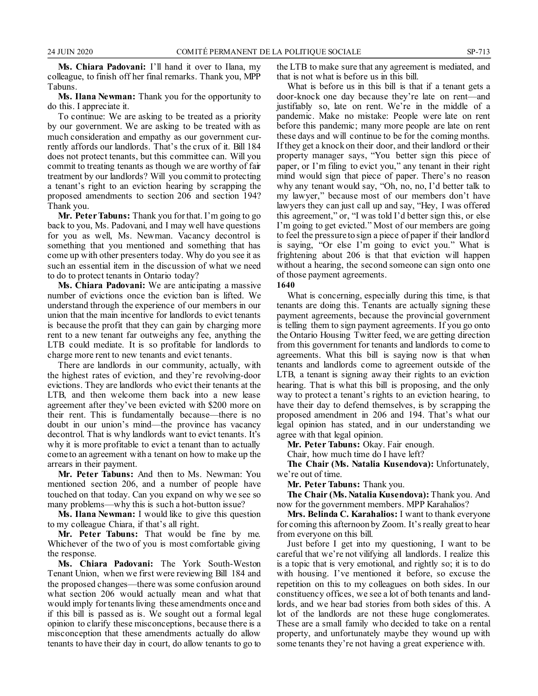**Ms. Chiara Padovani:** I'll hand it over to Ilana, my colleague, to finish off her final remarks. Thank you, MPP Tabuns.

**Ms. Ilana Newman:** Thank you for the opportunity to do this. I appreciate it.

To continue: We are asking to be treated as a priority by our government. We are asking to be treated with as much consideration and empathy as our government currently affords our landlords. That's the crux of it. Bill 184 does not protect tenants, but this committee can. Will you commit to treating tenants as though we are worthy of fair treatment by our landlords? Will you commit to protecting a tenant's right to an eviction hearing by scrapping the proposed amendments to section 206 and section 194? Thank you.

**Mr. Peter Tabuns:** Thank you for that. I'm going to go back to you, Ms. Padovani, and I may well have questions for you as well, Ms. Newman. Vacancy decontrol is something that you mentioned and something that has come up with other presenters today. Why do you see it as such an essential item in the discussion of what we need to do to protect tenants in Ontario today?

**Ms. Chiara Padovani:** We are anticipating a massive number of evictions once the eviction ban is lifted. We understand through the experience of our members in our union that the main incentive for landlords to evict tenants is because the profit that they can gain by charging more rent to a new tenant far outweighs any fee, anything the LTB could mediate. It is so profitable for landlords to charge more rent to new tenants and evict tenants.

There are landlords in our community, actually, with the highest rates of eviction, and they're revolving-door evictions. They are landlords who evict their tenants at the LTB, and then welcome them back into a new lease agreement after they've been evicted with \$200 more on their rent. This is fundamentally because—there is no doubt in our union's mind—the province has vacancy decontrol. That is why landlords want to evict tenants. It's why it is more profitable to evict a tenant than to actually come to an agreement with a tenant on how to make up the arrears in their payment.

**Mr. Peter Tabuns:** And then to Ms. Newman: You mentioned section 206, and a number of people have touched on that today. Can you expand on why we see so many problems—why this is such a hot-button issue?

**Ms. Ilana Newman:** I would like to give this question to my colleague Chiara, if that's all right.

**Mr. Peter Tabuns:** That would be fine by me. Whichever of the two of you is most comfortable giving the response.

**Ms. Chiara Padovani:** The York South-Weston Tenant Union, when we first were reviewing Bill 184 and the proposed changes—there was some confusion around what section 206 would actually mean and what that would imply for tenants living these amendments once and if this bill is passed as is. We sought out a formal legal opinion to clarify these misconceptions, because there is a misconception that these amendments actually do allow tenants to have their day in court, do allow tenants to go to the LTB to make sure that any agreement is mediated, and that is not what is before us in this bill.

What is before us in this bill is that if a tenant gets a door-knock one day because they're late on rent—and justifiably so, late on rent. We're in the middle of a pandemic. Make no mistake: People were late on rent before this pandemic; many more people are late on rent these days and will continue to be for the coming months. If they get a knock on their door, and their landlord or their property manager says, "You better sign this piece of paper, or I'm filing to evict you," any tenant in their right mind would sign that piece of paper. There's no reason why any tenant would say, "Oh, no, no, I'd better talk to my lawyer," because most of our members don't have lawyers they can just call up and say, "Hey, I was offered this agreement," or, "I was told I'd better sign this, or else I'm going to get evicted." Most of our members are going to feel the pressure to sign a piece of paper if their landlord is saying, "Or else I'm going to evict you." What is frightening about 206 is that that eviction will happen without a hearing, the second someone can sign onto one of those payment agreements.

#### **1640**

What is concerning, especially during this time, is that tenants are doing this. Tenants are actually signing these payment agreements, because the provincial government is telling them to sign payment agreements. If you go onto the Ontario Housing Twitter feed, we are getting direction from this government for tenants and landlords to come to agreements. What this bill is saying now is that when tenants and landlords come to agreement outside of the LTB, a tenant is signing away their rights to an eviction hearing. That is what this bill is proposing, and the only way to protect a tenant's rights to an eviction hearing, to have their day to defend themselves, is by scrapping the proposed amendment in 206 and 194. That's what our legal opinion has stated, and in our understanding we agree with that legal opinion.

**Mr. Peter Tabuns:** Okay. Fair enough.

Chair, how much time do I have left?

**The Chair (Ms. Natalia Kusendova):** Unfortunately, we're out of time.

**Mr. Peter Tabuns:** Thank you.

**The Chair (Ms. Natalia Kusendova):** Thank you. And now for the government members. MPP Karahalios?

**Mrs. Belinda C. Karahalios:** I want to thank everyone for coming this afternoon by Zoom. It's really great to hear from everyone on this bill.

Just before I get into my questioning, I want to be careful that we're not vilifying all landlords. I realize this is a topic that is very emotional, and rightly so; it is to do with housing. I've mentioned it before, so excuse the repetition on this to my colleagues on both sides. In our constituency offices, we see a lot of both tenants and landlords, and we hear bad stories from both sides of this. A lot of the landlords are not these huge conglomerates. These are a small family who decided to take on a rental property, and unfortunately maybe they wound up with some tenants they're not having a great experience with.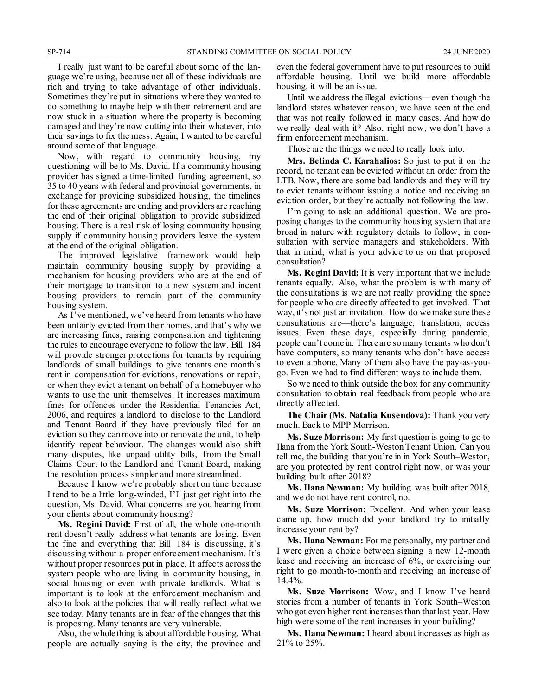I really just want to be careful about some of the language we're using, because not all of these individuals are rich and trying to take advantage of other individuals. Sometimes they're put in situations where they wanted to do something to maybe help with their retirement and are now stuck in a situation where the property is becoming damaged and they're now cutting into their whatever, into their savings to fix the mess. Again, I wanted to be careful around some of that language.

Now, with regard to community housing, my questioning will be to Ms. David. If a community housing provider has signed a time-limited funding agreement, so 35 to 40 years with federal and provincial governments, in exchange for providing subsidized housing, the timelines for these agreements are ending and providers are reaching the end of their original obligation to provide subsidized housing. There is a real risk of losing community housing supply if community housing providers leave the system at the end of the original obligation.

The improved legislative framework would help maintain community housing supply by providing a mechanism for housing providers who are at the end of their mortgage to transition to a new system and incent housing providers to remain part of the community housing system.

As I've mentioned, we've heard from tenants who have been unfairly evicted from their homes, and that's why we are increasing fines, raising compensation and tightening the rules to encourage everyone to follow the law. Bill 184 will provide stronger protections for tenants by requiring landlords of small buildings to give tenants one month's rent in compensation for evictions, renovations or repair, or when they evict a tenant on behalf of a homebuyer who wants to use the unit themselves. It increases maximum fines for offences under the Residential Tenancies Act, 2006, and requires a landlord to disclose to the Landlord and Tenant Board if they have previously filed for an eviction so they can move into or renovate the unit, to help identify repeat behaviour. The changes would also shift many disputes, like unpaid utility bills, from the Small Claims Court to the Landlord and Tenant Board, making the resolution process simpler and more streamlined.

Because I know we're probably short on time because I tend to be a little long-winded, I'll just get right into the question, Ms. David. What concerns are you hearing from your clients about community housing?

**Ms. Regini David:** First of all, the whole one-month rent doesn't really address what tenants are losing. Even the fine and everything that Bill 184 is discussing, it's discussing without a proper enforcement mechanism. It's without proper resources put in place. It affects across the system people who are living in community housing, in social housing or even with private landlords. What is important is to look at the enforcement mechanism and also to look at the policies that will really reflect what we see today. Many tenants are in fear of the changes that this is proposing. Many tenants are very vulnerable.

Also, the whole thing is about affordable housing. What people are actually saying is the city, the province and even the federal government have to put resources to build affordable housing. Until we build more affordable housing, it will be an issue.

Until we address the illegal evictions—even though the landlord states whatever reason, we have seen at the end that was not really followed in many cases. And how do we really deal with it? Also, right now, we don't have a firm enforcement mechanism.

Those are the things we need to really look into.

**Mrs. Belinda C. Karahalios:** So just to put it on the record, no tenant can be evicted without an order from the LTB. Now, there are some bad landlords and they will try to evict tenants without issuing a notice and receiving an eviction order, but they're actually not following the law.

I'm going to ask an additional question. We are proposing changes to the community housing system that are broad in nature with regulatory details to follow, in consultation with service managers and stakeholders. With that in mind, what is your advice to us on that proposed consultation?

**Ms. Regini David:** It is very important that we include tenants equally. Also, what the problem is with many of the consultations is we are not really providing the space for people who are directly affected to get involved. That way, it's not just an invitation. How do we make sure these consultations are—there's language, translation, access issues. Even these days, especially during pandemic, people can't come in. There are so many tenants who don't have computers, so many tenants who don't have access to even a phone. Many of them also have the pay-as-yougo. Even we had to find different ways to include them.

So we need to think outside the box for any community consultation to obtain real feedback from people who are directly affected.

**The Chair (Ms. Natalia Kusendova):** Thank you very much. Back to MPP Morrison.

**Ms. Suze Morrison:** My first question is going to go to Ilana from the York South-Weston Tenant Union. Can you tell me, the building that you're in in York South–Weston, are you protected by rent control right now, or was your building built after 2018?

**Ms. Ilana Newman:** My building was built after 2018, and we do not have rent control, no.

**Ms. Suze Morrison:** Excellent. And when your lease came up, how much did your landlord try to initially increase your rent by?

**Ms. Ilana Newman:** For me personally, my partner and I were given a choice between signing a new 12-month lease and receiving an increase of 6%, or exercising our right to go month-to-month and receiving an increase of 14.4%.

**Ms. Suze Morrison:** Wow, and I know I've heard stories from a number of tenants in York South–Weston who got even higher rent increases than that last year. How high were some of the rent increases in your building?

**Ms. Ilana Newman:** I heard about increases as high as 21% to 25%.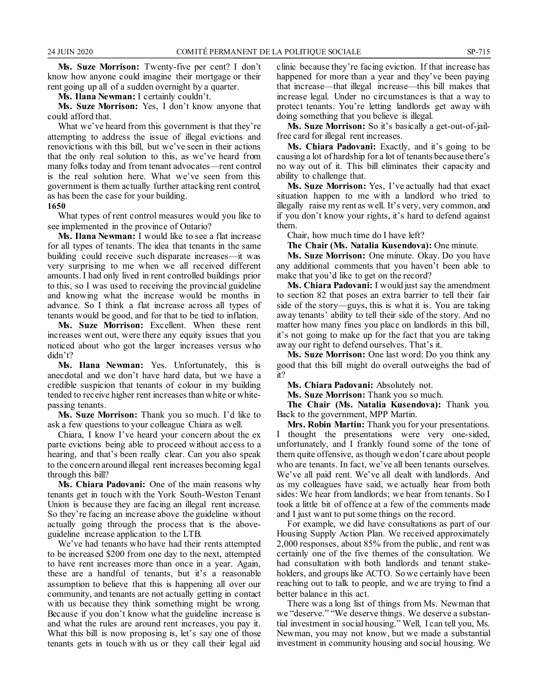**Ms. Suze Morrison:** Twenty-five per cent? I don't know how anyone could imagine their mortgage or their rent going up all of a sudden overnight by a quarter.

**Ms. Ilana Newman:** I certainly couldn't.

**Ms. Suze Morrison:** Yes, I don't know anyone that could afford that.

What we've heard from this government is that they're attempting to address the issue of illegal evictions and renovictions with this bill, but we've seen in their actions that the only real solution to this, as we've heard from many folks today and from tenant advocates—rent control is the real solution here. What we've seen from this government is them actually further attacking rent control, as has been the case for your building.

**1650**

What types of rent control measures would you like to see implemented in the province of Ontario?

**Ms. Ilana Newman:** I would like to see a flat increase for all types of tenants. The idea that tenants in the same building could receive such disparate increases—it was very surprising to me when we all received different amounts. I had only lived in rent controlled buildings prior to this, so I was used to receiving the provincial guideline and knowing what the increase would be months in advance. So I think a flat increase across all types of tenants would be good, and for that to be tied to inflation.

**Ms. Suze Morrison:** Excellent. When these rent increases went out, were there any equity issues that you noticed about who got the larger increases versus who didn't?

**Ms. Ilana Newman:** Yes. Unfortunately, this is anecdotal and we don't have hard data, but we have a credible suspicion that tenants of colour in my building tended to receive higher rent increases than white or whitepassing tenants.

**Ms. Suze Morrison:** Thank you so much. I'd like to ask a few questions to your colleague Chiara as well.

Chiara, I know I've heard your concern about the ex parte evictions being able to proceed without access to a hearing, and that's been really clear. Can you also speak to the concern around illegal rent increases becoming legal through this bill?

**Ms. Chiara Padovani:** One of the main reasons why tenants get in touch with the York South-Weston Tenant Union is because they are facing an illegal rent increase. So they're facing an increase above the guideline without actually going through the process that is the aboveguideline increase application to the LTB.

We've had tenants who have had their rents attempted to be increased \$200 from one day to the next, attempted to have rent increases more than once in a year. Again, these are a handful of tenants, but it's a reasonable assumption to believe that this is happening all over our community, and tenants are not actually getting in contact with us because they think something might be wrong. Because if you don't know what the guideline increase is and what the rules are around rent increases, you pay it. What this bill is now proposing is, let's say one of those tenants gets in touch with us or they call their legal aid clinic because they're facing eviction. If that increase has happened for more than a year and they've been paying that increase—that illegal increase—this bill makes that increase legal. Under no circumstances is that a way to protect tenants. You're letting landlords get away with doing something that you believe is illegal.

**Ms. Suze Morrison:** So it's basically a get-out-of-jailfree card for illegal rent increases.

**Ms. Chiara Padovani:** Exactly, and it's going to be causing a lot of hardship for a lot of tenants because there's no way out of it. This bill eliminates their capacity and ability to challenge that.

**Ms. Suze Morrison:** Yes, I've actually had that exact situation happen to me with a landlord who tried to illegally raise my rent as well. It's very, very common, and if you don't know your rights, it's hard to defend against them.

Chair, how much time do I have left?

**The Chair (Ms. Natalia Kusendova):** One minute.

**Ms. Suze Morrison:** One minute. Okay. Do you have any additional comments that you haven't been able to make that you'd like to get on the record?

**Ms. Chiara Padovani:** I would just say the amendment to section 82 that poses an extra barrier to tell their fair side of the story—guys, this is what it is. You are taking away tenants' ability to tell their side of the story. And no matter how many fines you place on landlords in this bill, it's not going to make up for the fact that you are taking away our right to defend ourselves. That's it.

**Ms. Suze Morrison:** One last word: Do you think any good that this bill might do overall outweighs the bad of it?

**Ms. Chiara Padovani:** Absolutely not.

**Ms. Suze Morrison:** Thank you so much.

**The Chair (Ms. Natalia Kusendova):** Thank you. Back to the government, MPP Martin.

**Mrs. Robin Martin:** Thank you for your presentations. I thought the presentations were very one-sided, unfortunately, and I frankly found some of the tone of them quite offensive, as though we don't care about people who are tenants. In fact, we've all been tenants ourselves. We've all paid rent. We've all dealt with landlords. And as my colleagues have said, we actually hear from both sides: We hear from landlords; we hear from tenants. So I took a little bit of offence at a few of the comments made and I just want to put some things on the record.

For example, we did have consultations as part of our Housing Supply Action Plan. We received approximately 2,000 responses, about 85% from the public, and rent was certainly one of the five themes of the consultation. We had consultation with both landlords and tenant stakeholders, and groups like ACTO. So we certainly have been reaching out to talk to people, and we are trying to find a better balance in this act.

There was a long list of things from Ms. Newman that we "deserve." "We deserve things. We deserve a substantial investment in social housing." Well, I can tell you, Ms. Newman, you may not know, but we made a substantial investment in community housing and social housing. We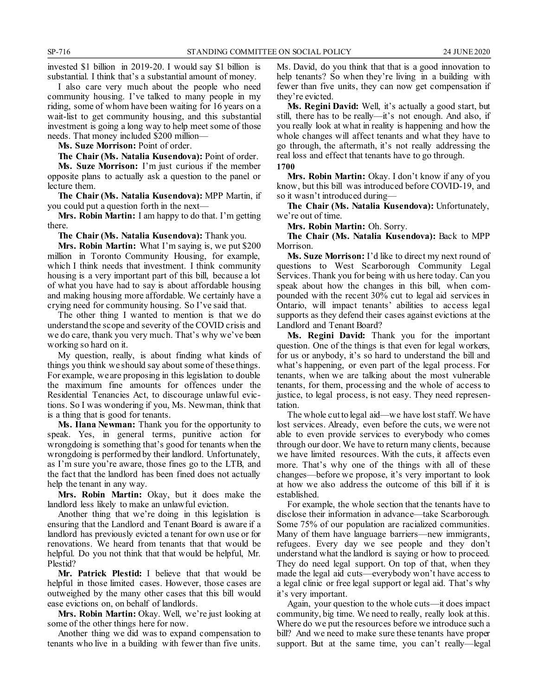invested \$1 billion in 2019-20. I would say \$1 billion is substantial. I think that's a substantial amount of money.

I also care very much about the people who need community housing. I've talked to many people in my riding, some of whom have been waiting for 16 years on a wait-list to get community housing, and this substantial investment is going a long way to help meet some of those needs. That money included \$200 million—

**Ms. Suze Morrison:** Point of order.

The Chair (Ms. Natalia Kusendova): Point of order. **Ms. Suze Morrison:** I'm just curious if the member opposite plans to actually ask a question to the panel or lecture them.

**The Chair (Ms. Natalia Kusendova):** MPP Martin, if you could put a question forth in the next—

**Mrs. Robin Martin:** I am happy to do that. I'm getting there.

**The Chair (Ms. Natalia Kusendova):** Thank you.

**Mrs. Robin Martin:** What I'm saying is, we put \$200 million in Toronto Community Housing, for example, which I think needs that investment. I think community housing is a very important part of this bill, because a lot of what you have had to say is about affordable housing and making housing more affordable. We certainly have a crying need for community housing. So I've said that.

The other thing I wanted to mention is that we do understand the scope and severity of the COVID crisis and we do care, thank you very much. That's why we've been working so hard on it.

My question, really, is about finding what kinds of things you think we should say about some of these things. For example, we are proposing in this legislation to double the maximum fine amounts for offences under the Residential Tenancies Act, to discourage unlawful evictions. So I was wondering if you, Ms. Newman, think that is a thing that is good for tenants.

**Ms. Ilana Newman:** Thank you for the opportunity to speak. Yes, in general terms, punitive action for wrongdoing is something that's good for tenants when the wrongdoing is performed by their landlord. Unfortunately, as I'm sure you're aware, those fines go to the LTB, and the fact that the landlord has been fined does not actually help the tenant in any way.

**Mrs. Robin Martin:** Okay, but it does make the landlord less likely to make an unlawful eviction.

Another thing that we're doing in this legislation is ensuring that the Landlord and Tenant Board is aware if a landlord has previously evicted a tenant for own use or for renovations. We heard from tenants that that would be helpful. Do you not think that that would be helpful, Mr. Plestid?

**Mr. Patrick Plestid:** I believe that that would be helpful in those limited cases. However, those cases are outweighed by the many other cases that this bill would ease evictions on, on behalf of landlords.

**Mrs. Robin Martin:** Okay. Well, we're just looking at some of the other things here for now.

Another thing we did was to expand compensation to tenants who live in a building with fewer than five units. Ms. David, do you think that that is a good innovation to help tenants? So when they're living in a building with fewer than five units, they can now get compensation if they're evicted.

**Ms. Regini David:** Well, it's actually a good start, but still, there has to be really—it's not enough. And also, if you really look at what in reality is happening and how the whole changes will affect tenants and what they have to go through, the aftermath, it's not really addressing the real loss and effect that tenants have to go through.

**1700**

**Mrs. Robin Martin:** Okay. I don't know if any of you know, but this bill was introduced before COVID-19, and so it wasn't introduced during—

**The Chair (Ms. Natalia Kusendova):** Unfortunately, we're out of time.

**Mrs. Robin Martin:** Oh. Sorry.

**The Chair (Ms. Natalia Kusendova):** Back to MPP Morrison.

**Ms. Suze Morrison:** I'd like to direct my next round of questions to West Scarborough Community Legal Services. Thank you for being with us here today. Can you speak about how the changes in this bill, when compounded with the recent 30% cut to legal aid services in Ontario, will impact tenants' abilities to access legal supports as they defend their cases against evictions at the Landlord and Tenant Board?

**Ms. Regini David:** Thank you for the important question. One of the things is that even for legal workers, for us or anybody, it's so hard to understand the bill and what's happening, or even part of the legal process. For tenants, when we are talking about the most vulnerable tenants, for them, processing and the whole of access to justice, to legal process, is not easy. They need representation.

The whole cut to legal aid—we have lost staff. We have lost services. Already, even before the cuts, we were not able to even provide services to everybody who comes through our door. We have to return many clients, because we have limited resources. With the cuts, it affects even more. That's why one of the things with all of these changes—before we propose, it's very important to look at how we also address the outcome of this bill if it is established.

For example, the whole section that the tenants have to disclose their information in advance—take Scarborough. Some 75% of our population are racialized communities. Many of them have language barriers—new immigrants, refugees. Every day we see people and they don't understand what the landlord is saying or how to proceed. They do need legal support. On top of that, when they made the legal aid cuts—everybody won't have access to a legal clinic or free legal support or legal aid. That's why it's very important.

Again, your question to the whole cuts—it does impact community, big time. We need to really, really look at this. Where do we put the resources before we introduce such a bill? And we need to make sure these tenants have proper support. But at the same time, you can't really—legal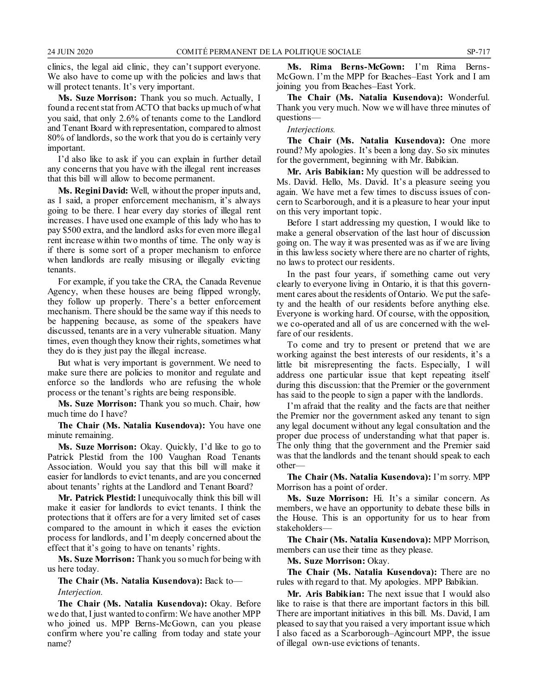clinics, the legal aid clinic, they can't support everyone. We also have to come up with the policies and laws that will protect tenants. It's very important.

**Ms. Suze Morrison:** Thank you so much. Actually, I found a recent stat from ACTO that backs up much of what you said, that only 2.6% of tenants come to the Landlord and Tenant Board with representation, compared to almost 80% of landlords, so the work that you do is certainly very important.

I'd also like to ask if you can explain in further detail any concerns that you have with the illegal rent increases that this bill will allow to become permanent.

**Ms. Regini David:** Well, without the proper inputs and, as I said, a proper enforcement mechanism, it's always going to be there. I hear every day stories of illegal rent increases. I have used one example of this lady who has to pay \$500 extra, and the landlord asks for even more illegal rent increase within two months of time. The only way is if there is some sort of a proper mechanism to enforce when landlords are really misusing or illegally evicting tenants.

For example, if you take the CRA, the Canada Revenue Agency, when these houses are being flipped wrongly, they follow up properly. There's a better enforcement mechanism. There should be the same way if this needs to be happening because, as some of the speakers have discussed, tenants are in a very vulnerable situation. Many times, even though they know their rights, sometimes what they do is they just pay the illegal increase.

But what is very important is government. We need to make sure there are policies to monitor and regulate and enforce so the landlords who are refusing the whole process or the tenant's rights are being responsible.

**Ms. Suze Morrison:** Thank you so much. Chair, how much time do I have?

**The Chair (Ms. Natalia Kusendova):** You have one minute remaining.

**Ms. Suze Morrison:** Okay. Quickly, I'd like to go to Patrick Plestid from the 100 Vaughan Road Tenants Association. Would you say that this bill will make it easier for landlords to evict tenants, and are you concerned about tenants' rights at the Landlord and Tenant Board?

**Mr. Patrick Plestid:**I unequivocally think this bill will make it easier for landlords to evict tenants. I think the protections that it offers are for a very limited set of cases compared to the amount in which it eases the eviction process for landlords, and I'm deeply concerned about the effect that it's going to have on tenants' rights.

**Ms. Suze Morrison:** Thank you so much for being with us here today.

**The Chair (Ms. Natalia Kusendova):** Back to—

*Interjection.*

**The Chair (Ms. Natalia Kusendova):** Okay. Before we do that, I just wanted to confirm: We have another MPP who joined us. MPP Berns-McGown, can you please confirm where you're calling from today and state your name?

**Ms. Rima Berns-McGown:** I'm Rima Berns-McGown. I'm the MPP for Beaches–East York and I am joining you from Beaches–East York.

**The Chair (Ms. Natalia Kusendova):** Wonderful. Thank you very much. Now we will have three minutes of questions—

*Interjections.*

**The Chair (Ms. Natalia Kusendova):** One more round? My apologies. It's been a long day. So six minutes for the government, beginning with Mr. Babikian.

**Mr. Aris Babikian:** My question will be addressed to Ms. David. Hello, Ms. David. It's a pleasure seeing you again. We have met a few times to discuss issues of concern to Scarborough, and it is a pleasure to hear your input on this very important topic.

Before I start addressing my question, I would like to make a general observation of the last hour of discussion going on. The way it was presented was as if we are living in this lawless society where there are no charter of rights, no laws to protect our residents.

In the past four years, if something came out very clearly to everyone living in Ontario, it is that this government cares about the residents of Ontario. We put the safety and the health of our residents before anything else. Everyone is working hard. Of course, with the opposition, we co-operated and all of us are concerned with the welfare of our residents.

To come and try to present or pretend that we are working against the best interests of our residents, it's a little bit misrepresenting the facts. Especially, I will address one particular issue that kept repeating itself during this discussion: that the Premier or the government has said to the people to sign a paper with the landlords.

I'm afraid that the reality and the facts are that neither the Premier nor the government asked any tenant to sign any legal document without any legal consultation and the proper due process of understanding what that paper is. The only thing that the government and the Premier said was that the landlords and the tenant should speak to each other—

**The Chair (Ms. Natalia Kusendova):** I'm sorry. MPP Morrison has a point of order.

**Ms. Suze Morrison:** Hi. It's a similar concern. As members, we have an opportunity to debate these bills in the House. This is an opportunity for us to hear from stakeholders—

**The Chair (Ms. Natalia Kusendova):** MPP Morrison, members can use their time as they please.

**Ms. Suze Morrison:** Okay.

**The Chair (Ms. Natalia Kusendova):** There are no rules with regard to that. My apologies. MPP Babikian.

**Mr. Aris Babikian:** The next issue that I would also like to raise is that there are important factors in this bill. There are important initiatives in this bill. Ms. David, I am pleased to say that you raised a very important issue which I also faced as a Scarborough–Agincourt MPP, the issue of illegal own-use evictions of tenants.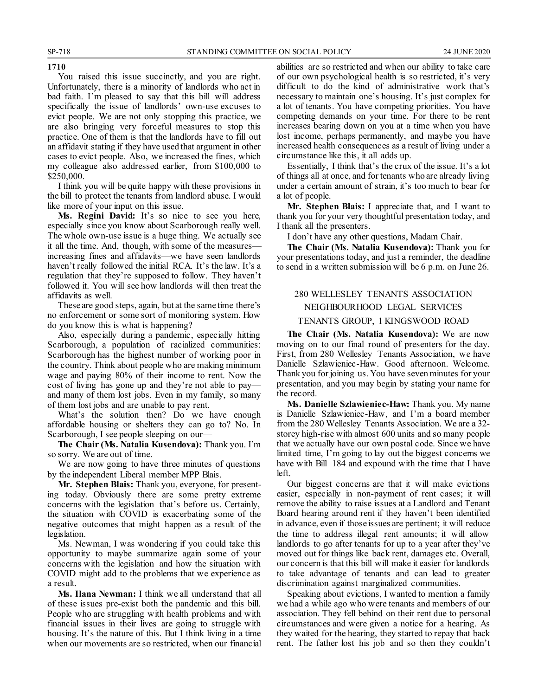#### **1710**

You raised this issue succinctly, and you are right. Unfortunately, there is a minority of landlords who act in bad faith. I'm pleased to say that this bill will address specifically the issue of landlords' own-use excuses to evict people. We are not only stopping this practice, we are also bringing very forceful measures to stop this practice. One of them is that the landlords have to fill out an affidavit stating if they have used that argument in other cases to evict people. Also, we increased the fines, which my colleague also addressed earlier, from \$100,000 to \$250,000.

I think you will be quite happy with these provisions in the bill to protect the tenants from landlord abuse. I would like more of your input on this issue.

**Ms. Regini David:** It's so nice to see you here, especially since you know about Scarborough really well. The whole own-use issue is a huge thing. We actually see it all the time. And, though, with some of the measures increasing fines and affidavits—we have seen landlords haven't really followed the initial RCA. It's the law. It's a regulation that they're supposed to follow. They haven't followed it. You will see how landlords will then treat the affidavits as well.

These are good steps, again, but at the same time there's no enforcement or some sort of monitoring system. How do you know this is what is happening?

Also, especially during a pandemic, especially hitting Scarborough, a population of racialized communities: Scarborough has the highest number of working poor in the country. Think about people who are making minimum wage and paying 80% of their income to rent. Now the cost of living has gone up and they're not able to pay and many of them lost jobs. Even in my family, so many of them lost jobs and are unable to pay rent.

What's the solution then? Do we have enough affordable housing or shelters they can go to? No. In Scarborough, I see people sleeping on our—

**The Chair (Ms. Natalia Kusendova):** Thank you. I'm so sorry. We are out of time.

We are now going to have three minutes of questions by the independent Liberal member MPP Blais.

**Mr. Stephen Blais:** Thank you, everyone, for presenting today. Obviously there are some pretty extreme concerns with the legislation that's before us. Certainly, the situation with COVID is exacerbating some of the negative outcomes that might happen as a result of the legislation.

Ms. Newman, I was wondering if you could take this opportunity to maybe summarize again some of your concerns with the legislation and how the situation with COVID might add to the problems that we experience as a result.

**Ms. Ilana Newman:** I think we all understand that all of these issues pre-exist both the pandemic and this bill. People who are struggling with health problems and with financial issues in their lives are going to struggle with housing. It's the nature of this. But I think living in a time when our movements are so restricted, when our financial

abilities are so restricted and when our ability to take care of our own psychological health is so restricted, it's very difficult to do the kind of administrative work that's necessary to maintain one's housing. It's just complex for a lot of tenants. You have competing priorities. You have competing demands on your time. For there to be rent increases bearing down on you at a time when you have lost income, perhaps permanently, and maybe you have increased health consequences as a result of living under a circumstance like this, it all adds up.

Essentially, I think that's the crux of the issue. It's a lot of things all at once, and for tenants who are already living under a certain amount of strain, it's too much to bear for a lot of people.

**Mr. Stephen Blais:** I appreciate that, and I want to thank you for your very thoughtful presentation today, and I thank all the presenters.

I don't have any other questions, Madam Chair.

**The Chair (Ms. Natalia Kusendova):** Thank you for your presentations today, and just a reminder, the deadline to send in a written submission will be 6 p.m. on June 26.

### 280 WELLESLEY TENANTS ASSOCIATION NEIGHBOURHOOD LEGAL SERVICES TENANTS GROUP, 1 KINGSWOOD ROAD

**The Chair (Ms. Natalia Kusendova):** We are now moving on to our final round of presenters for the day. First, from 280 Wellesley Tenants Association, we have Danielle Szlawieniec-Haw. Good afternoon. Welcome. Thank you for joining us. You have seven minutes for your presentation, and you may begin by stating your name for the record.

**Ms. Danielle Szlawieniec-Haw:** Thank you. My name is Danielle Szlawieniec-Haw, and I'm a board member from the 280 Wellesley Tenants Association. We are a 32 storey high-rise with almost 600 units and so many people that we actually have our own postal code. Since we have limited time, I'm going to lay out the biggest concerns we have with Bill 184 and expound with the time that I have left.

Our biggest concerns are that it will make evictions easier, especially in non-payment of rent cases; it will remove the ability to raise issues at a Landlord and Tenant Board hearing around rent if they haven't been identified in advance, even if those issues are pertinent; it will reduce the time to address illegal rent amounts; it will allow landlords to go after tenants for up to a year after they've moved out for things like back rent, damages etc. Overall, our concern is that this bill will make it easier for landlords to take advantage of tenants and can lead to greater discrimination against marginalized communities.

Speaking about evictions, I wanted to mention a family we had a while ago who were tenants and members of our association. They fell behind on their rent due to personal circumstances and were given a notice for a hearing. As they waited for the hearing, they started to repay that back rent. The father lost his job and so then they couldn't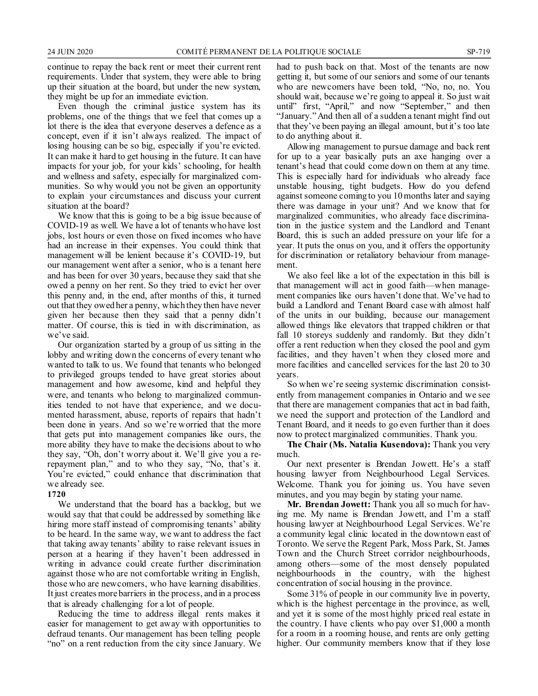continue to repay the back rent or meet their current rent requirements. Under that system, they were able to bring up their situation at the board, but under the new system, they might be up for an immediate eviction.

Even though the criminal justice system has its problems, one of the things that we feel that comes up a lot there is the idea that everyone deserves a defence as a concept, even if it isn't always realized. The impact of losing housing can be so big, especially if you're evicted. It can make it hard to get housing in the future. It can have impacts for your job, for your kids' schooling, for health and wellness and safety, especially for marginalized communities. So why would you not be given an opportunity to explain your circumstances and discuss your current situation at the board?

We know that this is going to be a big issue because of COVID-19 as well. We have a lot of tenants who have lost jobs, lost hours or even those on fixed incomes who have had an increase in their expenses. You could think that management will be lenient because it's COVID-19, but our management went after a senior, who is a tenant here and has been for over 30 years, because they said that she owed a penny on her rent. So they tried to evict her over this penny and, in the end, after months of this, it turned out that they owed her a penny, which they then have never given her because then they said that a penny didn't matter. Of course, this is tied in with discrimination, as we've said.

Our organization started by a group of us sitting in the lobby and writing down the concerns of every tenant who wanted to talk to us. We found that tenants who belonged to privileged groups tended to have great stories about management and how awesome, kind and helpful they were, and tenants who belong to marginalized communities tended to not have that experience, and we documented harassment, abuse, reports of repairs that hadn't been done in years. And so we're worried that the more that gets put into management companies like ours, the more ability they have to make the decisions about to who they say, "Oh, don't worry about it. We'll give you a rerepayment plan," and to who they say, "No, that's it. You're evicted," could enhance that discrimination that we already see.

#### **1720**

We understand that the board has a backlog, but we would say that that could be addressed by something like hiring more staff instead of compromising tenants' ability to be heard. In the same way, we want to address the fact that taking away tenants' ability to raise relevant issues in person at a hearing if they haven't been addressed in writing in advance could create further discrimination against those who are not comfortable writing in English, those who are newcomers, who have learning disabilities. It just creates more barriers in the process, and in a process that is already challenging for a lot of people.

Reducing the time to address illegal rents makes it easier for management to get away with opportunities to defraud tenants. Our management has been telling people "no" on a rent reduction from the city since January. We had to push back on that. Most of the tenants are now getting it, but some of our seniors and some of our tenants who are newcomers have been told, "No, no, no. You should wait, because we're going to appeal it. So just wait until" first, "April," and now "September," and then "January." And then all of a sudden a tenant might find out that they've been paying an illegal amount, but it's too late to do anything about it.

Allowing management to pursue damage and back rent for up to a year basically puts an axe hanging over a tenant's head that could come down on them at any time. This is especially hard for individuals who already face unstable housing, tight budgets. How do you defend against someone coming to you 10 months later and saying there was damage in your unit? And we know that for marginalized communities, who already face discrimination in the justice system and the Landlord and Tenant Board, this is such an added pressure on your life for a year. It puts the onus on you, and it offers the opportunity for discrimination or retaliatory behaviour from management.

We also feel like a lot of the expectation in this bill is that management will act in good faith—when management companies like ours haven't done that. We've had to build a Landlord and Tenant Board case with almost half of the units in our building, because our management allowed things like elevators that trapped children or that fall 10 storeys suddenly and randomly. But they didn't offer a rent reduction when they closed the pool and gym facilities, and they haven't when they closed more and more facilities and cancelled services for the last 20 to 30 years.

So when we're seeing systemic discrimination consistently from management companies in Ontario and we see that there are management companies that act in bad faith, we need the support and protection of the Landlord and Tenant Board, and it needs to go even further than it does now to protect marginalized communities. Thank you.

**The Chair (Ms. Natalia Kusendova):** Thank you very much.

Our next presenter is Brendan Jowett. He's a staff housing lawyer from Neighbourhood Legal Services. Welcome. Thank you for joining us. You have seven minutes, and you may begin by stating your name.

**Mr. Brendan Jowett:** Thank you all so much for having me. My name is Brendan Jowett, and I'm a staff housing lawyer at Neighbourhood Legal Services. We're a community legal clinic located in the downtown east of Toronto. We serve the Regent Park, Moss Park, St. James Town and the Church Street corridor neighbourhoods, among others—some of the most densely populated neighbourhoods in the country, with the highest concentration of social housing in the province.

Some 31% of people in our community live in poverty, which is the highest percentage in the province, as well, and yet it is some of the most highly priced real estate in the country. I have clients who pay over \$1,000 a month for a room in a rooming house, and rents are only getting higher. Our community members know that if they lose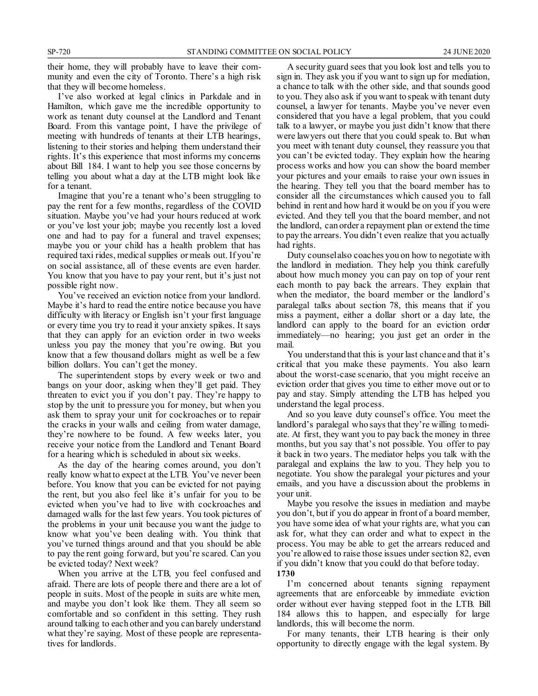their home, they will probably have to leave their community and even the city of Toronto. There's a high risk that they will become homeless.

I've also worked at legal clinics in Parkdale and in Hamilton, which gave me the incredible opportunity to work as tenant duty counsel at the Landlord and Tenant Board. From this vantage point, I have the privilege of meeting with hundreds of tenants at their LTB hearings, listening to their stories and helping them understand their rights. It's this experience that most informs my concerns about Bill 184. I want to help you see those concerns by telling you about what a day at the LTB might look like for a tenant.

Imagine that you're a tenant who's been struggling to pay the rent for a few months, regardless of the COVID situation. Maybe you've had your hours reduced at work or you've lost your job; maybe you recently lost a loved one and had to pay for a funeral and travel expenses; maybe you or your child has a health problem that has required taxi rides, medical supplies or meals out. If you're on social assistance, all of these events are even harder. You know that you have to pay your rent, but it's just not possible right now.

You've received an eviction notice from your landlord. Maybe it's hard to read the entire notice because you have difficulty with literacy or English isn't your first language or every time you try to read it your anxiety spikes. It says that they can apply for an eviction order in two weeks unless you pay the money that you're owing. But you know that a few thousand dollars might as well be a few billion dollars. You can't get the money.

The superintendent stops by every week or two and bangs on your door, asking when they'll get paid. They threaten to evict you if you don't pay. They're happy to stop by the unit to pressure you for money, but when you ask them to spray your unit for cockroaches or to repair the cracks in your walls and ceiling from water damage, they're nowhere to be found. A few weeks later, you receive your notice from the Landlord and Tenant Board for a hearing which is scheduled in about six weeks.

As the day of the hearing comes around, you don't really know what to expect at the LTB. You've never been before. You know that you can be evicted for not paying the rent, but you also feel like it's unfair for you to be evicted when you've had to live with cockroaches and damaged walls for the last few years. You took pictures of the problems in your unit because you want the judge to know what you've been dealing with. You think that you've turned things around and that you should be able to pay the rent going forward, but you're scared. Can you be evicted today? Next week?

When you arrive at the LTB, you feel confused and afraid. There are lots of people there and there are a lot of people in suits. Most of the people in suits are white men, and maybe you don't look like them. They all seem so comfortable and so confident in this setting. They rush around talking to each other and you can barely understand what they're saying. Most of these people are representatives for landlords.

A security guard sees that you look lost and tells you to sign in. They ask you if you want to sign up for mediation, a chance to talk with the other side, and that sounds good to you. They also ask if you want to speak with tenant duty counsel, a lawyer for tenants. Maybe you've never even considered that you have a legal problem, that you could talk to a lawyer, or maybe you just didn't know that there were lawyers out there that you could speak to. But when you meet with tenant duty counsel, they reassure you that you can't be evicted today. They explain how the hearing process works and how you can show the board member your pictures and your emails to raise your own issues in the hearing. They tell you that the board member has to consider all the circumstances which caused you to fall behind in rent and how hard it would be on you if you were evicted. And they tell you that the board member, and not the landlord, can order a repayment plan or extend the time to pay the arrears. You didn't even realize that you actually had rights.

Duty counsel also coaches you on how to negotiate with the landlord in mediation. They help you think carefully about how much money you can pay on top of your rent each month to pay back the arrears. They explain that when the mediator, the board member or the landlord's paralegal talks about section 78, this means that if you miss a payment, either a dollar short or a day late, the landlord can apply to the board for an eviction order immediately—no hearing; you just get an order in the mail.

You understand that this is your last chance and that it's critical that you make these payments. You also learn about the worst-case scenario, that you might receive an eviction order that gives you time to either move out or to pay and stay. Simply attending the LTB has helped you understand the legal process.

And so you leave duty counsel's office. You meet the landlord's paralegal who says that they're willing to mediate. At first, they want you to pay back the money in three months, but you say that's not possible. You offer to pay it back in two years. The mediator helps you talk with the paralegal and explains the law to you. They help you to negotiate. You show the paralegal your pictures and your emails, and you have a discussion about the problems in your unit.

Maybe you resolve the issues in mediation and maybe you don't, but if you do appear in front of a board member, you have some idea of what your rights are, what you can ask for, what they can order and what to expect in the process. You may be able to get the arrears reduced and you're allowed to raise those issues under section 82, even if you didn't know that you could do that before today. **1730**

I'm concerned about tenants signing repayment agreements that are enforceable by immediate eviction order without ever having stepped foot in the LTB. Bill 184 allows this to happen, and especially for large landlords, this will become the norm.

For many tenants, their LTB hearing is their only opportunity to directly engage with the legal system. By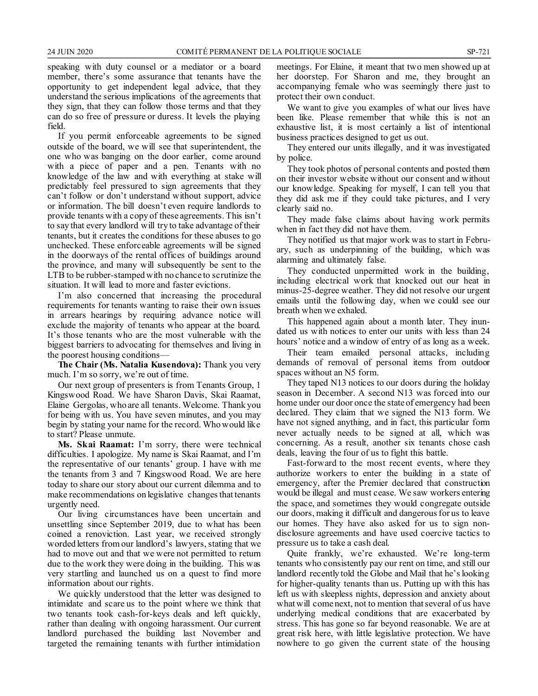speaking with duty counsel or a mediator or a board member, there's some assurance that tenants have the opportunity to get independent legal advice, that they understand the serious implications of the agreements that they sign, that they can follow those terms and that they can do so free of pressure or duress. It levels the playing field.

If you permit enforceable agreements to be signed outside of the board, we will see that superintendent, the one who was banging on the door earlier, come around with a piece of paper and a pen. Tenants with no knowledge of the law and with everything at stake will predictably feel pressured to sign agreements that they can't follow or don't understand without support, advice or information. The bill doesn't even require landlords to provide tenants with a copy of these agreements. This isn't to say that every landlord will try to take advantage of their tenants, but it creates the conditions for these abuses to go unchecked. These enforceable agreements will be signed in the doorways of the rental offices of buildings around the province, and many will subsequently be sent to the LTB to be rubber-stamped with no chance to scrutinize the situation. It will lead to more and faster evictions.

I'm also concerned that increasing the procedural requirements for tenants wanting to raise their own issues in arrears hearings by requiring advance notice will exclude the majority of tenants who appear at the board. It's those tenants who are the most vulnerable with the biggest barriers to advocating for themselves and living in the poorest housing conditions—

**The Chair (Ms. Natalia Kusendova):** Thank you very much. I'm so sorry, we're out of time.

Our next group of presenters is from Tenants Group, 1 Kingswood Road. We have Sharon Davis, Skai Raamat, Elaine Gergolas, who are all tenants. Welcome. Thank you for being with us. You have seven minutes, and you may begin by stating your name for the record. Who would like to start? Please unmute.

**Ms. Skai Raamat:** I'm sorry, there were technical difficulties. I apologize. My name is Skai Raamat, and I'm the representative of our tenants' group. I have with me the tenants from 3 and 7 Kingswood Road. We are here today to share our story about our current dilemma and to make recommendations on legislative changes that tenants urgently need.

Our living circumstances have been uncertain and unsettling since September 2019, due to what has been coined a renoviction. Last year, we received strongly worded letters from our landlord's lawyers, stating that we had to move out and that we were not permitted to return due to the work they were doing in the building. This was very startling and launched us on a quest to find more information about our rights.

We quickly understood that the letter was designed to intimidate and scare us to the point where we think that two tenants took cash-for-keys deals and left quickly, rather than dealing with ongoing harassment. Our current landlord purchased the building last November and targeted the remaining tenants with further intimidation meetings. For Elaine, it meant that two men showed up at her doorstep. For Sharon and me, they brought an accompanying female who was seemingly there just to protect their own conduct.

We want to give you examples of what our lives have been like. Please remember that while this is not an exhaustive list, it is most certainly a list of intentional business practices designed to get us out.

They entered our units illegally, and it was investigated by police.

They took photos of personal contents and posted them on their investor website without our consent and without our knowledge. Speaking for myself, I can tell you that they did ask me if they could take pictures, and I very clearly said no.

They made false claims about having work permits when in fact they did not have them.

They notified us that major work was to start in February, such as underpinning of the building, which was alarming and ultimately false.

They conducted unpermitted work in the building, including electrical work that knocked out our heat in minus-25-degree weather. They did not resolve our urgent emails until the following day, when we could see our breath when we exhaled.

This happened again about a month later. They inundated us with notices to enter our units with less than 24 hours' notice and a window of entry of as long as a week.

Their team emailed personal attacks, including demands of removal of personal items from outdoor spaces without an N5 form.

They taped N13 notices to our doors during the holiday season in December. A second N13 was forced into our home under our door once the state of emergency had been declared. They claim that we signed the N13 form. We have not signed anything, and in fact, this particular form never actually needs to be signed at all, which was concerning. As a result, another six tenants chose cash deals, leaving the four of us to fight this battle.

Fast-forward to the most recent events, where they authorize workers to enter the building in a state of emergency, after the Premier declared that construction would be illegal and must cease. We saw workers entering the space, and sometimes they would congregate outside our doors, making it difficult and dangerous for us to leave our homes. They have also asked for us to sign nondisclosure agreements and have used coercive tactics to pressure us to take a cash deal.

Quite frankly, we're exhausted. We're long-term tenants who consistently pay our rent on time, and still our landlord recently told the Globe and Mail that he's looking for higher-quality tenants than us. Putting up with this has left us with sleepless nights, depression and anxiety about what will come next, not to mention that several of us have underlying medical conditions that are exacerbated by stress. This has gone so far beyond reasonable. We are at great risk here, with little legislative protection. We have nowhere to go given the current state of the housing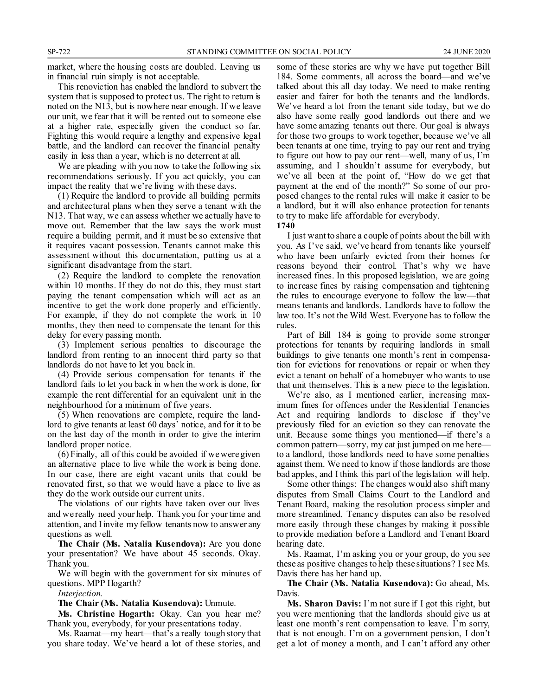market, where the housing costs are doubled. Leaving us in financial ruin simply is not acceptable.

This renoviction has enabled the landlord to subvert the system that is supposed to protect us. The right to return is noted on the N13, but is nowhere near enough. If we leave our unit, we fear that it will be rented out to someone else at a higher rate, especially given the conduct so far. Fighting this would require a lengthy and expensive legal battle, and the landlord can recover the financial penalty easily in less than a year, which is no deterrent at all.

We are pleading with you now to take the following six recommendations seriously. If you act quickly, you can impact the reality that we're living with these days.

(1) Require the landlord to provide all building permits and architectural plans when they serve a tenant with the N13. That way, we can assess whether we actually have to move out. Remember that the law says the work must require a building permit, and it must be so extensive that it requires vacant possession. Tenants cannot make this assessment without this documentation, putting us at a significant disadvantage from the start.

(2) Require the landlord to complete the renovation within 10 months. If they do not do this, they must start paying the tenant compensation which will act as an incentive to get the work done properly and efficiently. For example, if they do not complete the work in 10 months, they then need to compensate the tenant for this delay for every passing month.

(3) Implement serious penalties to discourage the landlord from renting to an innocent third party so that landlords do not have to let you back in.

(4) Provide serious compensation for tenants if the landlord fails to let you back in when the work is done, for example the rent differential for an equivalent unit in the neighbourhood for a minimum of five years.

(5) When renovations are complete, require the landlord to give tenants at least 60 days' notice, and for it to be on the last day of the month in order to give the interim landlord proper notice.

(6) Finally, all of this could be avoided if we were given an alternative place to live while the work is being done. In our case, there are eight vacant units that could be renovated first, so that we would have a place to live as they do the work outside our current units.

The violations of our rights have taken over our lives and we really need your help. Thank you for your time and attention, and I invite my fellow tenants now to answer any questions as well.

**The Chair (Ms. Natalia Kusendova):** Are you done your presentation? We have about 45 seconds. Okay. Thank you.

We will begin with the government for six minutes of questions. MPP Hogarth?

*Interjection.*

**The Chair (Ms. Natalia Kusendova):** Unmute.

**Ms. Christine Hogarth:** Okay. Can you hear me? Thank you, everybody, for your presentations today.

Ms. Raamat—my heart—that's a really tough story that you share today. We've heard a lot of these stories, and some of these stories are why we have put together Bill 184. Some comments, all across the board—and we've talked about this all day today. We need to make renting easier and fairer for both the tenants and the landlords. We've heard a lot from the tenant side today, but we do also have some really good landlords out there and we have some amazing tenants out there. Our goal is always for those two groups to work together, because we've all been tenants at one time, trying to pay our rent and trying to figure out how to pay our rent—well, many of us, I'm assuming, and I shouldn't assume for everybody, but we've all been at the point of, "How do we get that payment at the end of the month?" So some of our proposed changes to the rental rules will make it easier to be a landlord, but it will also enhance protection for tenants to try to make life affordable for everybody.

**1740**

I just want to share a couple of points about the bill with you. As I've said, we've heard from tenants like yourself who have been unfairly evicted from their homes for reasons beyond their control. That's why we have increased fines. In this proposed legislation, we are going to increase fines by raising compensation and tightening the rules to encourage everyone to follow the law—that means tenants and landlords. Landlords have to follow the law too. It's not the Wild West. Everyone has to follow the rules.

Part of Bill 184 is going to provide some stronger protections for tenants by requiring landlords in small buildings to give tenants one month's rent in compensation for evictions for renovations or repair or when they evict a tenant on behalf of a homebuyer who wants to use that unit themselves. This is a new piece to the legislation.

We're also, as I mentioned earlier, increasing maximum fines for offences under the Residential Tenancies Act and requiring landlords to disclose if they've previously filed for an eviction so they can renovate the unit. Because some things you mentioned—if there's a common pattern—sorry, my cat just jumped on me here to a landlord, those landlords need to have some penalties against them. We need to know if those landlords are those bad apples, and I think this part of the legislation will help.

Some other things: The changes would also shift many disputes from Small Claims Court to the Landlord and Tenant Board, making the resolution process simpler and more streamlined. Tenancy disputes can also be resolved more easily through these changes by making it possible to provide mediation before a Landlord and Tenant Board hearing date.

Ms. Raamat, I'm asking you or your group, do you see these as positive changes to help these situations? I see Ms. Davis there has her hand up.

**The Chair (Ms. Natalia Kusendova):** Go ahead, Ms. Davis.

**Ms. Sharon Davis:** I'm not sure if I got this right, but you were mentioning that the landlords should give us at least one month's rent compensation to leave. I'm sorry, that is not enough. I'm on a government pension, I don't get a lot of money a month, and I can't afford any other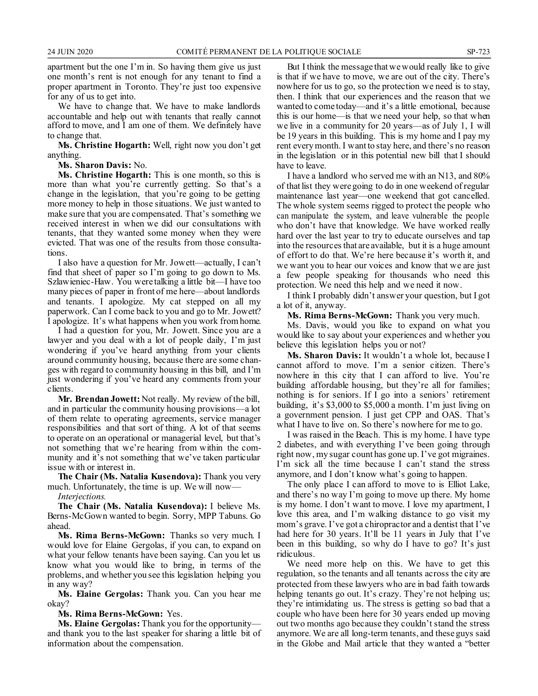apartment but the one I'm in. So having them give us just one month's rent is not enough for any tenant to find a proper apartment in Toronto. They're just too expensive for any of us to get into.

We have to change that. We have to make landlords accountable and help out with tenants that really cannot afford to move, and I am one of them. We definitely have to change that.

**Ms. Christine Hogarth:** Well, right now you don't get anything.

**Ms. Sharon Davis:** No.

**Ms. Christine Hogarth:** This is one month, so this is more than what you're currently getting. So that's a change in the legislation, that you're going to be getting more money to help in those situations. We just wanted to make sure that you are compensated. That's something we received interest in when we did our consultations with tenants, that they wanted some money when they were evicted. That was one of the results from those consultations.

I also have a question for Mr. Jowett—actually, I can't find that sheet of paper so I'm going to go down to Ms. Szlawieniec-Haw. You were talking a little bit—I have too many pieces of paper in front of me here—about landlords and tenants. I apologize. My cat stepped on all my paperwork. Can I come back to you and go to Mr. Jowett? I apologize. It's what happens when you work from home.

I had a question for you, Mr. Jowett. Since you are a lawyer and you deal with a lot of people daily, I'm just wondering if you've heard anything from your clients around community housing, because there are some changes with regard to community housing in this bill, and I'm just wondering if you've heard any comments from your clients.

**Mr. Brendan Jowett:** Not really. My review of the bill, and in particular the community housing provisions—a lot of them relate to operating agreements, service manager responsibilities and that sort of thing. A lot of that seems to operate on an operational or managerial level, but that's not something that we're hearing from within the community and it's not something that we've taken particular issue with or interest in.

**The Chair (Ms. Natalia Kusendova):** Thank you very much. Unfortunately, the time is up. We will now—

*Interjections.*

**The Chair (Ms. Natalia Kusendova):** I believe Ms. Berns-McGown wanted to begin. Sorry, MPP Tabuns. Go ahead.

**Ms. Rima Berns-McGown:** Thanks so very much. I would love for Elaine Gergolas, if you can, to expand on what your fellow tenants have been saying. Can you let us know what you would like to bring, in terms of the problems, and whether you see this legislation helping you in any way?

**Ms. Elaine Gergolas:** Thank you. Can you hear me okay?

**Ms. Rima Berns-McGown:** Yes.

**Ms. Elaine Gergolas:** Thank you for the opportunity and thank you to the last speaker for sharing a little bit of information about the compensation.

But I think the message that we would really like to give is that if we have to move, we are out of the city. There's nowhere for us to go, so the protection we need is to stay, then. I think that our experiences and the reason that we wanted to come today—and it's a little emotional, because this is our home—is that we need your help, so that when we live in a community for 20 years—as of July 1, I will be 19 years in this building. This is my home and I pay my rent every month. I want to stay here, and there's no reason in the legislation or in this potential new bill that I should have to leave.

I have a landlord who served me with an N13, and 80% of that list they were going to do in one weekend of regular maintenance last year—one weekend that got cancelled. The whole system seems rigged to protect the people who can manipulate the system, and leave vulnerable the people who don't have that knowledge. We have worked really hard over the last year to try to educate ourselves and tap into the resources that are available, but it is a huge amount of effort to do that. We're here because it's worth it, and we want you to hear our voices and know that we are just a few people speaking for thousands who need this protection. We need this help and we need it now.

I think I probably didn't answer your question, but I got a lot of it, anyway.

**Ms. Rima Berns-McGown:** Thank you very much.

Ms. Davis, would you like to expand on what you would like to say about your experiences and whether you believe this legislation helps you or not?

**Ms. Sharon Davis:** It wouldn't a whole lot, because I cannot afford to move. I'm a senior citizen. There's nowhere in this city that I can afford to live. You're building affordable housing, but they're all for families; nothing is for seniors. If I go into a seniors' retirement building, it's \$3,000 to \$5,000 a month. I'm just living on a government pension. I just get CPP and OAS. That's what I have to live on. So there's nowhere for me to go.

I was raised in the Beach. This is my home. I have type 2 diabetes, and with everything I've been going through right now, my sugar count has gone up. I've got migraines. I'm sick all the time because I can't stand the stress anymore, and I don't know what's going to happen.

The only place I can afford to move to is Elliot Lake, and there's no way I'm going to move up there. My home is my home. I don't want to move. I love my apartment, I love this area, and I'm walking distance to go visit my mom's grave. I've got a chiropractor and a dentist that I've had here for 30 years. It'll be 11 years in July that I've been in this building, so why do I have to go? It's just ridiculous.

We need more help on this. We have to get this regulation, so the tenants and all tenants across the city are protected from these lawyers who are in bad faith towards helping tenants go out. It's crazy. They're not helping us; they're intimidating us. The stress is getting so bad that a couple who have been here for 30 years ended up moving out two months ago because they couldn't stand the stress anymore. We are all long-term tenants, and these guys said in the Globe and Mail article that they wanted a "better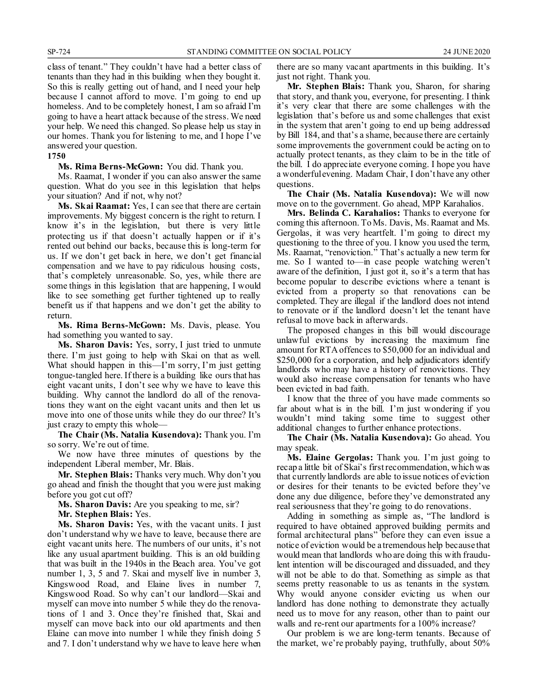class of tenant." They couldn't have had a better class of tenants than they had in this building when they bought it. So this is really getting out of hand, and I need your help because I cannot afford to move. I'm going to end up homeless. And to be completely honest, I am so afraid I'm going to have a heart attack because of the stress. We need your help. We need this changed. So please help us stay in our homes. Thank you for listening to me, and I hope I've answered your question.

#### **1750**

**Ms. Rima Berns-McGown:** You did. Thank you.

Ms. Raamat, I wonder if you can also answer the same question. What do you see in this legislation that helps your situation? And if not, why not?

**Ms. Skai Raamat:** Yes, I can see that there are certain improvements. My biggest concern is the right to return. I know it's in the legislation, but there is very little protecting us if that doesn't actually happen or if it's rented out behind our backs, because this is long-term for us. If we don't get back in here, we don't get financial compensation and we have to pay ridiculous housing costs, that's completely unreasonable. So, yes, while there are some things in this legislation that are happening, I would like to see something get further tightened up to really benefit us if that happens and we don't get the ability to return.

**Ms. Rima Berns-McGown:** Ms. Davis, please. You had something you wanted to say.

**Ms. Sharon Davis:** Yes, sorry, I just tried to unmute there. I'm just going to help with Skai on that as well. What should happen in this—I'm sorry, I'm just getting tongue-tangled here. If there is a building like ours that has eight vacant units, I don't see why we have to leave this building. Why cannot the landlord do all of the renovations they want on the eight vacant units and then let us move into one of those units while they do our three? It's just crazy to empty this whole—

**The Chair (Ms. Natalia Kusendova):** Thank you. I'm so sorry. We're out of time.

We now have three minutes of questions by the independent Liberal member, Mr. Blais.

**Mr. Stephen Blais:** Thanks very much. Why don't you go ahead and finish the thought that you were just making before you got cut off?

**Ms. Sharon Davis:** Are you speaking to me, sir?

**Mr. Stephen Blais:** Yes.

**Ms. Sharon Davis:** Yes, with the vacant units. I just don't understand why we have to leave, because there are eight vacant units here. The numbers of our units, it's not like any usual apartment building. This is an old building that was built in the 1940s in the Beach area. You've got number 1, 3, 5 and 7. Skai and myself live in number 3, Kingswood Road, and Elaine lives in number 7, Kingswood Road. So why can't our landlord—Skai and myself can move into number 5 while they do the renovations of 1 and 3. Once they're finished that, Skai and myself can move back into our old apartments and then Elaine can move into number 1 while they finish doing 5 and 7. I don't understand why we have to leave here when there are so many vacant apartments in this building. It's just not right. Thank you.

**Mr. Stephen Blais:** Thank you, Sharon, for sharing that story, and thank you, everyone, for presenting. I think it's very clear that there are some challenges with the legislation that's before us and some challenges that exist in the system that aren't going to end up being addressed by Bill 184, and that's a shame, because there are certainly some improvements the government could be acting on to actually protect tenants, as they claim to be in the title of the bill. I do appreciate everyone coming. I hope you have a wonderful evening. Madam Chair, I don't have any other questions.

**The Chair (Ms. Natalia Kusendova):** We will now move on to the government. Go ahead, MPP Karahalios.

**Mrs. Belinda C. Karahalios:** Thanks to everyone for coming this afternoon. To Ms. Davis, Ms. Raamat and Ms. Gergolas, it was very heartfelt. I'm going to direct my questioning to the three of you. I know you used the term, Ms. Raamat, "renoviction." That's actually a new term for me. So I wanted to—in case people watching weren't aware of the definition, I just got it, so it's a term that has become popular to describe evictions where a tenant is evicted from a property so that renovations can be completed. They are illegal if the landlord does not intend to renovate or if the landlord doesn't let the tenant have refusal to move back in afterwards.

The proposed changes in this bill would discourage unlawful evictions by increasing the maximum fine amount for RTA offences to \$50,000 for an individual and \$250,000 for a corporation, and help adjudicators identify landlords who may have a history of renovictions. They would also increase compensation for tenants who have been evicted in bad faith.

I know that the three of you have made comments so far about what is in the bill. I'm just wondering if you wouldn't mind taking some time to suggest other additional changes to further enhance protections.

**The Chair (Ms. Natalia Kusendova):** Go ahead. You may speak.

**Ms. Elaine Gergolas:** Thank you. I'm just going to recap a little bit of Skai's first recommendation, which was that currently landlords are able to issue notices of eviction or desires for their tenants to be evicted before they've done any due diligence, before they've demonstrated any real seriousness that they're going to do renovations.

Adding in something as simple as, "The landlord is required to have obtained approved building permits and formal architectural plans" before they can even issue a notice of eviction would be a tremendous help because that would mean that landlords who are doing this with fraudulent intention will be discouraged and dissuaded, and they will not be able to do that. Something as simple as that seems pretty reasonable to us as tenants in the system. Why would anyone consider evicting us when our landlord has done nothing to demonstrate they actually need us to move for any reason, other than to paint our walls and re-rent our apartments for a 100% increase?

Our problem is we are long-term tenants. Because of the market, we're probably paying, truthfully, about 50%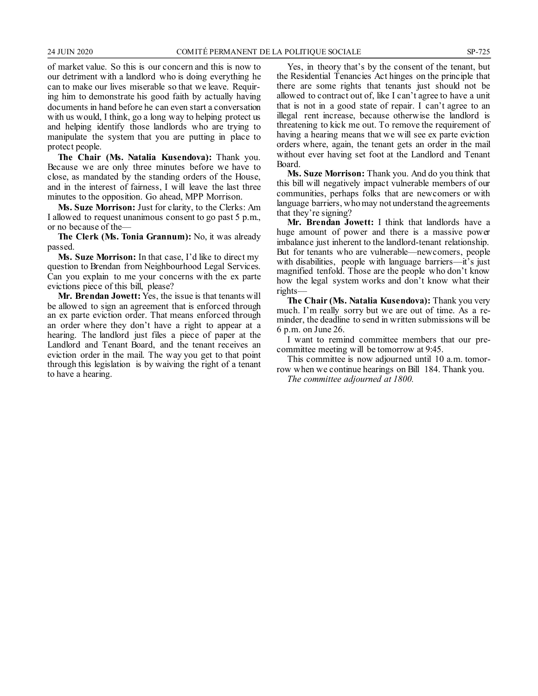of market value. So this is our concern and this is now to our detriment with a landlord who is doing everything he can to make our lives miserable so that we leave. Requiring him to demonstrate his good faith by actually having documents in hand before he can even start a conversation with us would, I think, go a long way to helping protect us and helping identify those landlords who are trying to manipulate the system that you are putting in place to protect people.

**The Chair (Ms. Natalia Kusendova):** Thank you. Because we are only three minutes before we have to close, as mandated by the standing orders of the House, and in the interest of fairness, I will leave the last three minutes to the opposition. Go ahead, MPP Morrison.

**Ms. Suze Morrison:** Just for clarity, to the Clerks: Am I allowed to request unanimous consent to go past 5 p.m., or no because of the—

**The Clerk (Ms. Tonia Grannum):** No, it was already passed.

**Ms. Suze Morrison:** In that case, I'd like to direct my question to Brendan from Neighbourhood Legal Services. Can you explain to me your concerns with the ex parte evictions piece of this bill, please?

**Mr. Brendan Jowett:** Yes, the issue is that tenants will be allowed to sign an agreement that is enforced through an ex parte eviction order. That means enforced through an order where they don't have a right to appear at a hearing. The landlord just files a piece of paper at the Landlord and Tenant Board, and the tenant receives an eviction order in the mail. The way you get to that point through this legislation is by waiving the right of a tenant to have a hearing.

Yes, in theory that's by the consent of the tenant, but the Residential Tenancies Act hinges on the principle that there are some rights that tenants just should not be allowed to contract out of, like I can't agree to have a unit that is not in a good state of repair. I can't agree to an illegal rent increase, because otherwise the landlord is threatening to kick me out. To remove the requirement of having a hearing means that we will see ex parte eviction orders where, again, the tenant gets an order in the mail without ever having set foot at the Landlord and Tenant Board.

**Ms. Suze Morrison:** Thank you. And do you think that this bill will negatively impact vulnerable members of our communities, perhaps folks that are newcomers or with language barriers, who may not understand the agreements that they're signing?

**Mr. Brendan Jowett:** I think that landlords have a huge amount of power and there is a massive power imbalance just inherent to the landlord-tenant relationship. But for tenants who are vulnerable—newcomers, people with disabilities, people with language barriers—it's just magnified tenfold. Those are the people who don't know how the legal system works and don't know what their rights—

**The Chair (Ms. Natalia Kusendova):** Thank you very much. I'm really sorry but we are out of time. As a reminder, the deadline to send in written submissions will be 6 p.m. on June 26.

I want to remind committee members that our precommittee meeting will be tomorrow at 9:45.

This committee is now adjourned until 10 a.m. tomorrow when we continue hearings on Bill 184. Thank you.

*The committee adjourned at 1800.*